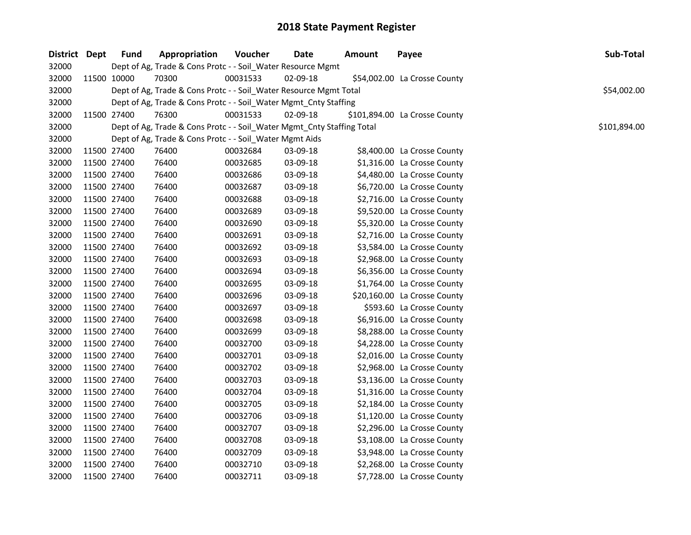| District Dept |             | <b>Fund</b> | Appropriation                                                          | Voucher  | <b>Date</b> | <b>Amount</b> | Payee                         | Sub-Total    |
|---------------|-------------|-------------|------------------------------------------------------------------------|----------|-------------|---------------|-------------------------------|--------------|
| 32000         |             |             | Dept of Ag, Trade & Cons Protc - - Soil_Water Resource Mgmt            |          |             |               |                               |              |
| 32000         |             | 11500 10000 | 70300                                                                  | 00031533 | 02-09-18    |               | \$54,002.00 La Crosse County  |              |
| 32000         |             |             | Dept of Ag, Trade & Cons Protc - - Soil_Water Resource Mgmt Total      |          |             |               |                               | \$54,002.00  |
| 32000         |             |             | Dept of Ag, Trade & Cons Protc - - Soil_Water Mgmt_Cnty Staffing       |          |             |               |                               |              |
| 32000         | 11500 27400 |             | 76300                                                                  | 00031533 | 02-09-18    |               | \$101,894.00 La Crosse County |              |
| 32000         |             |             | Dept of Ag, Trade & Cons Protc - - Soil_Water Mgmt_Cnty Staffing Total |          |             |               |                               | \$101,894.00 |
| 32000         |             |             | Dept of Ag, Trade & Cons Protc - - Soil_Water Mgmt Aids                |          |             |               |                               |              |
| 32000         | 11500 27400 |             | 76400                                                                  | 00032684 | 03-09-18    |               | \$8,400.00 La Crosse County   |              |
| 32000         | 11500 27400 |             | 76400                                                                  | 00032685 | 03-09-18    |               | \$1,316.00 La Crosse County   |              |
| 32000         | 11500 27400 |             | 76400                                                                  | 00032686 | 03-09-18    |               | \$4,480.00 La Crosse County   |              |
| 32000         | 11500 27400 |             | 76400                                                                  | 00032687 | 03-09-18    |               | \$6,720.00 La Crosse County   |              |
| 32000         | 11500 27400 |             | 76400                                                                  | 00032688 | 03-09-18    |               | \$2,716.00 La Crosse County   |              |
| 32000         | 11500 27400 |             | 76400                                                                  | 00032689 | 03-09-18    |               | \$9,520.00 La Crosse County   |              |
| 32000         | 11500 27400 |             | 76400                                                                  | 00032690 | 03-09-18    |               | \$5,320.00 La Crosse County   |              |
| 32000         | 11500 27400 |             | 76400                                                                  | 00032691 | 03-09-18    |               | \$2,716.00 La Crosse County   |              |
| 32000         | 11500 27400 |             | 76400                                                                  | 00032692 | 03-09-18    |               | \$3,584.00 La Crosse County   |              |
| 32000         | 11500 27400 |             | 76400                                                                  | 00032693 | 03-09-18    |               | \$2,968.00 La Crosse County   |              |
| 32000         | 11500 27400 |             | 76400                                                                  | 00032694 | 03-09-18    |               | \$6,356.00 La Crosse County   |              |
| 32000         | 11500 27400 |             | 76400                                                                  | 00032695 | 03-09-18    |               | \$1,764.00 La Crosse County   |              |
| 32000         | 11500 27400 |             | 76400                                                                  | 00032696 | 03-09-18    |               | \$20,160.00 La Crosse County  |              |
| 32000         | 11500 27400 |             | 76400                                                                  | 00032697 | 03-09-18    |               | \$593.60 La Crosse County     |              |
| 32000         | 11500 27400 |             | 76400                                                                  | 00032698 | 03-09-18    |               | \$6,916.00 La Crosse County   |              |
| 32000         | 11500 27400 |             | 76400                                                                  | 00032699 | 03-09-18    |               | \$8,288.00 La Crosse County   |              |
| 32000         | 11500 27400 |             | 76400                                                                  | 00032700 | 03-09-18    |               | \$4,228.00 La Crosse County   |              |
| 32000         | 11500 27400 |             | 76400                                                                  | 00032701 | 03-09-18    |               | \$2,016.00 La Crosse County   |              |
| 32000         | 11500 27400 |             | 76400                                                                  | 00032702 | 03-09-18    |               | \$2,968.00 La Crosse County   |              |
| 32000         | 11500 27400 |             | 76400                                                                  | 00032703 | 03-09-18    |               | \$3,136.00 La Crosse County   |              |
| 32000         | 11500 27400 |             | 76400                                                                  | 00032704 | 03-09-18    |               | \$1,316.00 La Crosse County   |              |
| 32000         | 11500 27400 |             | 76400                                                                  | 00032705 | 03-09-18    |               | \$2,184.00 La Crosse County   |              |
| 32000         | 11500 27400 |             | 76400                                                                  | 00032706 | 03-09-18    |               | \$1,120.00 La Crosse County   |              |
| 32000         | 11500 27400 |             | 76400                                                                  | 00032707 | 03-09-18    |               | \$2,296.00 La Crosse County   |              |
| 32000         | 11500 27400 |             | 76400                                                                  | 00032708 | 03-09-18    |               | \$3,108.00 La Crosse County   |              |
| 32000         | 11500 27400 |             | 76400                                                                  | 00032709 | 03-09-18    |               | \$3,948.00 La Crosse County   |              |
| 32000         | 11500 27400 |             | 76400                                                                  | 00032710 | 03-09-18    |               | \$2,268.00 La Crosse County   |              |
| 32000         | 11500 27400 |             | 76400                                                                  | 00032711 | 03-09-18    |               | \$7,728.00 La Crosse County   |              |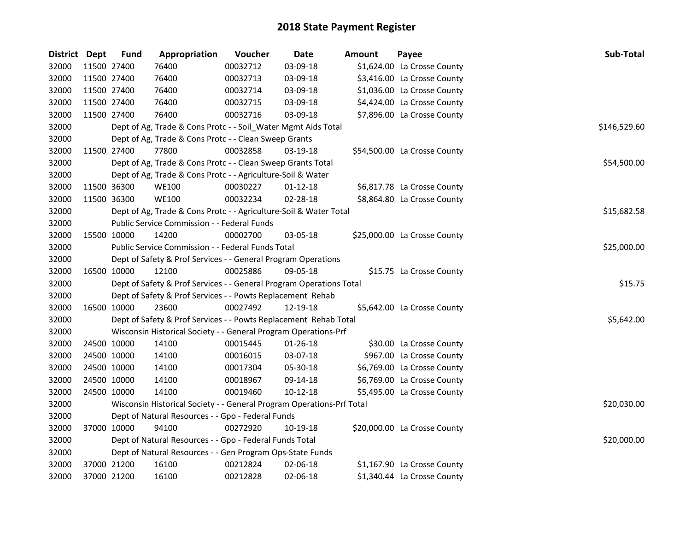| District Dept | <b>Fund</b> | Appropriation                                                         | Voucher  | Date           | Amount | Payee                        | Sub-Total    |
|---------------|-------------|-----------------------------------------------------------------------|----------|----------------|--------|------------------------------|--------------|
| 32000         | 11500 27400 | 76400                                                                 | 00032712 | 03-09-18       |        | \$1,624.00 La Crosse County  |              |
| 32000         | 11500 27400 | 76400                                                                 | 00032713 | 03-09-18       |        | \$3,416.00 La Crosse County  |              |
| 32000         | 11500 27400 | 76400                                                                 | 00032714 | 03-09-18       |        | \$1,036.00 La Crosse County  |              |
| 32000         | 11500 27400 | 76400                                                                 | 00032715 | 03-09-18       |        | \$4,424.00 La Crosse County  |              |
| 32000         | 11500 27400 | 76400                                                                 | 00032716 | 03-09-18       |        | \$7,896.00 La Crosse County  |              |
| 32000         |             | Dept of Ag, Trade & Cons Protc - - Soil_Water Mgmt Aids Total         |          |                |        |                              | \$146,529.60 |
| 32000         |             | Dept of Ag, Trade & Cons Protc - - Clean Sweep Grants                 |          |                |        |                              |              |
| 32000         | 11500 27400 | 77800                                                                 | 00032858 | 03-19-18       |        | \$54,500.00 La Crosse County |              |
| 32000         |             | Dept of Ag, Trade & Cons Protc - - Clean Sweep Grants Total           |          |                |        |                              | \$54,500.00  |
| 32000         |             | Dept of Ag, Trade & Cons Protc - - Agriculture-Soil & Water           |          |                |        |                              |              |
| 32000         | 11500 36300 | <b>WE100</b>                                                          | 00030227 | $01 - 12 - 18$ |        | \$6,817.78 La Crosse County  |              |
| 32000         | 11500 36300 | <b>WE100</b>                                                          | 00032234 | 02-28-18       |        | \$8,864.80 La Crosse County  |              |
| 32000         |             | Dept of Ag, Trade & Cons Protc - - Agriculture-Soil & Water Total     |          |                |        |                              | \$15,682.58  |
| 32000         |             | Public Service Commission - - Federal Funds                           |          |                |        |                              |              |
| 32000         | 15500 10000 | 14200                                                                 | 00002700 | 03-05-18       |        | \$25,000.00 La Crosse County |              |
| 32000         |             | <b>Public Service Commission - - Federal Funds Total</b>              |          |                |        |                              | \$25,000.00  |
| 32000         |             | Dept of Safety & Prof Services - - General Program Operations         |          |                |        |                              |              |
| 32000         | 16500 10000 | 12100                                                                 | 00025886 | 09-05-18       |        | \$15.75 La Crosse County     |              |
| 32000         |             | Dept of Safety & Prof Services - - General Program Operations Total   |          |                |        |                              | \$15.75      |
| 32000         |             | Dept of Safety & Prof Services - - Powts Replacement Rehab            |          |                |        |                              |              |
| 32000         | 16500 10000 | 23600                                                                 | 00027492 | 12-19-18       |        | \$5,642.00 La Crosse County  |              |
| 32000         |             | Dept of Safety & Prof Services - - Powts Replacement Rehab Total      |          |                |        |                              | \$5,642.00   |
| 32000         |             | Wisconsin Historical Society - - General Program Operations-Prf       |          |                |        |                              |              |
| 32000         | 24500 10000 | 14100                                                                 | 00015445 | 01-26-18       |        | \$30.00 La Crosse County     |              |
| 32000         | 24500 10000 | 14100                                                                 | 00016015 | 03-07-18       |        | \$967.00 La Crosse County    |              |
| 32000         | 24500 10000 | 14100                                                                 | 00017304 | 05-30-18       |        | \$6,769.00 La Crosse County  |              |
| 32000         | 24500 10000 | 14100                                                                 | 00018967 | 09-14-18       |        | \$6,769.00 La Crosse County  |              |
| 32000         | 24500 10000 | 14100                                                                 | 00019460 | $10-12-18$     |        | \$5,495.00 La Crosse County  |              |
| 32000         |             | Wisconsin Historical Society - - General Program Operations-Prf Total |          |                |        |                              | \$20,030.00  |
| 32000         |             | Dept of Natural Resources - - Gpo - Federal Funds                     |          |                |        |                              |              |
| 32000         | 37000 10000 | 94100                                                                 | 00272920 | 10-19-18       |        | \$20,000.00 La Crosse County |              |
| 32000         |             | Dept of Natural Resources - - Gpo - Federal Funds Total               |          |                |        |                              | \$20,000.00  |
| 32000         |             | Dept of Natural Resources - - Gen Program Ops-State Funds             |          |                |        |                              |              |
| 32000         | 37000 21200 | 16100                                                                 | 00212824 | 02-06-18       |        | \$1,167.90 La Crosse County  |              |
| 32000         | 37000 21200 | 16100                                                                 | 00212828 | 02-06-18       |        | \$1,340.44 La Crosse County  |              |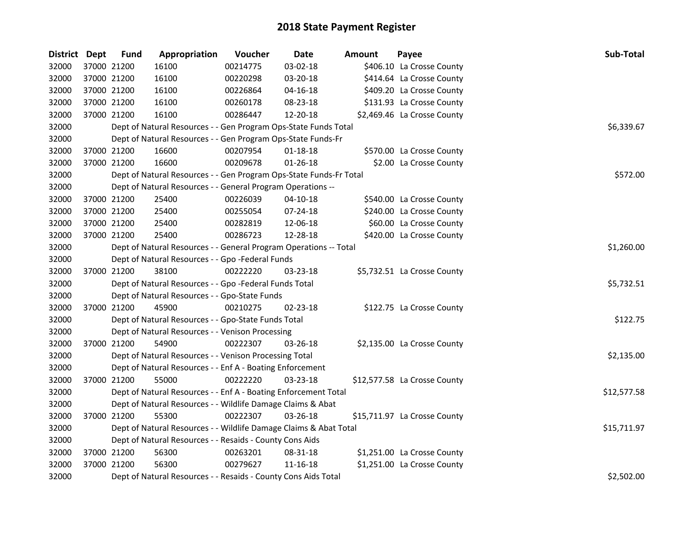| District Dept |             | <b>Fund</b> | Appropriation                                                      | Voucher    | <b>Date</b>    | Amount | Payee                        | Sub-Total   |
|---------------|-------------|-------------|--------------------------------------------------------------------|------------|----------------|--------|------------------------------|-------------|
| 32000         |             | 37000 21200 | 16100                                                              | 00214775   | 03-02-18       |        | \$406.10 La Crosse County    |             |
| 32000         |             | 37000 21200 | 16100                                                              | 00220298   | 03-20-18       |        | \$414.64 La Crosse County    |             |
| 32000         |             | 37000 21200 | 16100                                                              | 00226864   | 04-16-18       |        | \$409.20 La Crosse County    |             |
| 32000         |             | 37000 21200 | 16100                                                              | 00260178   | 08-23-18       |        | \$131.93 La Crosse County    |             |
| 32000         |             | 37000 21200 | 16100                                                              | 00286447   | 12-20-18       |        | \$2,469.46 La Crosse County  |             |
| 32000         |             |             | Dept of Natural Resources - - Gen Program Ops-State Funds Total    |            |                |        |                              | \$6,339.67  |
| 32000         |             |             | Dept of Natural Resources - - Gen Program Ops-State Funds-Fr       |            |                |        |                              |             |
| 32000         |             | 37000 21200 | 16600                                                              | 00207954   | $01 - 18 - 18$ |        | \$570.00 La Crosse County    |             |
| 32000         |             | 37000 21200 | 16600                                                              | 00209678   | $01 - 26 - 18$ |        | \$2.00 La Crosse County      |             |
| 32000         |             |             | Dept of Natural Resources - - Gen Program Ops-State Funds-Fr Total |            |                |        |                              | \$572.00    |
| 32000         |             |             | Dept of Natural Resources - - General Program Operations --        |            |                |        |                              |             |
| 32000         |             | 37000 21200 | 25400                                                              | 00226039   | $04 - 10 - 18$ |        | \$540.00 La Crosse County    |             |
| 32000         |             | 37000 21200 | 25400                                                              | 00255054   | 07-24-18       |        | \$240.00 La Crosse County    |             |
| 32000         |             | 37000 21200 | 25400                                                              | 00282819   | 12-06-18       |        | \$60.00 La Crosse County     |             |
| 32000         |             | 37000 21200 | 25400                                                              | 00286723   | 12-28-18       |        | \$420.00 La Crosse County    |             |
| 32000         |             |             | Dept of Natural Resources - - General Program Operations -- Total  | \$1,260.00 |                |        |                              |             |
| 32000         |             |             | Dept of Natural Resources - - Gpo -Federal Funds                   |            |                |        |                              |             |
| 32000         |             | 37000 21200 | 38100                                                              | 00222220   | 03-23-18       |        | \$5,732.51 La Crosse County  |             |
| 32000         |             |             | Dept of Natural Resources - - Gpo -Federal Funds Total             |            |                |        |                              | \$5,732.51  |
| 32000         |             |             | Dept of Natural Resources - - Gpo-State Funds                      |            |                |        |                              |             |
| 32000         |             | 37000 21200 | 45900                                                              | 00210275   | 02-23-18       |        | \$122.75 La Crosse County    |             |
| 32000         |             |             | Dept of Natural Resources - - Gpo-State Funds Total                |            |                |        |                              | \$122.75    |
| 32000         |             |             | Dept of Natural Resources - - Venison Processing                   |            |                |        |                              |             |
| 32000         | 37000 21200 |             | 54900                                                              | 00222307   | 03-26-18       |        | \$2,135.00 La Crosse County  |             |
| 32000         |             |             | Dept of Natural Resources - - Venison Processing Total             |            |                |        |                              | \$2,135.00  |
| 32000         |             |             | Dept of Natural Resources - - Enf A - Boating Enforcement          |            |                |        |                              |             |
| 32000         |             | 37000 21200 | 55000                                                              | 00222220   | 03-23-18       |        | \$12,577.58 La Crosse County |             |
| 32000         |             |             | Dept of Natural Resources - - Enf A - Boating Enforcement Total    |            |                |        |                              | \$12,577.58 |
| 32000         |             |             | Dept of Natural Resources - - Wildlife Damage Claims & Abat        |            |                |        |                              |             |
| 32000         | 37000 21200 |             | 55300                                                              | 00222307   | $03 - 26 - 18$ |        | \$15,711.97 La Crosse County |             |
| 32000         |             |             | Dept of Natural Resources - - Wildlife Damage Claims & Abat Total  |            |                |        |                              | \$15,711.97 |
| 32000         |             |             | Dept of Natural Resources - - Resaids - County Cons Aids           |            |                |        |                              |             |
| 32000         |             | 37000 21200 | 56300                                                              | 00263201   | 08-31-18       |        | \$1,251.00 La Crosse County  |             |
| 32000         |             | 37000 21200 | 56300                                                              | 00279627   | 11-16-18       |        | \$1,251.00 La Crosse County  |             |
| 32000         |             |             | Dept of Natural Resources - - Resaids - County Cons Aids Total     |            |                |        |                              | \$2,502.00  |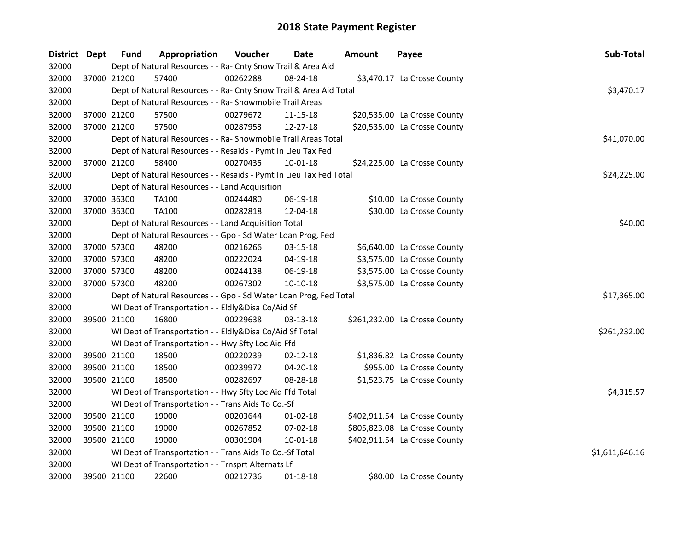| District Dept |             | <b>Fund</b> | Appropriation                                                      | Voucher  | Date           | Amount | Payee                         | Sub-Total      |
|---------------|-------------|-------------|--------------------------------------------------------------------|----------|----------------|--------|-------------------------------|----------------|
| 32000         |             |             | Dept of Natural Resources - - Ra- Cnty Snow Trail & Area Aid       |          |                |        |                               |                |
| 32000         | 37000 21200 |             | 57400                                                              | 00262288 | 08-24-18       |        | \$3,470.17 La Crosse County   |                |
| 32000         |             |             | Dept of Natural Resources - - Ra- Cnty Snow Trail & Area Aid Total |          |                |        |                               | \$3,470.17     |
| 32000         |             |             | Dept of Natural Resources - - Ra- Snowmobile Trail Areas           |          |                |        |                               |                |
| 32000         |             | 37000 21200 | 57500                                                              | 00279672 | 11-15-18       |        | \$20,535.00 La Crosse County  |                |
| 32000         |             | 37000 21200 | 57500                                                              | 00287953 | 12-27-18       |        | \$20,535.00 La Crosse County  |                |
| 32000         |             |             | Dept of Natural Resources - - Ra- Snowmobile Trail Areas Total     |          |                |        |                               | \$41,070.00    |
| 32000         |             |             | Dept of Natural Resources - - Resaids - Pymt In Lieu Tax Fed       |          |                |        |                               |                |
| 32000         |             | 37000 21200 | 58400                                                              | 00270435 | $10 - 01 - 18$ |        | \$24,225.00 La Crosse County  |                |
| 32000         |             |             | Dept of Natural Resources - - Resaids - Pymt In Lieu Tax Fed Total |          |                |        |                               | \$24,225.00    |
| 32000         |             |             | Dept of Natural Resources - - Land Acquisition                     |          |                |        |                               |                |
| 32000         | 37000 36300 |             | <b>TA100</b>                                                       | 00244480 | 06-19-18       |        | \$10.00 La Crosse County      |                |
| 32000         | 37000 36300 |             | <b>TA100</b>                                                       | 00282818 | 12-04-18       |        | \$30.00 La Crosse County      |                |
| 32000         |             |             | Dept of Natural Resources - - Land Acquisition Total               |          |                |        |                               | \$40.00        |
| 32000         |             |             | Dept of Natural Resources - - Gpo - Sd Water Loan Prog, Fed        |          |                |        |                               |                |
| 32000         | 37000 57300 |             | 48200                                                              | 00216266 | 03-15-18       |        | \$6,640.00 La Crosse County   |                |
| 32000         | 37000 57300 |             | 48200                                                              | 00222024 | 04-19-18       |        | \$3,575.00 La Crosse County   |                |
| 32000         | 37000 57300 |             | 48200                                                              | 00244138 | 06-19-18       |        | \$3,575.00 La Crosse County   |                |
| 32000         | 37000 57300 |             | 48200                                                              | 00267302 | $10-10-18$     |        | \$3,575.00 La Crosse County   |                |
| 32000         |             |             | Dept of Natural Resources - - Gpo - Sd Water Loan Prog, Fed Total  |          |                |        |                               | \$17,365.00    |
| 32000         |             |             | WI Dept of Transportation - - Eldly&Disa Co/Aid Sf                 |          |                |        |                               |                |
| 32000         | 39500 21100 |             | 16800                                                              | 00229638 | 03-13-18       |        | \$261,232.00 La Crosse County |                |
| 32000         |             |             | WI Dept of Transportation - - Eldly&Disa Co/Aid Sf Total           |          |                |        |                               | \$261,232.00   |
| 32000         |             |             | WI Dept of Transportation - - Hwy Sfty Loc Aid Ffd                 |          |                |        |                               |                |
| 32000         |             | 39500 21100 | 18500                                                              | 00220239 | $02 - 12 - 18$ |        | \$1,836.82 La Crosse County   |                |
| 32000         |             | 39500 21100 | 18500                                                              | 00239972 | 04-20-18       |        | \$955.00 La Crosse County     |                |
| 32000         | 39500 21100 |             | 18500                                                              | 00282697 | 08-28-18       |        | \$1,523.75 La Crosse County   |                |
| 32000         |             |             | WI Dept of Transportation - - Hwy Sfty Loc Aid Ffd Total           |          |                |        |                               | \$4,315.57     |
| 32000         |             |             | WI Dept of Transportation - - Trans Aids To Co.-Sf                 |          |                |        |                               |                |
| 32000         |             | 39500 21100 | 19000                                                              | 00203644 | $01 - 02 - 18$ |        | \$402,911.54 La Crosse County |                |
| 32000         | 39500 21100 |             | 19000                                                              | 00267852 | 07-02-18       |        | \$805,823.08 La Crosse County |                |
| 32000         | 39500 21100 |             | 19000                                                              | 00301904 | 10-01-18       |        | \$402,911.54 La Crosse County |                |
| 32000         |             |             | WI Dept of Transportation - - Trans Aids To Co.-Sf Total           |          |                |        |                               | \$1,611,646.16 |
| 32000         |             |             | WI Dept of Transportation - - Trnsprt Alternats Lf                 |          |                |        |                               |                |
| 32000         |             | 39500 21100 | 22600                                                              | 00212736 | $01 - 18 - 18$ |        | \$80.00 La Crosse County      |                |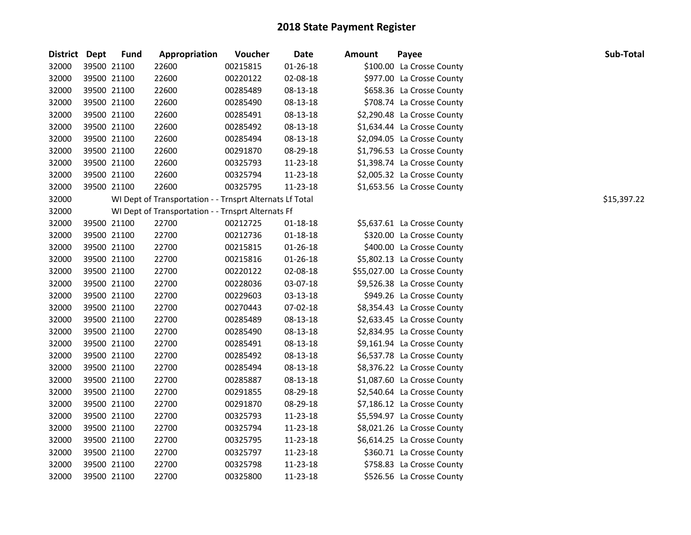| District Dept |             | <b>Fund</b> | Appropriation                                            | Voucher  | <b>Date</b>    | <b>Amount</b> | Payee                        | Sub-Total   |
|---------------|-------------|-------------|----------------------------------------------------------|----------|----------------|---------------|------------------------------|-------------|
| 32000         | 39500 21100 |             | 22600                                                    | 00215815 | 01-26-18       |               | \$100.00 La Crosse County    |             |
| 32000         | 39500 21100 |             | 22600                                                    | 00220122 | 02-08-18       |               | \$977.00 La Crosse County    |             |
| 32000         | 39500 21100 |             | 22600                                                    | 00285489 | 08-13-18       |               | \$658.36 La Crosse County    |             |
| 32000         | 39500 21100 |             | 22600                                                    | 00285490 | 08-13-18       |               | \$708.74 La Crosse County    |             |
| 32000         | 39500 21100 |             | 22600                                                    | 00285491 | 08-13-18       |               | \$2,290.48 La Crosse County  |             |
| 32000         | 39500 21100 |             | 22600                                                    | 00285492 | 08-13-18       |               | \$1,634.44 La Crosse County  |             |
| 32000         | 39500 21100 |             | 22600                                                    | 00285494 | 08-13-18       |               | \$2,094.05 La Crosse County  |             |
| 32000         | 39500 21100 |             | 22600                                                    | 00291870 | 08-29-18       |               | \$1,796.53 La Crosse County  |             |
| 32000         | 39500 21100 |             | 22600                                                    | 00325793 | 11-23-18       |               | \$1,398.74 La Crosse County  |             |
| 32000         | 39500 21100 |             | 22600                                                    | 00325794 | 11-23-18       |               | \$2,005.32 La Crosse County  |             |
| 32000         | 39500 21100 |             | 22600                                                    | 00325795 | 11-23-18       |               | \$1,653.56 La Crosse County  |             |
| 32000         |             |             | WI Dept of Transportation - - Trnsprt Alternats Lf Total |          |                |               |                              | \$15,397.22 |
| 32000         |             |             | WI Dept of Transportation - - Trnsprt Alternats Ff       |          |                |               |                              |             |
| 32000         | 39500 21100 |             | 22700                                                    | 00212725 | $01 - 18 - 18$ |               | \$5,637.61 La Crosse County  |             |
| 32000         | 39500 21100 |             | 22700                                                    | 00212736 | $01 - 18 - 18$ |               | \$320.00 La Crosse County    |             |
| 32000         | 39500 21100 |             | 22700                                                    | 00215815 | 01-26-18       |               | \$400.00 La Crosse County    |             |
| 32000         | 39500 21100 |             | 22700                                                    | 00215816 | $01 - 26 - 18$ |               | \$5,802.13 La Crosse County  |             |
| 32000         | 39500 21100 |             | 22700                                                    | 00220122 | 02-08-18       |               | \$55,027.00 La Crosse County |             |
| 32000         | 39500 21100 |             | 22700                                                    | 00228036 | 03-07-18       |               | \$9,526.38 La Crosse County  |             |
| 32000         | 39500 21100 |             | 22700                                                    | 00229603 | 03-13-18       |               | \$949.26 La Crosse County    |             |
| 32000         | 39500 21100 |             | 22700                                                    | 00270443 | 07-02-18       |               | \$8,354.43 La Crosse County  |             |
| 32000         | 39500 21100 |             | 22700                                                    | 00285489 | 08-13-18       |               | \$2,633.45 La Crosse County  |             |
| 32000         | 39500 21100 |             | 22700                                                    | 00285490 | 08-13-18       |               | \$2,834.95 La Crosse County  |             |
| 32000         | 39500 21100 |             | 22700                                                    | 00285491 | 08-13-18       |               | \$9,161.94 La Crosse County  |             |
| 32000         | 39500 21100 |             | 22700                                                    | 00285492 | 08-13-18       |               | \$6,537.78 La Crosse County  |             |
| 32000         | 39500 21100 |             | 22700                                                    | 00285494 | 08-13-18       |               | \$8,376.22 La Crosse County  |             |
| 32000         | 39500 21100 |             | 22700                                                    | 00285887 | 08-13-18       |               | \$1,087.60 La Crosse County  |             |
| 32000         | 39500 21100 |             | 22700                                                    | 00291855 | 08-29-18       |               | \$2,540.64 La Crosse County  |             |
| 32000         | 39500 21100 |             | 22700                                                    | 00291870 | 08-29-18       |               | \$7,186.12 La Crosse County  |             |
| 32000         | 39500 21100 |             | 22700                                                    | 00325793 | 11-23-18       |               | \$5,594.97 La Crosse County  |             |
| 32000         | 39500 21100 |             | 22700                                                    | 00325794 | 11-23-18       |               | \$8,021.26 La Crosse County  |             |
| 32000         | 39500 21100 |             | 22700                                                    | 00325795 | 11-23-18       |               | \$6,614.25 La Crosse County  |             |
| 32000         | 39500 21100 |             | 22700                                                    | 00325797 | 11-23-18       |               | \$360.71 La Crosse County    |             |
| 32000         | 39500 21100 |             | 22700                                                    | 00325798 | 11-23-18       |               | \$758.83 La Crosse County    |             |
| 32000         | 39500 21100 |             | 22700                                                    | 00325800 | 11-23-18       |               | \$526.56 La Crosse County    |             |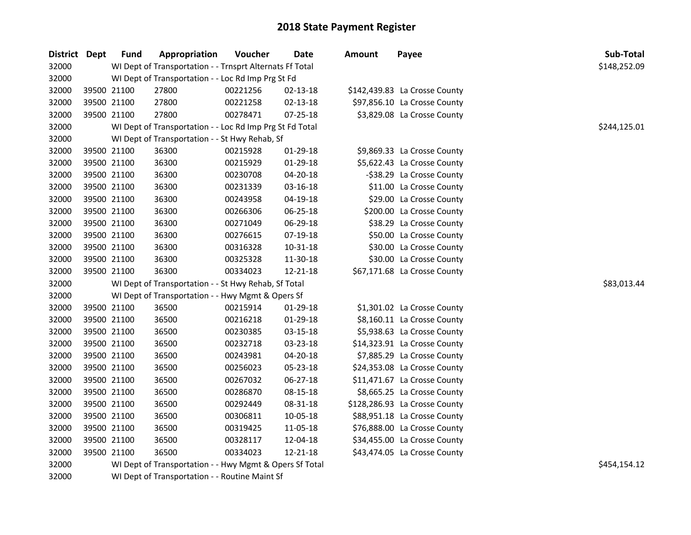| District Dept |             | <b>Fund</b> | Appropriation                                            | Voucher  | <b>Date</b>    | <b>Amount</b> | Payee                         | Sub-Total    |
|---------------|-------------|-------------|----------------------------------------------------------|----------|----------------|---------------|-------------------------------|--------------|
| 32000         |             |             | WI Dept of Transportation - - Trnsprt Alternats Ff Total |          |                |               |                               | \$148,252.09 |
| 32000         |             |             | WI Dept of Transportation - - Loc Rd Imp Prg St Fd       |          |                |               |                               |              |
| 32000         | 39500 21100 |             | 27800                                                    | 00221256 | 02-13-18       |               | \$142,439.83 La Crosse County |              |
| 32000         | 39500 21100 |             | 27800                                                    | 00221258 | $02 - 13 - 18$ |               | \$97,856.10 La Crosse County  |              |
| 32000         | 39500 21100 |             | 27800                                                    | 00278471 | 07-25-18       |               | \$3,829.08 La Crosse County   |              |
| 32000         |             |             | WI Dept of Transportation - - Loc Rd Imp Prg St Fd Total |          |                |               |                               | \$244,125.01 |
| 32000         |             |             | WI Dept of Transportation - - St Hwy Rehab, Sf           |          |                |               |                               |              |
| 32000         | 39500 21100 |             | 36300                                                    | 00215928 | 01-29-18       |               | \$9,869.33 La Crosse County   |              |
| 32000         | 39500 21100 |             | 36300                                                    | 00215929 | 01-29-18       |               | \$5,622.43 La Crosse County   |              |
| 32000         | 39500 21100 |             | 36300                                                    | 00230708 | 04-20-18       |               | -\$38.29 La Crosse County     |              |
| 32000         | 39500 21100 |             | 36300                                                    | 00231339 | $03 - 16 - 18$ |               | \$11.00 La Crosse County      |              |
| 32000         | 39500 21100 |             | 36300                                                    | 00243958 | 04-19-18       |               | \$29.00 La Crosse County      |              |
| 32000         | 39500 21100 |             | 36300                                                    | 00266306 | 06-25-18       |               | \$200.00 La Crosse County     |              |
| 32000         | 39500 21100 |             | 36300                                                    | 00271049 | 06-29-18       |               | \$38.29 La Crosse County      |              |
| 32000         | 39500 21100 |             | 36300                                                    | 00276615 | 07-19-18       |               | \$50.00 La Crosse County      |              |
| 32000         | 39500 21100 |             | 36300                                                    | 00316328 | 10-31-18       |               | \$30.00 La Crosse County      |              |
| 32000         | 39500 21100 |             | 36300                                                    | 00325328 | 11-30-18       |               | \$30.00 La Crosse County      |              |
| 32000         | 39500 21100 |             | 36300                                                    | 00334023 | 12-21-18       |               | \$67,171.68 La Crosse County  |              |
| 32000         |             |             | WI Dept of Transportation - - St Hwy Rehab, Sf Total     |          |                |               |                               | \$83,013.44  |
| 32000         |             |             | WI Dept of Transportation - - Hwy Mgmt & Opers Sf        |          |                |               |                               |              |
| 32000         | 39500 21100 |             | 36500                                                    | 00215914 | 01-29-18       |               | \$1,301.02 La Crosse County   |              |
| 32000         | 39500 21100 |             | 36500                                                    | 00216218 | 01-29-18       |               | \$8,160.11 La Crosse County   |              |
| 32000         | 39500 21100 |             | 36500                                                    | 00230385 | 03-15-18       |               | \$5,938.63 La Crosse County   |              |
| 32000         | 39500 21100 |             | 36500                                                    | 00232718 | 03-23-18       |               | \$14,323.91 La Crosse County  |              |
| 32000         | 39500 21100 |             | 36500                                                    | 00243981 | 04-20-18       |               | \$7,885.29 La Crosse County   |              |
| 32000         | 39500 21100 |             | 36500                                                    | 00256023 | 05-23-18       |               | \$24,353.08 La Crosse County  |              |
| 32000         | 39500 21100 |             | 36500                                                    | 00267032 | 06-27-18       |               | \$11,471.67 La Crosse County  |              |
| 32000         | 39500 21100 |             | 36500                                                    | 00286870 | 08-15-18       |               | \$8,665.25 La Crosse County   |              |
| 32000         | 39500 21100 |             | 36500                                                    | 00292449 | 08-31-18       |               | \$128,286.93 La Crosse County |              |
| 32000         | 39500 21100 |             | 36500                                                    | 00306811 | 10-05-18       |               | \$88,951.18 La Crosse County  |              |
| 32000         | 39500 21100 |             | 36500                                                    | 00319425 | 11-05-18       |               | \$76,888.00 La Crosse County  |              |
| 32000         | 39500 21100 |             | 36500                                                    | 00328117 | 12-04-18       |               | \$34,455.00 La Crosse County  |              |
| 32000         | 39500 21100 |             | 36500                                                    | 00334023 | 12-21-18       |               | \$43,474.05 La Crosse County  |              |
| 32000         |             |             | WI Dept of Transportation - - Hwy Mgmt & Opers Sf Total  |          |                |               |                               | \$454,154.12 |
| 32000         |             |             | WI Dept of Transportation - - Routine Maint Sf           |          |                |               |                               |              |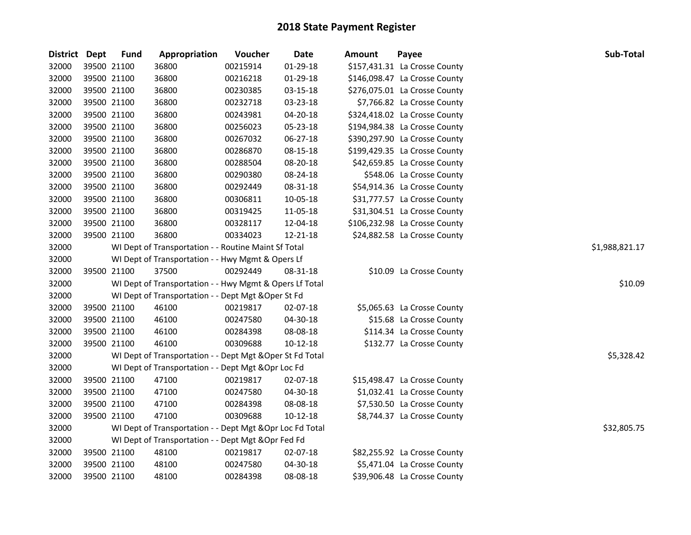| <b>District</b> | Dept        | <b>Fund</b> | Appropriation                                             | Voucher  | Date       | Amount | Payee                         | Sub-Total      |
|-----------------|-------------|-------------|-----------------------------------------------------------|----------|------------|--------|-------------------------------|----------------|
| 32000           | 39500 21100 |             | 36800                                                     | 00215914 | 01-29-18   |        | \$157,431.31 La Crosse County |                |
| 32000           | 39500 21100 |             | 36800                                                     | 00216218 | 01-29-18   |        | \$146,098.47 La Crosse County |                |
| 32000           | 39500 21100 |             | 36800                                                     | 00230385 | 03-15-18   |        | \$276,075.01 La Crosse County |                |
| 32000           | 39500 21100 |             | 36800                                                     | 00232718 | 03-23-18   |        | \$7,766.82 La Crosse County   |                |
| 32000           | 39500 21100 |             | 36800                                                     | 00243981 | 04-20-18   |        | \$324,418.02 La Crosse County |                |
| 32000           | 39500 21100 |             | 36800                                                     | 00256023 | 05-23-18   |        | \$194,984.38 La Crosse County |                |
| 32000           | 39500 21100 |             | 36800                                                     | 00267032 | 06-27-18   |        | \$390,297.90 La Crosse County |                |
| 32000           | 39500 21100 |             | 36800                                                     | 00286870 | 08-15-18   |        | \$199,429.35 La Crosse County |                |
| 32000           | 39500 21100 |             | 36800                                                     | 00288504 | 08-20-18   |        | \$42,659.85 La Crosse County  |                |
| 32000           | 39500 21100 |             | 36800                                                     | 00290380 | 08-24-18   |        | \$548.06 La Crosse County     |                |
| 32000           | 39500 21100 |             | 36800                                                     | 00292449 | 08-31-18   |        | \$54,914.36 La Crosse County  |                |
| 32000           | 39500 21100 |             | 36800                                                     | 00306811 | 10-05-18   |        | \$31,777.57 La Crosse County  |                |
| 32000           | 39500 21100 |             | 36800                                                     | 00319425 | 11-05-18   |        | \$31,304.51 La Crosse County  |                |
| 32000           | 39500 21100 |             | 36800                                                     | 00328117 | 12-04-18   |        | \$106,232.98 La Crosse County |                |
| 32000           | 39500 21100 |             | 36800                                                     | 00334023 | 12-21-18   |        | \$24,882.58 La Crosse County  |                |
| 32000           |             |             | WI Dept of Transportation - - Routine Maint Sf Total      |          |            |        |                               | \$1,988,821.17 |
| 32000           |             |             | WI Dept of Transportation - - Hwy Mgmt & Opers Lf         |          |            |        |                               |                |
| 32000           | 39500 21100 |             | 37500                                                     | 00292449 | 08-31-18   |        | \$10.09 La Crosse County      |                |
| 32000           |             |             | WI Dept of Transportation - - Hwy Mgmt & Opers Lf Total   |          |            |        |                               | \$10.09        |
| 32000           |             |             | WI Dept of Transportation - - Dept Mgt & Oper St Fd       |          |            |        |                               |                |
| 32000           | 39500 21100 |             | 46100                                                     | 00219817 | 02-07-18   |        | \$5,065.63 La Crosse County   |                |
| 32000           | 39500 21100 |             | 46100                                                     | 00247580 | 04-30-18   |        | \$15.68 La Crosse County      |                |
| 32000           | 39500 21100 |             | 46100                                                     | 00284398 | 08-08-18   |        | \$114.34 La Crosse County     |                |
| 32000           | 39500 21100 |             | 46100                                                     | 00309688 | $10-12-18$ |        | \$132.77 La Crosse County     |                |
| 32000           |             |             | WI Dept of Transportation - - Dept Mgt & Oper St Fd Total |          |            |        |                               | \$5,328.42     |
| 32000           |             |             | WI Dept of Transportation - - Dept Mgt & Opr Loc Fd       |          |            |        |                               |                |
| 32000           | 39500 21100 |             | 47100                                                     | 00219817 | 02-07-18   |        | \$15,498.47 La Crosse County  |                |
| 32000           | 39500 21100 |             | 47100                                                     | 00247580 | 04-30-18   |        | \$1,032.41 La Crosse County   |                |
| 32000           | 39500 21100 |             | 47100                                                     | 00284398 | 08-08-18   |        | \$7,530.50 La Crosse County   |                |
| 32000           | 39500 21100 |             | 47100                                                     | 00309688 | 10-12-18   |        | \$8,744.37 La Crosse County   |                |
| 32000           |             |             | WI Dept of Transportation - - Dept Mgt & Opr Loc Fd Total |          |            |        |                               | \$32,805.75    |
| 32000           |             |             | WI Dept of Transportation - - Dept Mgt & Opr Fed Fd       |          |            |        |                               |                |
| 32000           | 39500 21100 |             | 48100                                                     | 00219817 | 02-07-18   |        | \$82,255.92 La Crosse County  |                |
| 32000           | 39500 21100 |             | 48100                                                     | 00247580 | 04-30-18   |        | \$5,471.04 La Crosse County   |                |
| 32000           | 39500 21100 |             | 48100                                                     | 00284398 | 08-08-18   |        | \$39,906.48 La Crosse County  |                |
|                 |             |             |                                                           |          |            |        |                               |                |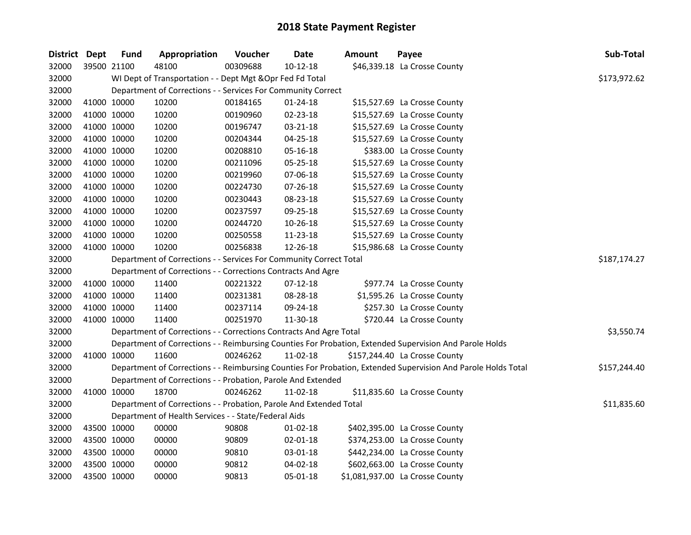| District Dept |             | <b>Fund</b> | Appropriation                                                      | Voucher  | <b>Date</b>    | Amount | Payee                                                                                                         | Sub-Total    |
|---------------|-------------|-------------|--------------------------------------------------------------------|----------|----------------|--------|---------------------------------------------------------------------------------------------------------------|--------------|
| 32000         | 39500 21100 |             | 48100                                                              | 00309688 | $10-12-18$     |        | \$46,339.18 La Crosse County                                                                                  |              |
| 32000         |             |             | WI Dept of Transportation - - Dept Mgt & Opr Fed Fd Total          |          |                |        |                                                                                                               | \$173,972.62 |
| 32000         |             |             | Department of Corrections - - Services For Community Correct       |          |                |        |                                                                                                               |              |
| 32000         | 41000 10000 |             | 10200                                                              | 00184165 | $01 - 24 - 18$ |        | \$15,527.69 La Crosse County                                                                                  |              |
| 32000         | 41000 10000 |             | 10200                                                              | 00190960 | 02-23-18       |        | \$15,527.69 La Crosse County                                                                                  |              |
| 32000         | 41000 10000 |             | 10200                                                              | 00196747 | $03 - 21 - 18$ |        | \$15,527.69 La Crosse County                                                                                  |              |
| 32000         | 41000 10000 |             | 10200                                                              | 00204344 | 04-25-18       |        | \$15,527.69 La Crosse County                                                                                  |              |
| 32000         | 41000 10000 |             | 10200                                                              | 00208810 | 05-16-18       |        | \$383.00 La Crosse County                                                                                     |              |
| 32000         | 41000 10000 |             | 10200                                                              | 00211096 | 05-25-18       |        | \$15,527.69 La Crosse County                                                                                  |              |
| 32000         | 41000 10000 |             | 10200                                                              | 00219960 | 07-06-18       |        | \$15,527.69 La Crosse County                                                                                  |              |
| 32000         | 41000 10000 |             | 10200                                                              | 00224730 | 07-26-18       |        | \$15,527.69 La Crosse County                                                                                  |              |
| 32000         | 41000 10000 |             | 10200                                                              | 00230443 | 08-23-18       |        | \$15,527.69 La Crosse County                                                                                  |              |
| 32000         | 41000 10000 |             | 10200                                                              | 00237597 | 09-25-18       |        | \$15,527.69 La Crosse County                                                                                  |              |
| 32000         | 41000 10000 |             | 10200                                                              | 00244720 | 10-26-18       |        | \$15,527.69 La Crosse County                                                                                  |              |
| 32000         | 41000 10000 |             | 10200                                                              | 00250558 | 11-23-18       |        | \$15,527.69 La Crosse County                                                                                  |              |
| 32000         | 41000 10000 |             | 10200                                                              | 00256838 | 12-26-18       |        | \$15,986.68 La Crosse County                                                                                  |              |
| 32000         |             |             | Department of Corrections - - Services For Community Correct Total |          | \$187,174.27   |        |                                                                                                               |              |
| 32000         |             |             | Department of Corrections - - Corrections Contracts And Agre       |          |                |        |                                                                                                               |              |
| 32000         | 41000 10000 |             | 11400                                                              | 00221322 | $07-12-18$     |        | \$977.74 La Crosse County                                                                                     |              |
| 32000         | 41000 10000 |             | 11400                                                              | 00231381 | 08-28-18       |        | \$1,595.26 La Crosse County                                                                                   |              |
| 32000         | 41000 10000 |             | 11400                                                              | 00237114 | 09-24-18       |        | \$257.30 La Crosse County                                                                                     |              |
| 32000         | 41000 10000 |             | 11400                                                              | 00251970 | 11-30-18       |        | \$720.44 La Crosse County                                                                                     |              |
| 32000         |             |             | Department of Corrections - - Corrections Contracts And Agre Total |          |                |        |                                                                                                               | \$3,550.74   |
| 32000         |             |             |                                                                    |          |                |        | Department of Corrections - - Reimbursing Counties For Probation, Extended Supervision And Parole Holds       |              |
| 32000         | 41000 10000 |             | 11600                                                              | 00246262 | 11-02-18       |        | \$157,244.40 La Crosse County                                                                                 |              |
| 32000         |             |             |                                                                    |          |                |        | Department of Corrections - - Reimbursing Counties For Probation, Extended Supervision And Parole Holds Total | \$157,244.40 |
| 32000         |             |             | Department of Corrections - - Probation, Parole And Extended       |          |                |        |                                                                                                               |              |
| 32000         | 41000 10000 |             | 18700                                                              | 00246262 | 11-02-18       |        | \$11,835.60 La Crosse County                                                                                  |              |
| 32000         |             |             | Department of Corrections - - Probation, Parole And Extended Total |          |                |        |                                                                                                               | \$11,835.60  |
| 32000         |             |             | Department of Health Services - - State/Federal Aids               |          |                |        |                                                                                                               |              |
| 32000         | 43500 10000 |             | 00000                                                              | 90808    | $01 - 02 - 18$ |        | \$402,395.00 La Crosse County                                                                                 |              |
| 32000         | 43500 10000 |             | 00000                                                              | 90809    | 02-01-18       |        | \$374,253.00 La Crosse County                                                                                 |              |
| 32000         | 43500 10000 |             | 00000                                                              | 90810    | 03-01-18       |        | \$442,234.00 La Crosse County                                                                                 |              |
| 32000         | 43500 10000 |             | 00000                                                              | 90812    | 04-02-18       |        | \$602,663.00 La Crosse County                                                                                 |              |
| 32000         | 43500 10000 |             | 00000                                                              | 90813    | 05-01-18       |        | \$1,081,937.00 La Crosse County                                                                               |              |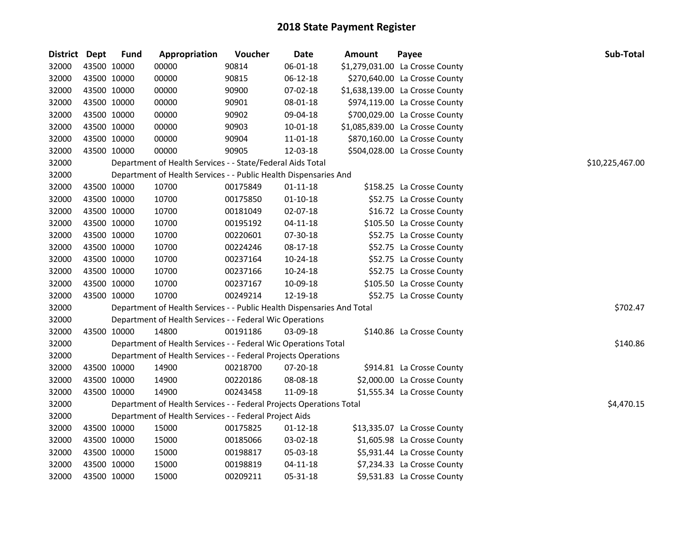| <b>District</b> | Dept        | <b>Fund</b> | Appropriation                                                          | Voucher  | <b>Date</b>    | <b>Amount</b> | Payee                           | Sub-Total       |
|-----------------|-------------|-------------|------------------------------------------------------------------------|----------|----------------|---------------|---------------------------------|-----------------|
| 32000           | 43500 10000 |             | 00000                                                                  | 90814    | 06-01-18       |               | \$1,279,031.00 La Crosse County |                 |
| 32000           | 43500 10000 |             | 00000                                                                  | 90815    | 06-12-18       |               | \$270,640.00 La Crosse County   |                 |
| 32000           | 43500 10000 |             | 00000                                                                  | 90900    | 07-02-18       |               | \$1,638,139.00 La Crosse County |                 |
| 32000           | 43500 10000 |             | 00000                                                                  | 90901    | 08-01-18       |               | \$974,119.00 La Crosse County   |                 |
| 32000           | 43500 10000 |             | 00000                                                                  | 90902    | 09-04-18       |               | \$700,029.00 La Crosse County   |                 |
| 32000           | 43500 10000 |             | 00000                                                                  | 90903    | 10-01-18       |               | \$1,085,839.00 La Crosse County |                 |
| 32000           | 43500 10000 |             | 00000                                                                  | 90904    | 11-01-18       |               | \$870,160.00 La Crosse County   |                 |
| 32000           | 43500 10000 |             | 00000                                                                  | 90905    | 12-03-18       |               | \$504,028.00 La Crosse County   |                 |
| 32000           |             |             | Department of Health Services - - State/Federal Aids Total             |          |                |               |                                 | \$10,225,467.00 |
| 32000           |             |             | Department of Health Services - - Public Health Dispensaries And       |          |                |               |                                 |                 |
| 32000           | 43500 10000 |             | 10700                                                                  | 00175849 | $01 - 11 - 18$ |               | \$158.25 La Crosse County       |                 |
| 32000           | 43500 10000 |             | 10700                                                                  | 00175850 | $01-10-18$     |               | \$52.75 La Crosse County        |                 |
| 32000           | 43500 10000 |             | 10700                                                                  | 00181049 | 02-07-18       |               | \$16.72 La Crosse County        |                 |
| 32000           | 43500 10000 |             | 10700                                                                  | 00195192 | 04-11-18       |               | \$105.50 La Crosse County       |                 |
| 32000           | 43500 10000 |             | 10700                                                                  | 00220601 | 07-30-18       |               | \$52.75 La Crosse County        |                 |
| 32000           | 43500 10000 |             | 10700                                                                  | 00224246 | 08-17-18       |               | \$52.75 La Crosse County        |                 |
| 32000           | 43500 10000 |             | 10700                                                                  | 00237164 | 10-24-18       |               | \$52.75 La Crosse County        |                 |
| 32000           | 43500 10000 |             | 10700                                                                  | 00237166 | 10-24-18       |               | \$52.75 La Crosse County        |                 |
| 32000           | 43500 10000 |             | 10700                                                                  | 00237167 | 10-09-18       |               | \$105.50 La Crosse County       |                 |
| 32000           | 43500 10000 |             | 10700                                                                  | 00249214 | 12-19-18       |               | \$52.75 La Crosse County        |                 |
| 32000           |             |             | Department of Health Services - - Public Health Dispensaries And Total |          |                |               |                                 | \$702.47        |
| 32000           |             |             | Department of Health Services - - Federal Wic Operations               |          |                |               |                                 |                 |
| 32000           | 43500 10000 |             | 14800                                                                  | 00191186 | 03-09-18       |               | \$140.86 La Crosse County       |                 |
| 32000           |             |             | Department of Health Services - - Federal Wic Operations Total         |          |                |               |                                 | \$140.86        |
| 32000           |             |             | Department of Health Services - - Federal Projects Operations          |          |                |               |                                 |                 |
| 32000           | 43500 10000 |             | 14900                                                                  | 00218700 | 07-20-18       |               | \$914.81 La Crosse County       |                 |
| 32000           | 43500 10000 |             | 14900                                                                  | 00220186 | 08-08-18       |               | \$2,000.00 La Crosse County     |                 |
| 32000           | 43500 10000 |             | 14900                                                                  | 00243458 | 11-09-18       |               | \$1,555.34 La Crosse County     |                 |
| 32000           |             |             | Department of Health Services - - Federal Projects Operations Total    |          |                |               |                                 | \$4,470.15      |
| 32000           |             |             | Department of Health Services - - Federal Project Aids                 |          |                |               |                                 |                 |
| 32000           | 43500 10000 |             | 15000                                                                  | 00175825 | $01 - 12 - 18$ |               | \$13,335.07 La Crosse County    |                 |
| 32000           | 43500 10000 |             | 15000                                                                  | 00185066 | 03-02-18       |               | \$1,605.98 La Crosse County     |                 |
| 32000           | 43500 10000 |             | 15000                                                                  | 00198817 | 05-03-18       |               | \$5,931.44 La Crosse County     |                 |
| 32000           | 43500 10000 |             | 15000                                                                  | 00198819 | $04 - 11 - 18$ |               | \$7,234.33 La Crosse County     |                 |
| 32000           | 43500 10000 |             | 15000                                                                  | 00209211 | 05-31-18       |               | \$9,531.83 La Crosse County     |                 |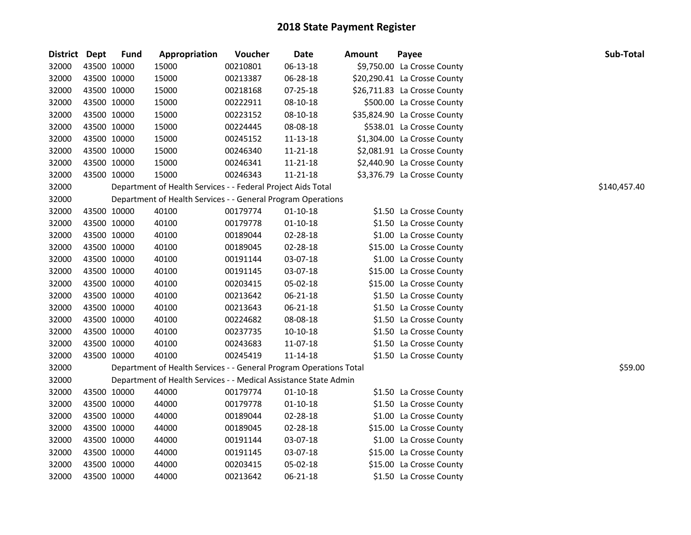| District Dept |             | <b>Fund</b> | Appropriation                                                      | Voucher  | <b>Date</b>    | <b>Amount</b> | Payee                        | Sub-Total    |
|---------------|-------------|-------------|--------------------------------------------------------------------|----------|----------------|---------------|------------------------------|--------------|
| 32000         | 43500 10000 |             | 15000                                                              | 00210801 | 06-13-18       |               | \$9,750.00 La Crosse County  |              |
| 32000         | 43500 10000 |             | 15000                                                              | 00213387 | 06-28-18       |               | \$20,290.41 La Crosse County |              |
| 32000         | 43500 10000 |             | 15000                                                              | 00218168 | 07-25-18       |               | \$26,711.83 La Crosse County |              |
| 32000         | 43500 10000 |             | 15000                                                              | 00222911 | 08-10-18       |               | \$500.00 La Crosse County    |              |
| 32000         | 43500 10000 |             | 15000                                                              | 00223152 | 08-10-18       |               | \$35,824.90 La Crosse County |              |
| 32000         | 43500 10000 |             | 15000                                                              | 00224445 | 08-08-18       |               | \$538.01 La Crosse County    |              |
| 32000         | 43500 10000 |             | 15000                                                              | 00245152 | 11-13-18       |               | \$1,304.00 La Crosse County  |              |
| 32000         | 43500 10000 |             | 15000                                                              | 00246340 | 11-21-18       |               | \$2,081.91 La Crosse County  |              |
| 32000         | 43500 10000 |             | 15000                                                              | 00246341 | 11-21-18       |               | \$2,440.90 La Crosse County  |              |
| 32000         | 43500 10000 |             | 15000                                                              | 00246343 | 11-21-18       |               | \$3,376.79 La Crosse County  |              |
| 32000         |             |             | Department of Health Services - - Federal Project Aids Total       |          |                |               |                              | \$140,457.40 |
| 32000         |             |             | Department of Health Services - - General Program Operations       |          |                |               |                              |              |
| 32000         | 43500 10000 |             | 40100                                                              | 00179774 | $01-10-18$     |               | \$1.50 La Crosse County      |              |
| 32000         | 43500 10000 |             | 40100                                                              | 00179778 | $01 - 10 - 18$ |               | \$1.50 La Crosse County      |              |
| 32000         | 43500 10000 |             | 40100                                                              | 00189044 | 02-28-18       |               | \$1.00 La Crosse County      |              |
| 32000         | 43500 10000 |             | 40100                                                              | 00189045 | 02-28-18       |               | \$15.00 La Crosse County     |              |
| 32000         | 43500 10000 |             | 40100                                                              | 00191144 | 03-07-18       |               | \$1.00 La Crosse County      |              |
| 32000         | 43500 10000 |             | 40100                                                              | 00191145 | 03-07-18       |               | \$15.00 La Crosse County     |              |
| 32000         | 43500 10000 |             | 40100                                                              | 00203415 | 05-02-18       |               | \$15.00 La Crosse County     |              |
| 32000         | 43500 10000 |             | 40100                                                              | 00213642 | 06-21-18       |               | \$1.50 La Crosse County      |              |
| 32000         | 43500 10000 |             | 40100                                                              | 00213643 | 06-21-18       |               | \$1.50 La Crosse County      |              |
| 32000         | 43500 10000 |             | 40100                                                              | 00224682 | 08-08-18       |               | \$1.50 La Crosse County      |              |
| 32000         | 43500 10000 |             | 40100                                                              | 00237735 | $10-10-18$     |               | \$1.50 La Crosse County      |              |
| 32000         | 43500 10000 |             | 40100                                                              | 00243683 | 11-07-18       |               | \$1.50 La Crosse County      |              |
| 32000         | 43500 10000 |             | 40100                                                              | 00245419 | 11-14-18       |               | \$1.50 La Crosse County      |              |
| 32000         |             |             | Department of Health Services - - General Program Operations Total |          |                |               |                              | \$59.00      |
| 32000         |             |             | Department of Health Services - - Medical Assistance State Admin   |          |                |               |                              |              |
| 32000         | 43500 10000 |             | 44000                                                              | 00179774 | $01 - 10 - 18$ |               | \$1.50 La Crosse County      |              |
| 32000         | 43500 10000 |             | 44000                                                              | 00179778 | $01 - 10 - 18$ |               | \$1.50 La Crosse County      |              |
| 32000         | 43500 10000 |             | 44000                                                              | 00189044 | 02-28-18       |               | \$1.00 La Crosse County      |              |
| 32000         | 43500 10000 |             | 44000                                                              | 00189045 | 02-28-18       |               | \$15.00 La Crosse County     |              |
| 32000         | 43500 10000 |             | 44000                                                              | 00191144 | 03-07-18       |               | \$1.00 La Crosse County      |              |
| 32000         | 43500 10000 |             | 44000                                                              | 00191145 | 03-07-18       |               | \$15.00 La Crosse County     |              |
| 32000         | 43500 10000 |             | 44000                                                              | 00203415 | 05-02-18       |               | \$15.00 La Crosse County     |              |
| 32000         | 43500 10000 |             | 44000                                                              | 00213642 | 06-21-18       |               | \$1.50 La Crosse County      |              |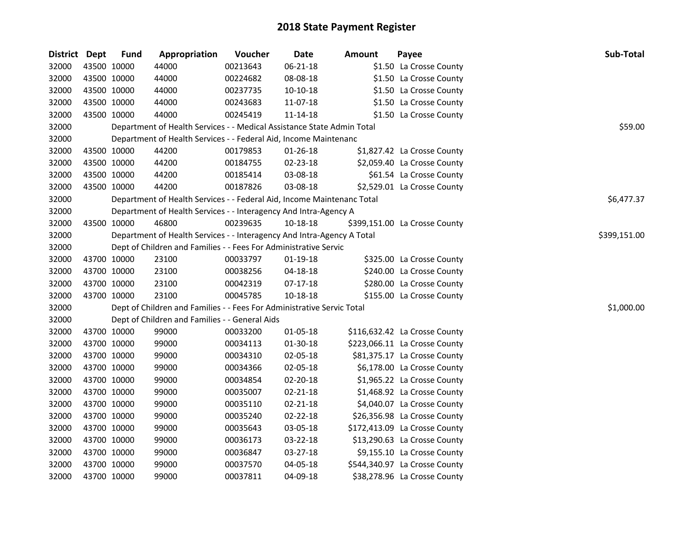| District Dept |             | <b>Fund</b> | Appropriation                                                          | Voucher  | <b>Date</b>    | <b>Amount</b> | Payee                         | Sub-Total    |
|---------------|-------------|-------------|------------------------------------------------------------------------|----------|----------------|---------------|-------------------------------|--------------|
| 32000         |             | 43500 10000 | 44000                                                                  | 00213643 | 06-21-18       |               | \$1.50 La Crosse County       |              |
| 32000         |             | 43500 10000 | 44000                                                                  | 00224682 | 08-08-18       |               | \$1.50 La Crosse County       |              |
| 32000         |             | 43500 10000 | 44000                                                                  | 00237735 | $10-10-18$     |               | \$1.50 La Crosse County       |              |
| 32000         | 43500 10000 |             | 44000                                                                  | 00243683 | 11-07-18       |               | \$1.50 La Crosse County       |              |
| 32000         |             | 43500 10000 | 44000                                                                  | 00245419 | 11-14-18       |               | \$1.50 La Crosse County       |              |
| 32000         |             |             | Department of Health Services - - Medical Assistance State Admin Total |          |                |               |                               | \$59.00      |
| 32000         |             |             | Department of Health Services - - Federal Aid, Income Maintenanc       |          |                |               |                               |              |
| 32000         |             | 43500 10000 | 44200                                                                  | 00179853 | 01-26-18       |               | \$1,827.42 La Crosse County   |              |
| 32000         | 43500 10000 |             | 44200                                                                  | 00184755 | 02-23-18       |               | \$2,059.40 La Crosse County   |              |
| 32000         | 43500 10000 |             | 44200                                                                  | 00185414 | 03-08-18       |               | \$61.54 La Crosse County      |              |
| 32000         |             | 43500 10000 | 44200                                                                  | 00187826 | 03-08-18       |               | \$2,529.01 La Crosse County   |              |
| 32000         |             |             | Department of Health Services - - Federal Aid, Income Maintenanc Total |          |                |               |                               | \$6,477.37   |
| 32000         |             |             | Department of Health Services - - Interagency And Intra-Agency A       |          |                |               |                               |              |
| 32000         |             | 43500 10000 | 46800                                                                  | 00239635 | 10-18-18       |               | \$399,151.00 La Crosse County |              |
| 32000         |             |             | Department of Health Services - - Interagency And Intra-Agency A Total |          |                |               |                               | \$399,151.00 |
| 32000         |             |             | Dept of Children and Families - - Fees For Administrative Servic       |          |                |               |                               |              |
| 32000         |             | 43700 10000 | 23100                                                                  | 00033797 | $01-19-18$     |               | \$325.00 La Crosse County     |              |
| 32000         |             | 43700 10000 | 23100                                                                  | 00038256 | $04 - 18 - 18$ |               | \$240.00 La Crosse County     |              |
| 32000         |             | 43700 10000 | 23100                                                                  | 00042319 | 07-17-18       |               | \$280.00 La Crosse County     |              |
| 32000         |             | 43700 10000 | 23100                                                                  | 00045785 | $10 - 18 - 18$ |               | \$155.00 La Crosse County     |              |
| 32000         |             |             | Dept of Children and Families - - Fees For Administrative Servic Total |          |                |               |                               | \$1,000.00   |
| 32000         |             |             | Dept of Children and Families - - General Aids                         |          |                |               |                               |              |
| 32000         | 43700 10000 |             | 99000                                                                  | 00033200 | 01-05-18       |               | \$116,632.42 La Crosse County |              |
| 32000         | 43700 10000 |             | 99000                                                                  | 00034113 | 01-30-18       |               | \$223,066.11 La Crosse County |              |
| 32000         | 43700 10000 |             | 99000                                                                  | 00034310 | 02-05-18       |               | \$81,375.17 La Crosse County  |              |
| 32000         |             | 43700 10000 | 99000                                                                  | 00034366 | 02-05-18       |               | \$6,178.00 La Crosse County   |              |
| 32000         |             | 43700 10000 | 99000                                                                  | 00034854 | 02-20-18       |               | \$1,965.22 La Crosse County   |              |
| 32000         |             | 43700 10000 | 99000                                                                  | 00035007 | $02 - 21 - 18$ |               | \$1,468.92 La Crosse County   |              |
| 32000         |             | 43700 10000 | 99000                                                                  | 00035110 | 02-21-18       |               | \$4,040.07 La Crosse County   |              |
| 32000         |             | 43700 10000 | 99000                                                                  | 00035240 | 02-22-18       |               | \$26,356.98 La Crosse County  |              |
| 32000         |             | 43700 10000 | 99000                                                                  | 00035643 | 03-05-18       |               | \$172,413.09 La Crosse County |              |
| 32000         |             | 43700 10000 | 99000                                                                  | 00036173 | 03-22-18       |               | \$13,290.63 La Crosse County  |              |
| 32000         |             | 43700 10000 | 99000                                                                  | 00036847 | 03-27-18       |               | \$9,155.10 La Crosse County   |              |
| 32000         |             | 43700 10000 | 99000                                                                  | 00037570 | 04-05-18       |               | \$544,340.97 La Crosse County |              |
| 32000         |             | 43700 10000 | 99000                                                                  | 00037811 | 04-09-18       |               | \$38,278.96 La Crosse County  |              |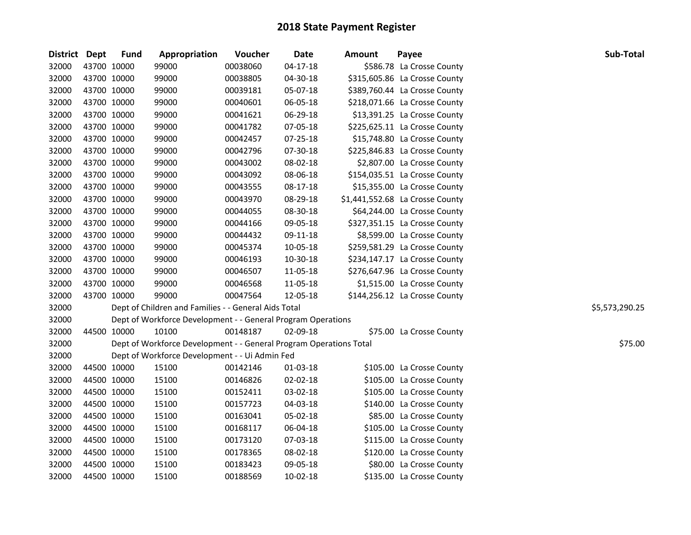| District Dept |             | <b>Fund</b> | Appropriation                                                      | Voucher  | Date     | Amount | Payee                           | Sub-Total      |
|---------------|-------------|-------------|--------------------------------------------------------------------|----------|----------|--------|---------------------------------|----------------|
| 32000         | 43700 10000 |             | 99000                                                              | 00038060 | 04-17-18 |        | \$586.78 La Crosse County       |                |
| 32000         | 43700 10000 |             | 99000                                                              | 00038805 | 04-30-18 |        | \$315,605.86 La Crosse County   |                |
| 32000         | 43700 10000 |             | 99000                                                              | 00039181 | 05-07-18 |        | \$389,760.44 La Crosse County   |                |
| 32000         | 43700 10000 |             | 99000                                                              | 00040601 | 06-05-18 |        | \$218,071.66 La Crosse County   |                |
| 32000         | 43700 10000 |             | 99000                                                              | 00041621 | 06-29-18 |        | \$13,391.25 La Crosse County    |                |
| 32000         | 43700 10000 |             | 99000                                                              | 00041782 | 07-05-18 |        | \$225,625.11 La Crosse County   |                |
| 32000         | 43700 10000 |             | 99000                                                              | 00042457 | 07-25-18 |        | \$15,748.80 La Crosse County    |                |
| 32000         | 43700 10000 |             | 99000                                                              | 00042796 | 07-30-18 |        | \$225,846.83 La Crosse County   |                |
| 32000         | 43700 10000 |             | 99000                                                              | 00043002 | 08-02-18 |        | \$2,807.00 La Crosse County     |                |
| 32000         | 43700 10000 |             | 99000                                                              | 00043092 | 08-06-18 |        | \$154,035.51 La Crosse County   |                |
| 32000         | 43700 10000 |             | 99000                                                              | 00043555 | 08-17-18 |        | \$15,355.00 La Crosse County    |                |
| 32000         | 43700 10000 |             | 99000                                                              | 00043970 | 08-29-18 |        | \$1,441,552.68 La Crosse County |                |
| 32000         | 43700 10000 |             | 99000                                                              | 00044055 | 08-30-18 |        | \$64,244.00 La Crosse County    |                |
| 32000         | 43700 10000 |             | 99000                                                              | 00044166 | 09-05-18 |        | \$327,351.15 La Crosse County   |                |
| 32000         | 43700 10000 |             | 99000                                                              | 00044432 | 09-11-18 |        | \$8,599.00 La Crosse County     |                |
| 32000         | 43700 10000 |             | 99000                                                              | 00045374 | 10-05-18 |        | \$259,581.29 La Crosse County   |                |
| 32000         | 43700 10000 |             | 99000                                                              | 00046193 | 10-30-18 |        | \$234,147.17 La Crosse County   |                |
| 32000         | 43700 10000 |             | 99000                                                              | 00046507 | 11-05-18 |        | \$276,647.96 La Crosse County   |                |
| 32000         | 43700 10000 |             | 99000                                                              | 00046568 | 11-05-18 |        | \$1,515.00 La Crosse County     |                |
| 32000         |             | 43700 10000 | 99000                                                              | 00047564 | 12-05-18 |        | \$144,256.12 La Crosse County   |                |
| 32000         |             |             | Dept of Children and Families - - General Aids Total               |          |          |        |                                 | \$5,573,290.25 |
| 32000         |             |             | Dept of Workforce Development - - General Program Operations       |          |          |        |                                 |                |
| 32000         | 44500 10000 |             | 10100                                                              | 00148187 | 02-09-18 |        | \$75.00 La Crosse County        |                |
| 32000         |             |             | Dept of Workforce Development - - General Program Operations Total |          |          |        |                                 | \$75.00        |
| 32000         |             |             | Dept of Workforce Development - - Ui Admin Fed                     |          |          |        |                                 |                |
| 32000         | 44500 10000 |             | 15100                                                              | 00142146 | 01-03-18 |        | \$105.00 La Crosse County       |                |
| 32000         | 44500 10000 |             | 15100                                                              | 00146826 | 02-02-18 |        | \$105.00 La Crosse County       |                |
| 32000         | 44500 10000 |             | 15100                                                              | 00152411 | 03-02-18 |        | \$105.00 La Crosse County       |                |
| 32000         | 44500 10000 |             | 15100                                                              | 00157723 | 04-03-18 |        | \$140.00 La Crosse County       |                |
| 32000         | 44500 10000 |             | 15100                                                              | 00163041 | 05-02-18 |        | \$85.00 La Crosse County        |                |
| 32000         | 44500 10000 |             | 15100                                                              | 00168117 | 06-04-18 |        | \$105.00 La Crosse County       |                |
| 32000         | 44500 10000 |             | 15100                                                              | 00173120 | 07-03-18 |        | \$115.00 La Crosse County       |                |
| 32000         | 44500 10000 |             | 15100                                                              | 00178365 | 08-02-18 |        | \$120.00 La Crosse County       |                |
| 32000         |             | 44500 10000 | 15100                                                              | 00183423 | 09-05-18 |        | \$80.00 La Crosse County        |                |
| 32000         | 44500 10000 |             | 15100                                                              | 00188569 | 10-02-18 |        | \$135.00 La Crosse County       |                |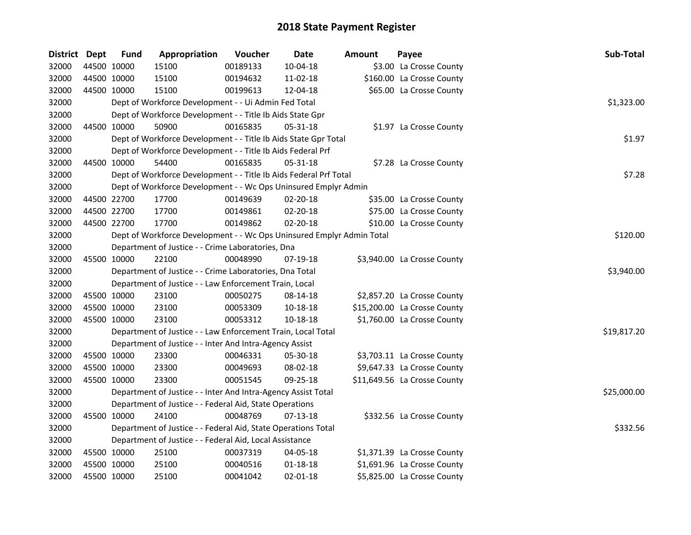| District Dept |             | <b>Fund</b> | Appropriation                                                         | Voucher  | <b>Date</b>    | Amount | Payee                        | Sub-Total   |
|---------------|-------------|-------------|-----------------------------------------------------------------------|----------|----------------|--------|------------------------------|-------------|
| 32000         | 44500 10000 |             | 15100                                                                 | 00189133 | 10-04-18       |        | \$3.00 La Crosse County      |             |
| 32000         | 44500 10000 |             | 15100                                                                 | 00194632 | 11-02-18       |        | \$160.00 La Crosse County    |             |
| 32000         | 44500 10000 |             | 15100                                                                 | 00199613 | 12-04-18       |        | \$65.00 La Crosse County     |             |
| 32000         |             |             | Dept of Workforce Development - - Ui Admin Fed Total                  |          |                |        |                              | \$1,323.00  |
| 32000         |             |             | Dept of Workforce Development - - Title Ib Aids State Gpr             |          |                |        |                              |             |
| 32000         | 44500 10000 |             | 50900                                                                 | 00165835 | 05-31-18       |        | \$1.97 La Crosse County      |             |
| 32000         |             |             | Dept of Workforce Development - - Title Ib Aids State Gpr Total       |          |                |        |                              | \$1.97      |
| 32000         |             |             | Dept of Workforce Development - - Title Ib Aids Federal Prf           |          |                |        |                              |             |
| 32000         | 44500 10000 |             | 54400                                                                 | 00165835 | 05-31-18       |        | \$7.28 La Crosse County      |             |
| 32000         |             |             | Dept of Workforce Development - - Title Ib Aids Federal Prf Total     |          |                |        |                              | \$7.28      |
| 32000         |             |             | Dept of Workforce Development - - Wc Ops Uninsured Emplyr Admin       |          |                |        |                              |             |
| 32000         | 44500 22700 |             | 17700                                                                 | 00149639 | 02-20-18       |        | \$35.00 La Crosse County     |             |
| 32000         | 44500 22700 |             | 17700                                                                 | 00149861 | 02-20-18       |        | \$75.00 La Crosse County     |             |
| 32000         | 44500 22700 |             | 17700                                                                 | 00149862 | 02-20-18       |        | \$10.00 La Crosse County     |             |
| 32000         |             |             | Dept of Workforce Development - - Wc Ops Uninsured Emplyr Admin Total |          |                |        |                              | \$120.00    |
| 32000         |             |             | Department of Justice - - Crime Laboratories, Dna                     |          |                |        |                              |             |
| 32000         | 45500 10000 |             | 22100                                                                 | 00048990 | 07-19-18       |        | \$3,940.00 La Crosse County  |             |
| 32000         |             |             | Department of Justice - - Crime Laboratories, Dna Total               |          |                |        |                              | \$3,940.00  |
| 32000         |             |             | Department of Justice - - Law Enforcement Train, Local                |          |                |        |                              |             |
| 32000         | 45500 10000 |             | 23100                                                                 | 00050275 | 08-14-18       |        | \$2,857.20 La Crosse County  |             |
| 32000         | 45500 10000 |             | 23100                                                                 | 00053309 | 10-18-18       |        | \$15,200.00 La Crosse County |             |
| 32000         | 45500 10000 |             | 23100                                                                 | 00053312 | $10 - 18 - 18$ |        | \$1,760.00 La Crosse County  |             |
| 32000         |             |             | Department of Justice - - Law Enforcement Train, Local Total          |          |                |        |                              | \$19,817.20 |
| 32000         |             |             | Department of Justice - - Inter And Intra-Agency Assist               |          |                |        |                              |             |
| 32000         | 45500 10000 |             | 23300                                                                 | 00046331 | 05-30-18       |        | \$3,703.11 La Crosse County  |             |
| 32000         | 45500 10000 |             | 23300                                                                 | 00049693 | 08-02-18       |        | \$9,647.33 La Crosse County  |             |
| 32000         | 45500 10000 |             | 23300                                                                 | 00051545 | 09-25-18       |        | \$11,649.56 La Crosse County |             |
| 32000         |             |             | Department of Justice - - Inter And Intra-Agency Assist Total         |          |                |        |                              | \$25,000.00 |
| 32000         |             |             | Department of Justice - - Federal Aid, State Operations               |          |                |        |                              |             |
| 32000         | 45500 10000 |             | 24100                                                                 | 00048769 | 07-13-18       |        | \$332.56 La Crosse County    |             |
| 32000         |             |             | Department of Justice - - Federal Aid, State Operations Total         |          |                |        |                              | \$332.56    |
| 32000         |             |             | Department of Justice - - Federal Aid, Local Assistance               |          |                |        |                              |             |
| 32000         | 45500 10000 |             | 25100                                                                 | 00037319 | 04-05-18       |        | \$1,371.39 La Crosse County  |             |
| 32000         | 45500 10000 |             | 25100                                                                 | 00040516 | $01 - 18 - 18$ |        | \$1,691.96 La Crosse County  |             |
| 32000         | 45500 10000 |             | 25100                                                                 | 00041042 | $02 - 01 - 18$ |        | \$5,825.00 La Crosse County  |             |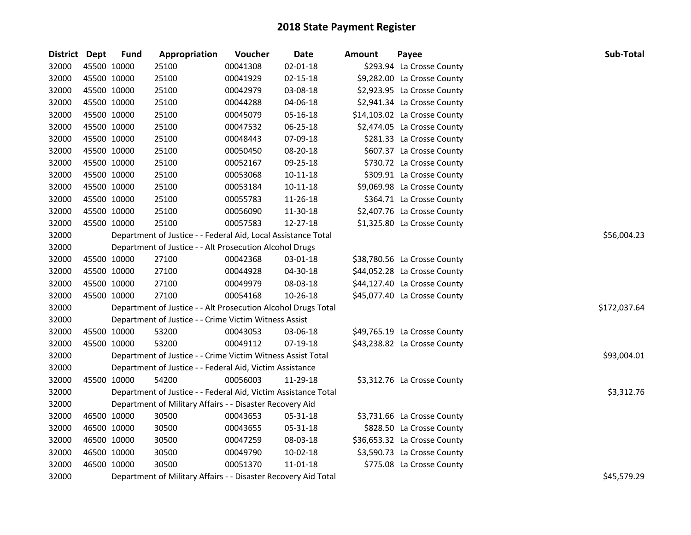| <b>District</b> | Dept        | <b>Fund</b> | Appropriation                                                  | Voucher  | <b>Date</b>    | Amount | Payee                        | Sub-Total    |
|-----------------|-------------|-------------|----------------------------------------------------------------|----------|----------------|--------|------------------------------|--------------|
| 32000           | 45500 10000 |             | 25100                                                          | 00041308 | $02 - 01 - 18$ |        | \$293.94 La Crosse County    |              |
| 32000           | 45500 10000 |             | 25100                                                          | 00041929 | 02-15-18       |        | \$9,282.00 La Crosse County  |              |
| 32000           | 45500 10000 |             | 25100                                                          | 00042979 | 03-08-18       |        | \$2,923.95 La Crosse County  |              |
| 32000           | 45500 10000 |             | 25100                                                          | 00044288 | 04-06-18       |        | \$2,941.34 La Crosse County  |              |
| 32000           | 45500 10000 |             | 25100                                                          | 00045079 | 05-16-18       |        | \$14,103.02 La Crosse County |              |
| 32000           | 45500 10000 |             | 25100                                                          | 00047532 | 06-25-18       |        | \$2,474.05 La Crosse County  |              |
| 32000           | 45500 10000 |             | 25100                                                          | 00048443 | 07-09-18       |        | \$281.33 La Crosse County    |              |
| 32000           | 45500 10000 |             | 25100                                                          | 00050450 | 08-20-18       |        | \$607.37 La Crosse County    |              |
| 32000           | 45500 10000 |             | 25100                                                          | 00052167 | 09-25-18       |        | \$730.72 La Crosse County    |              |
| 32000           | 45500 10000 |             | 25100                                                          | 00053068 | $10 - 11 - 18$ |        | \$309.91 La Crosse County    |              |
| 32000           | 45500 10000 |             | 25100                                                          | 00053184 | 10-11-18       |        | \$9,069.98 La Crosse County  |              |
| 32000           | 45500 10000 |             | 25100                                                          | 00055783 | 11-26-18       |        | \$364.71 La Crosse County    |              |
| 32000           | 45500 10000 |             | 25100                                                          | 00056090 | 11-30-18       |        | \$2,407.76 La Crosse County  |              |
| 32000           | 45500 10000 |             | 25100                                                          | 00057583 | 12-27-18       |        | \$1,325.80 La Crosse County  |              |
| 32000           |             |             | Department of Justice - - Federal Aid, Local Assistance Total  |          |                |        |                              | \$56,004.23  |
| 32000           |             |             | Department of Justice - - Alt Prosecution Alcohol Drugs        |          |                |        |                              |              |
| 32000           | 45500 10000 |             | 27100                                                          | 00042368 | 03-01-18       |        | \$38,780.56 La Crosse County |              |
| 32000           | 45500 10000 |             | 27100                                                          | 00044928 | 04-30-18       |        | \$44,052.28 La Crosse County |              |
| 32000           | 45500 10000 |             | 27100                                                          | 00049979 | 08-03-18       |        | \$44,127.40 La Crosse County |              |
| 32000           | 45500 10000 |             | 27100                                                          | 00054168 | 10-26-18       |        | \$45,077.40 La Crosse County |              |
| 32000           |             |             | Department of Justice - - Alt Prosecution Alcohol Drugs Total  |          |                |        |                              | \$172,037.64 |
| 32000           |             |             | Department of Justice - - Crime Victim Witness Assist          |          |                |        |                              |              |
| 32000           | 45500 10000 |             | 53200                                                          | 00043053 | 03-06-18       |        | \$49,765.19 La Crosse County |              |
| 32000           | 45500 10000 |             | 53200                                                          | 00049112 | 07-19-18       |        | \$43,238.82 La Crosse County |              |
| 32000           |             |             | Department of Justice - - Crime Victim Witness Assist Total    |          |                |        |                              | \$93,004.01  |
| 32000           |             |             | Department of Justice - - Federal Aid, Victim Assistance       |          |                |        |                              |              |
| 32000           | 45500 10000 |             | 54200                                                          | 00056003 | 11-29-18       |        | \$3,312.76 La Crosse County  |              |
| 32000           |             |             | Department of Justice - - Federal Aid, Victim Assistance Total |          |                |        |                              | \$3,312.76   |
| 32000           |             |             | Department of Military Affairs - - Disaster Recovery Aid       |          |                |        |                              |              |
| 32000           | 46500 10000 |             | 30500                                                          | 00043653 | 05-31-18       |        | \$3,731.66 La Crosse County  |              |
| 32000           | 46500 10000 |             | 30500                                                          | 00043655 | 05-31-18       |        | \$828.50 La Crosse County    |              |
| 32000           | 46500 10000 |             | 30500                                                          | 00047259 | 08-03-18       |        | \$36,653.32 La Crosse County |              |
| 32000           | 46500 10000 |             | 30500                                                          | 00049790 | 10-02-18       |        | \$3,590.73 La Crosse County  |              |
| 32000           | 46500 10000 |             | 30500                                                          | 00051370 | 11-01-18       |        | \$775.08 La Crosse County    |              |
| 32000           |             |             | Department of Military Affairs - - Disaster Recovery Aid Total |          |                |        |                              | \$45,579.29  |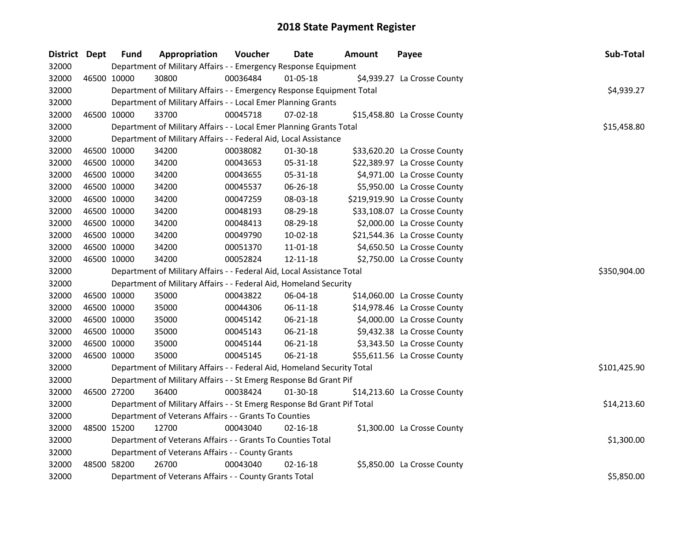| District Dept |             | <b>Fund</b> | Appropriation                                                           | Voucher  | <b>Date</b>    | Amount | Payee                         | Sub-Total    |
|---------------|-------------|-------------|-------------------------------------------------------------------------|----------|----------------|--------|-------------------------------|--------------|
| 32000         |             |             | Department of Military Affairs - - Emergency Response Equipment         |          |                |        |                               |              |
| 32000         | 46500 10000 |             | 30800                                                                   | 00036484 | $01 - 05 - 18$ |        | \$4,939.27 La Crosse County   |              |
| 32000         |             |             | Department of Military Affairs - - Emergency Response Equipment Total   |          |                |        |                               | \$4,939.27   |
| 32000         |             |             | Department of Military Affairs - - Local Emer Planning Grants           |          |                |        |                               |              |
| 32000         | 46500 10000 |             | 33700                                                                   | 00045718 | $07 - 02 - 18$ |        | \$15,458.80 La Crosse County  |              |
| 32000         |             |             | Department of Military Affairs - - Local Emer Planning Grants Total     |          |                |        |                               | \$15,458.80  |
| 32000         |             |             | Department of Military Affairs - - Federal Aid, Local Assistance        |          |                |        |                               |              |
| 32000         |             | 46500 10000 | 34200                                                                   | 00038082 | 01-30-18       |        | \$33,620.20 La Crosse County  |              |
| 32000         | 46500 10000 |             | 34200                                                                   | 00043653 | 05-31-18       |        | \$22,389.97 La Crosse County  |              |
| 32000         | 46500 10000 |             | 34200                                                                   | 00043655 | 05-31-18       |        | \$4,971.00 La Crosse County   |              |
| 32000         | 46500 10000 |             | 34200                                                                   | 00045537 | 06-26-18       |        | \$5,950.00 La Crosse County   |              |
| 32000         | 46500 10000 |             | 34200                                                                   | 00047259 | 08-03-18       |        | \$219,919.90 La Crosse County |              |
| 32000         | 46500 10000 |             | 34200                                                                   | 00048193 | 08-29-18       |        | \$33,108.07 La Crosse County  |              |
| 32000         | 46500 10000 |             | 34200                                                                   | 00048413 | 08-29-18       |        | \$2,000.00 La Crosse County   |              |
| 32000         | 46500 10000 |             | 34200                                                                   | 00049790 | 10-02-18       |        | \$21,544.36 La Crosse County  |              |
| 32000         | 46500 10000 |             | 34200                                                                   | 00051370 | 11-01-18       |        | \$4,650.50 La Crosse County   |              |
| 32000         | 46500 10000 |             | 34200                                                                   | 00052824 | 12-11-18       |        | \$2,750.00 La Crosse County   |              |
| 32000         |             |             | Department of Military Affairs - - Federal Aid, Local Assistance Total  |          |                |        |                               | \$350,904.00 |
| 32000         |             |             | Department of Military Affairs - - Federal Aid, Homeland Security       |          |                |        |                               |              |
| 32000         | 46500 10000 |             | 35000                                                                   | 00043822 | 06-04-18       |        | \$14,060.00 La Crosse County  |              |
| 32000         | 46500 10000 |             | 35000                                                                   | 00044306 | $06 - 11 - 18$ |        | \$14,978.46 La Crosse County  |              |
| 32000         | 46500 10000 |             | 35000                                                                   | 00045142 | 06-21-18       |        | \$4,000.00 La Crosse County   |              |
| 32000         | 46500 10000 |             | 35000                                                                   | 00045143 | 06-21-18       |        | \$9,432.38 La Crosse County   |              |
| 32000         | 46500 10000 |             | 35000                                                                   | 00045144 | 06-21-18       |        | \$3,343.50 La Crosse County   |              |
| 32000         | 46500 10000 |             | 35000                                                                   | 00045145 | 06-21-18       |        | \$55,611.56 La Crosse County  |              |
| 32000         |             |             | Department of Military Affairs - - Federal Aid, Homeland Security Total |          |                |        |                               | \$101,425.90 |
| 32000         |             |             | Department of Military Affairs - - St Emerg Response Bd Grant Pif       |          |                |        |                               |              |
| 32000         | 46500 27200 |             | 36400                                                                   | 00038424 | 01-30-18       |        | \$14,213.60 La Crosse County  |              |
| 32000         |             |             | Department of Military Affairs - - St Emerg Response Bd Grant Pif Total |          |                |        |                               | \$14,213.60  |
| 32000         |             |             | Department of Veterans Affairs - - Grants To Counties                   |          |                |        |                               |              |
| 32000         | 48500 15200 |             | 12700                                                                   | 00043040 | $02 - 16 - 18$ |        | \$1,300.00 La Crosse County   |              |
| 32000         |             |             | Department of Veterans Affairs - - Grants To Counties Total             |          |                |        |                               | \$1,300.00   |
| 32000         |             |             | Department of Veterans Affairs - - County Grants                        |          |                |        |                               |              |
| 32000         | 48500 58200 |             | 26700                                                                   | 00043040 | $02 - 16 - 18$ |        | \$5,850.00 La Crosse County   |              |
| 32000         |             |             | Department of Veterans Affairs - - County Grants Total                  |          |                |        |                               | \$5,850.00   |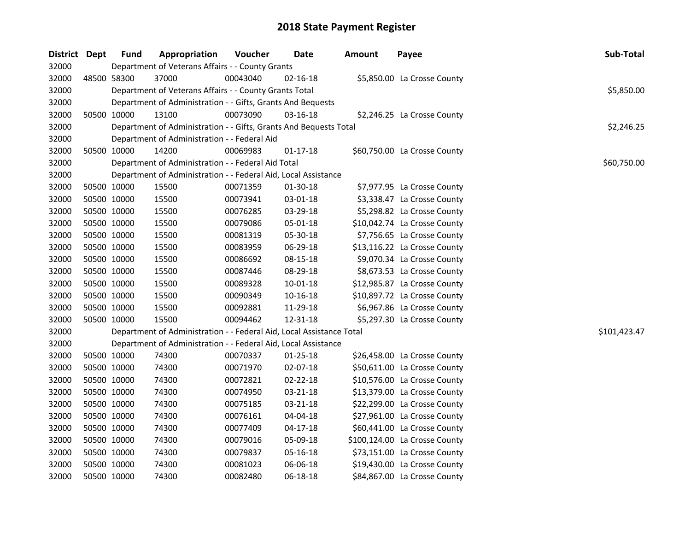| District Dept | <b>Fund</b> | Appropriation                                                        | Voucher  | Date           | <b>Amount</b> | Payee                         | Sub-Total    |
|---------------|-------------|----------------------------------------------------------------------|----------|----------------|---------------|-------------------------------|--------------|
| 32000         |             | Department of Veterans Affairs - - County Grants                     |          |                |               |                               |              |
| 32000         | 48500 58300 | 37000                                                                | 00043040 | $02 - 16 - 18$ |               | \$5,850.00 La Crosse County   |              |
| 32000         |             | Department of Veterans Affairs - - County Grants Total               |          |                |               |                               | \$5,850.00   |
| 32000         |             | Department of Administration - - Gifts, Grants And Bequests          |          |                |               |                               |              |
| 32000         | 50500 10000 | 13100                                                                | 00073090 | 03-16-18       |               | \$2,246.25 La Crosse County   |              |
| 32000         |             | Department of Administration - - Gifts, Grants And Bequests Total    |          |                |               |                               | \$2,246.25   |
| 32000         |             | Department of Administration - - Federal Aid                         |          |                |               |                               |              |
| 32000         | 50500 10000 | 14200                                                                | 00069983 | $01 - 17 - 18$ |               | \$60,750.00 La Crosse County  |              |
| 32000         |             | Department of Administration - - Federal Aid Total                   |          |                |               |                               | \$60,750.00  |
| 32000         |             | Department of Administration - - Federal Aid, Local Assistance       |          |                |               |                               |              |
| 32000         | 50500 10000 | 15500                                                                | 00071359 | 01-30-18       |               | \$7,977.95 La Crosse County   |              |
| 32000         | 50500 10000 | 15500                                                                | 00073941 | 03-01-18       |               | \$3,338.47 La Crosse County   |              |
| 32000         | 50500 10000 | 15500                                                                | 00076285 | 03-29-18       |               | \$5,298.82 La Crosse County   |              |
| 32000         | 50500 10000 | 15500                                                                | 00079086 | 05-01-18       |               | \$10,042.74 La Crosse County  |              |
| 32000         | 50500 10000 | 15500                                                                | 00081319 | 05-30-18       |               | \$7,756.65 La Crosse County   |              |
| 32000         | 50500 10000 | 15500                                                                | 00083959 | 06-29-18       |               | \$13,116.22 La Crosse County  |              |
| 32000         | 50500 10000 | 15500                                                                | 00086692 | 08-15-18       |               | \$9,070.34 La Crosse County   |              |
| 32000         | 50500 10000 | 15500                                                                | 00087446 | 08-29-18       |               | \$8,673.53 La Crosse County   |              |
| 32000         | 50500 10000 | 15500                                                                | 00089328 | $10 - 01 - 18$ |               | \$12,985.87 La Crosse County  |              |
| 32000         | 50500 10000 | 15500                                                                | 00090349 | $10 - 16 - 18$ |               | \$10,897.72 La Crosse County  |              |
| 32000         | 50500 10000 | 15500                                                                | 00092881 | 11-29-18       |               | \$6,967.86 La Crosse County   |              |
| 32000         | 50500 10000 | 15500                                                                | 00094462 | 12-31-18       |               | \$5,297.30 La Crosse County   |              |
| 32000         |             | Department of Administration - - Federal Aid, Local Assistance Total |          |                |               |                               | \$101,423.47 |
| 32000         |             | Department of Administration - - Federal Aid, Local Assistance       |          |                |               |                               |              |
| 32000         | 50500 10000 | 74300                                                                | 00070337 | $01 - 25 - 18$ |               | \$26,458.00 La Crosse County  |              |
| 32000         | 50500 10000 | 74300                                                                | 00071970 | 02-07-18       |               | \$50,611.00 La Crosse County  |              |
| 32000         | 50500 10000 | 74300                                                                | 00072821 | 02-22-18       |               | \$10,576.00 La Crosse County  |              |
| 32000         | 50500 10000 | 74300                                                                | 00074950 | 03-21-18       |               | \$13,379.00 La Crosse County  |              |
| 32000         | 50500 10000 | 74300                                                                | 00075185 | 03-21-18       |               | \$22,299.00 La Crosse County  |              |
| 32000         | 50500 10000 | 74300                                                                | 00076161 | 04-04-18       |               | \$27,961.00 La Crosse County  |              |
| 32000         | 50500 10000 | 74300                                                                | 00077409 | 04-17-18       |               | \$60,441.00 La Crosse County  |              |
| 32000         | 50500 10000 | 74300                                                                | 00079016 | 05-09-18       |               | \$100,124.00 La Crosse County |              |
| 32000         | 50500 10000 | 74300                                                                | 00079837 | 05-16-18       |               | \$73,151.00 La Crosse County  |              |
| 32000         | 50500 10000 | 74300                                                                | 00081023 | 06-06-18       |               | \$19,430.00 La Crosse County  |              |
| 32000         | 50500 10000 | 74300                                                                | 00082480 | 06-18-18       |               | \$84,867.00 La Crosse County  |              |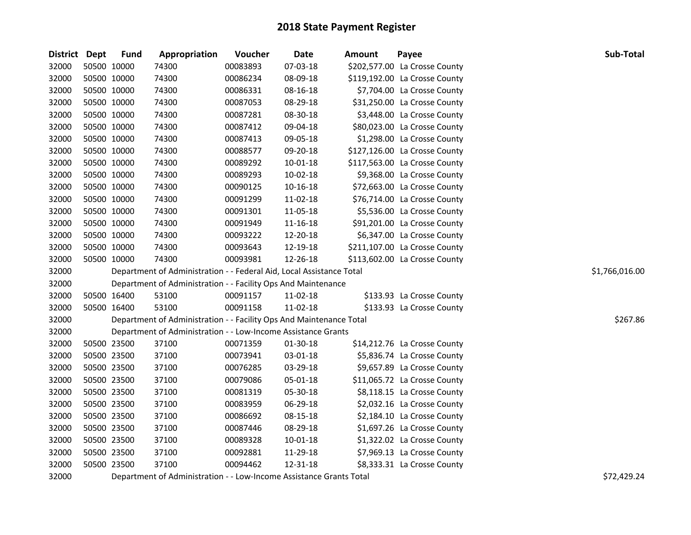| District Dept |             | <b>Fund</b> | Appropriation                                                        | Voucher  | Date           | Amount                                                   | Payee                         | Sub-Total      |
|---------------|-------------|-------------|----------------------------------------------------------------------|----------|----------------|----------------------------------------------------------|-------------------------------|----------------|
| 32000         | 50500 10000 |             | 74300                                                                | 00083893 | 07-03-18       |                                                          | \$202,577.00 La Crosse County |                |
| 32000         | 50500 10000 |             | 74300                                                                | 00086234 | 08-09-18       |                                                          | \$119,192.00 La Crosse County |                |
| 32000         | 50500 10000 |             | 74300                                                                | 00086331 | 08-16-18       |                                                          | \$7,704.00 La Crosse County   |                |
| 32000         | 50500 10000 |             | 74300                                                                | 00087053 | 08-29-18       |                                                          | \$31,250.00 La Crosse County  |                |
| 32000         | 50500 10000 |             | 74300                                                                | 00087281 | 08-30-18       |                                                          | \$3,448.00 La Crosse County   |                |
| 32000         | 50500 10000 |             | 74300                                                                | 00087412 | 09-04-18       |                                                          | \$80,023.00 La Crosse County  |                |
| 32000         | 50500 10000 |             | 74300                                                                | 00087413 | 09-05-18       |                                                          | \$1,298.00 La Crosse County   |                |
| 32000         | 50500 10000 |             | 74300                                                                | 00088577 | 09-20-18       |                                                          | \$127,126.00 La Crosse County |                |
| 32000         | 50500 10000 |             | 74300                                                                | 00089292 | 10-01-18       |                                                          | \$117,563.00 La Crosse County |                |
| 32000         | 50500 10000 |             | 74300                                                                | 00089293 | 10-02-18       |                                                          | \$9,368.00 La Crosse County   |                |
| 32000         | 50500 10000 |             | 74300                                                                | 00090125 | 10-16-18       |                                                          | \$72,663.00 La Crosse County  |                |
| 32000         | 50500 10000 |             | 74300                                                                | 00091299 | $11 - 02 - 18$ |                                                          | \$76,714.00 La Crosse County  |                |
| 32000         | 50500 10000 |             | 74300                                                                | 00091301 | 11-05-18       |                                                          | \$5,536.00 La Crosse County   |                |
| 32000         | 50500 10000 |             | 74300                                                                | 00091949 | 11-16-18       |                                                          | \$91,201.00 La Crosse County  |                |
| 32000         | 50500 10000 |             | 74300                                                                | 00093222 | 12-20-18       |                                                          | \$6,347.00 La Crosse County   |                |
| 32000         | 50500 10000 |             | 74300                                                                | 00093643 | 12-19-18       |                                                          | \$211,107.00 La Crosse County |                |
| 32000         | 50500 10000 |             | 74300                                                                | 00093981 | 12-26-18       |                                                          | \$113,602.00 La Crosse County |                |
| 32000         |             |             | Department of Administration - - Federal Aid, Local Assistance Total |          |                |                                                          |                               | \$1,766,016.00 |
| 32000         |             |             | Department of Administration - - Facility Ops And Maintenance        |          |                |                                                          |                               |                |
| 32000         | 50500 16400 |             | 53100                                                                | 00091157 | 11-02-18       |                                                          | \$133.93 La Crosse County     |                |
| 32000         | 50500 16400 |             | 53100                                                                | 00091158 | $11-02-18$     |                                                          | \$133.93 La Crosse County     |                |
| 32000         |             |             | Department of Administration - - Facility Ops And Maintenance Total  |          |                |                                                          |                               | \$267.86       |
| 32000         |             |             | Department of Administration - - Low-Income Assistance Grants        |          |                |                                                          |                               |                |
| 32000         | 50500 23500 |             | 37100                                                                | 00071359 | 01-30-18       |                                                          | \$14,212.76 La Crosse County  |                |
| 32000         | 50500 23500 |             | 37100                                                                | 00073941 | 03-01-18       |                                                          | \$5,836.74 La Crosse County   |                |
| 32000         | 50500 23500 |             | 37100                                                                | 00076285 | 03-29-18       |                                                          | \$9,657.89 La Crosse County   |                |
| 32000         | 50500 23500 |             | 37100                                                                | 00079086 | 05-01-18       |                                                          | \$11,065.72 La Crosse County  |                |
| 32000         | 50500 23500 |             | 37100                                                                | 00081319 | 05-30-18       |                                                          | \$8,118.15 La Crosse County   |                |
| 32000         | 50500 23500 |             | 37100                                                                | 00083959 | 06-29-18       |                                                          | \$2,032.16 La Crosse County   |                |
| 32000         | 50500 23500 |             | 37100                                                                | 00086692 | 08-15-18       |                                                          | \$2,184.10 La Crosse County   |                |
| 32000         | 50500 23500 |             | 37100                                                                | 00087446 | 08-29-18       |                                                          | \$1,697.26 La Crosse County   |                |
| 32000         | 50500 23500 |             | 37100                                                                | 00089328 | 10-01-18       |                                                          | \$1,322.02 La Crosse County   |                |
| 32000         | 50500 23500 |             | 37100                                                                | 00092881 | 11-29-18       |                                                          | \$7,969.13 La Crosse County   |                |
| 32000         | 50500 23500 |             | 37100                                                                | 00094462 | 12-31-18       |                                                          | \$8,333.31 La Crosse County   |                |
| 33000         |             |             |                                                                      |          |                | $\mathbf{r}$ . As a set of $\mathbf{r}$ and $\mathbf{r}$ |                               | $\lambda$      |

Department of Administration - - Low-Income Assistance Grants Total \$72,429.24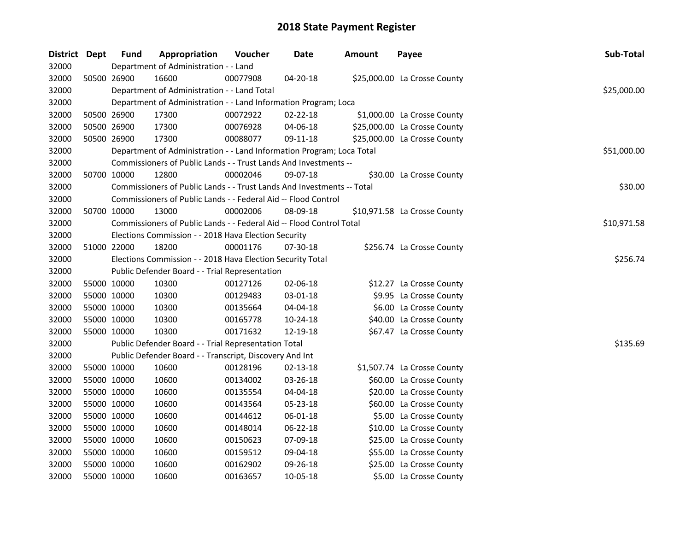| <b>District Dept</b> |             | <b>Fund</b> | Appropriation                                                          | Voucher  | Date           | <b>Amount</b> | Payee                        | Sub-Total   |
|----------------------|-------------|-------------|------------------------------------------------------------------------|----------|----------------|---------------|------------------------------|-------------|
| 32000                |             |             | Department of Administration - - Land                                  |          |                |               |                              |             |
| 32000                |             | 50500 26900 | 16600                                                                  | 00077908 | 04-20-18       |               | \$25,000.00 La Crosse County |             |
| 32000                |             |             | Department of Administration - - Land Total                            |          |                |               |                              | \$25,000.00 |
| 32000                |             |             | Department of Administration - - Land Information Program; Loca        |          |                |               |                              |             |
| 32000                |             | 50500 26900 | 17300                                                                  | 00072922 | $02 - 22 - 18$ |               | \$1,000.00 La Crosse County  |             |
| 32000                |             | 50500 26900 | 17300                                                                  | 00076928 | 04-06-18       |               | \$25,000.00 La Crosse County |             |
| 32000                |             | 50500 26900 | 17300                                                                  | 00088077 | 09-11-18       |               | \$25,000.00 La Crosse County |             |
| 32000                |             |             | Department of Administration - - Land Information Program; Loca Total  |          |                |               |                              | \$51,000.00 |
| 32000                |             |             | Commissioners of Public Lands - - Trust Lands And Investments --       |          |                |               |                              |             |
| 32000                |             | 50700 10000 | 12800                                                                  | 00002046 | 09-07-18       |               | \$30.00 La Crosse County     |             |
| 32000                |             |             | Commissioners of Public Lands - - Trust Lands And Investments -- Total |          |                |               |                              | \$30.00     |
| 32000                |             |             | Commissioners of Public Lands - - Federal Aid -- Flood Control         |          |                |               |                              |             |
| 32000                |             | 50700 10000 | 13000                                                                  | 00002006 | 08-09-18       |               | \$10,971.58 La Crosse County |             |
| 32000                |             |             | Commissioners of Public Lands - - Federal Aid -- Flood Control Total   |          |                |               |                              | \$10,971.58 |
| 32000                |             |             | Elections Commission - - 2018 Hava Election Security                   |          |                |               |                              |             |
| 32000                |             | 51000 22000 | 18200                                                                  | 00001176 | 07-30-18       |               | \$256.74 La Crosse County    |             |
| 32000                |             |             | Elections Commission - - 2018 Hava Election Security Total             |          |                |               |                              | \$256.74    |
| 32000                |             |             | Public Defender Board - - Trial Representation                         |          |                |               |                              |             |
| 32000                |             | 55000 10000 | 10300                                                                  | 00127126 | 02-06-18       |               | \$12.27 La Crosse County     |             |
| 32000                |             | 55000 10000 | 10300                                                                  | 00129483 | 03-01-18       |               | \$9.95 La Crosse County      |             |
| 32000                |             | 55000 10000 | 10300                                                                  | 00135664 | 04-04-18       |               | \$6.00 La Crosse County      |             |
| 32000                |             | 55000 10000 | 10300                                                                  | 00165778 | 10-24-18       |               | \$40.00 La Crosse County     |             |
| 32000                |             | 55000 10000 | 10300                                                                  | 00171632 | 12-19-18       |               | \$67.47 La Crosse County     |             |
| 32000                |             |             | Public Defender Board - - Trial Representation Total                   |          |                |               |                              | \$135.69    |
| 32000                |             |             | Public Defender Board - - Transcript, Discovery And Int                |          |                |               |                              |             |
| 32000                |             | 55000 10000 | 10600                                                                  | 00128196 | $02 - 13 - 18$ |               | \$1,507.74 La Crosse County  |             |
| 32000                |             | 55000 10000 | 10600                                                                  | 00134002 | 03-26-18       |               | \$60.00 La Crosse County     |             |
| 32000                |             | 55000 10000 | 10600                                                                  | 00135554 | 04-04-18       |               | \$20.00 La Crosse County     |             |
| 32000                |             | 55000 10000 | 10600                                                                  | 00143564 | 05-23-18       |               | \$60.00 La Crosse County     |             |
| 32000                |             | 55000 10000 | 10600                                                                  | 00144612 | 06-01-18       |               | \$5.00 La Crosse County      |             |
| 32000                |             | 55000 10000 | 10600                                                                  | 00148014 | 06-22-18       |               | \$10.00 La Crosse County     |             |
| 32000                |             | 55000 10000 | 10600                                                                  | 00150623 | 07-09-18       |               | \$25.00 La Crosse County     |             |
| 32000                | 55000 10000 |             | 10600                                                                  | 00159512 | 09-04-18       |               | \$55.00 La Crosse County     |             |
| 32000                |             | 55000 10000 | 10600                                                                  | 00162902 | 09-26-18       |               | \$25.00 La Crosse County     |             |
| 32000                |             | 55000 10000 | 10600                                                                  | 00163657 | 10-05-18       |               | \$5.00 La Crosse County      |             |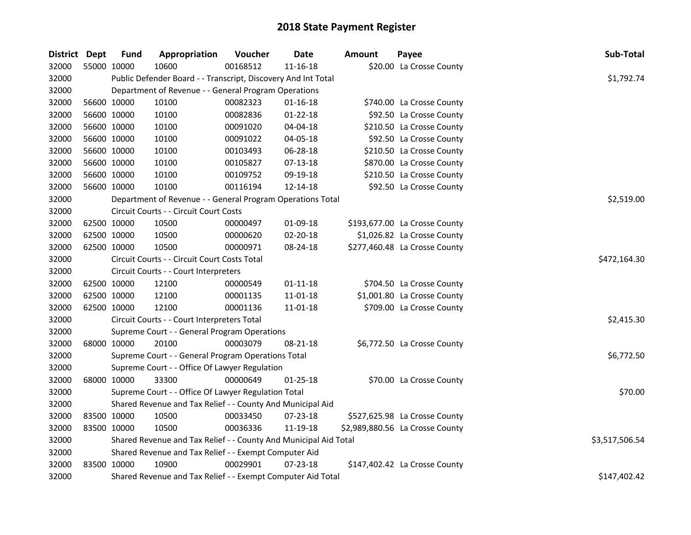| District Dept |             | <b>Fund</b> | Appropriation                                                    | Voucher  | <b>Date</b>    | <b>Amount</b> | Payee                           | Sub-Total      |
|---------------|-------------|-------------|------------------------------------------------------------------|----------|----------------|---------------|---------------------------------|----------------|
| 32000         | 55000 10000 |             | 10600                                                            | 00168512 | $11 - 16 - 18$ |               | \$20.00 La Crosse County        |                |
| 32000         |             |             | Public Defender Board - - Transcript, Discovery And Int Total    |          |                |               |                                 | \$1,792.74     |
| 32000         |             |             | Department of Revenue - - General Program Operations             |          |                |               |                                 |                |
| 32000         | 56600 10000 |             | 10100                                                            | 00082323 | $01 - 16 - 18$ |               | \$740.00 La Crosse County       |                |
| 32000         | 56600 10000 |             | 10100                                                            | 00082836 | 01-22-18       |               | \$92.50 La Crosse County        |                |
| 32000         | 56600 10000 |             | 10100                                                            | 00091020 | 04-04-18       |               | \$210.50 La Crosse County       |                |
| 32000         | 56600 10000 |             | 10100                                                            | 00091022 | 04-05-18       |               | \$92.50 La Crosse County        |                |
| 32000         | 56600 10000 |             | 10100                                                            | 00103493 | 06-28-18       |               | \$210.50 La Crosse County       |                |
| 32000         | 56600 10000 |             | 10100                                                            | 00105827 | 07-13-18       |               | \$870.00 La Crosse County       |                |
| 32000         | 56600 10000 |             | 10100                                                            | 00109752 | 09-19-18       |               | \$210.50 La Crosse County       |                |
| 32000         | 56600 10000 |             | 10100                                                            | 00116194 | 12-14-18       |               | \$92.50 La Crosse County        |                |
| 32000         |             |             | Department of Revenue - - General Program Operations Total       |          |                |               |                                 | \$2,519.00     |
| 32000         |             |             | Circuit Courts - - Circuit Court Costs                           |          |                |               |                                 |                |
| 32000         | 62500 10000 |             | 10500                                                            | 00000497 | 01-09-18       |               | \$193,677.00 La Crosse County   |                |
| 32000         | 62500 10000 |             | 10500                                                            | 00000620 | 02-20-18       |               | \$1,026.82 La Crosse County     |                |
| 32000         | 62500 10000 |             | 10500                                                            | 00000971 | 08-24-18       |               | \$277,460.48 La Crosse County   |                |
| 32000         |             |             | Circuit Courts - - Circuit Court Costs Total                     |          |                |               |                                 | \$472,164.30   |
| 32000         |             |             | Circuit Courts - - Court Interpreters                            |          |                |               |                                 |                |
| 32000         | 62500 10000 |             | 12100                                                            | 00000549 | $01 - 11 - 18$ |               | \$704.50 La Crosse County       |                |
| 32000         | 62500 10000 |             | 12100                                                            | 00001135 | $11 - 01 - 18$ |               | \$1,001.80 La Crosse County     |                |
| 32000         | 62500 10000 |             | 12100                                                            | 00001136 | 11-01-18       |               | \$709.00 La Crosse County       |                |
| 32000         |             |             | Circuit Courts - - Court Interpreters Total                      |          |                |               |                                 | \$2,415.30     |
| 32000         |             |             | Supreme Court - - General Program Operations                     |          |                |               |                                 |                |
| 32000         | 68000 10000 |             | 20100                                                            | 00003079 | $08 - 21 - 18$ |               | \$6,772.50 La Crosse County     |                |
| 32000         |             |             | Supreme Court - - General Program Operations Total               |          |                |               |                                 | \$6,772.50     |
| 32000         |             |             | Supreme Court - - Office Of Lawyer Regulation                    |          |                |               |                                 |                |
| 32000         | 68000 10000 |             | 33300                                                            | 00000649 | $01 - 25 - 18$ |               | \$70.00 La Crosse County        |                |
| 32000         |             |             | Supreme Court - - Office Of Lawyer Regulation Total              |          |                |               |                                 | \$70.00        |
| 32000         |             |             | Shared Revenue and Tax Relief - - County And Municipal Aid       |          |                |               |                                 |                |
| 32000         | 83500 10000 |             | 10500                                                            | 00033450 | 07-23-18       |               | \$527,625.98 La Crosse County   |                |
| 32000         | 83500 10000 |             | 10500                                                            | 00036336 | 11-19-18       |               | \$2,989,880.56 La Crosse County |                |
| 32000         |             |             | Shared Revenue and Tax Relief - - County And Municipal Aid Total |          |                |               |                                 | \$3,517,506.54 |
| 32000         |             |             | Shared Revenue and Tax Relief - - Exempt Computer Aid            |          |                |               |                                 |                |
| 32000         | 83500 10000 |             | 10900                                                            | 00029901 | $07 - 23 - 18$ |               | \$147,402.42 La Crosse County   |                |
| 32000         |             |             | Shared Revenue and Tax Relief - - Exempt Computer Aid Total      |          |                |               |                                 | \$147,402.42   |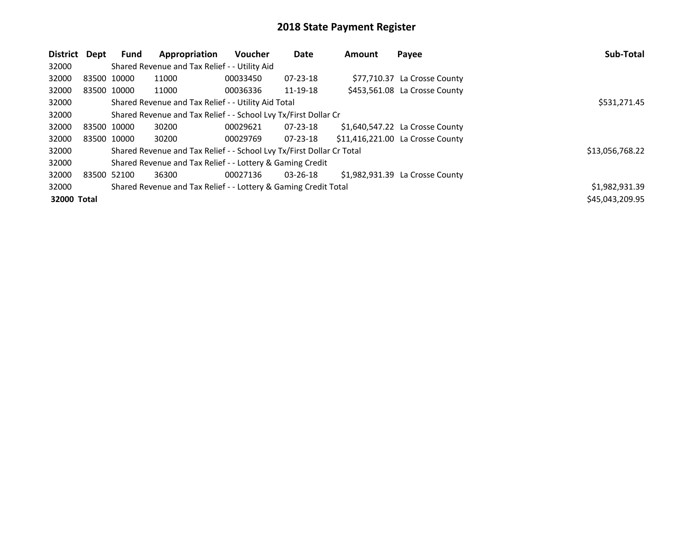| District Dept |             | <b>Fund</b> | Appropriation                                                         | <b>Voucher</b> | Date           | <b>Amount</b> | Payee                            | Sub-Total       |
|---------------|-------------|-------------|-----------------------------------------------------------------------|----------------|----------------|---------------|----------------------------------|-----------------|
| 32000         |             |             | Shared Revenue and Tax Relief - - Utility Aid                         |                |                |               |                                  |                 |
| 32000         | 83500 10000 |             | 11000                                                                 | 00033450       | 07-23-18       |               | \$77,710.37 La Crosse County     |                 |
| 32000         | 83500 10000 |             | 11000                                                                 | 00036336       | 11-19-18       |               | \$453,561.08 La Crosse County    |                 |
| 32000         |             |             | Shared Revenue and Tax Relief - - Utility Aid Total                   |                |                |               |                                  | \$531,271.45    |
| 32000         |             |             | Shared Revenue and Tax Relief - - School Lvy Tx/First Dollar Cr       |                |                |               |                                  |                 |
| 32000         | 83500 10000 |             | 30200                                                                 | 00029621       | $07 - 23 - 18$ |               | \$1,640,547.22 La Crosse County  |                 |
| 32000         | 83500 10000 |             | 30200                                                                 | 00029769       | $07 - 23 - 18$ |               | \$11,416,221.00 La Crosse County |                 |
| 32000         |             |             | Shared Revenue and Tax Relief - - School Lvy Tx/First Dollar Cr Total |                |                |               |                                  | \$13,056,768.22 |
| 32000         |             |             | Shared Revenue and Tax Relief - - Lottery & Gaming Credit             |                |                |               |                                  |                 |
| 32000         | 83500 52100 |             | 36300                                                                 | 00027136       | 03-26-18       |               | \$1,982,931.39 La Crosse County  |                 |
| 32000         |             |             | Shared Revenue and Tax Relief - - Lottery & Gaming Credit Total       |                |                |               |                                  | \$1,982,931.39  |
| 32000 Total   |             |             |                                                                       |                |                |               |                                  | \$45,043,209.95 |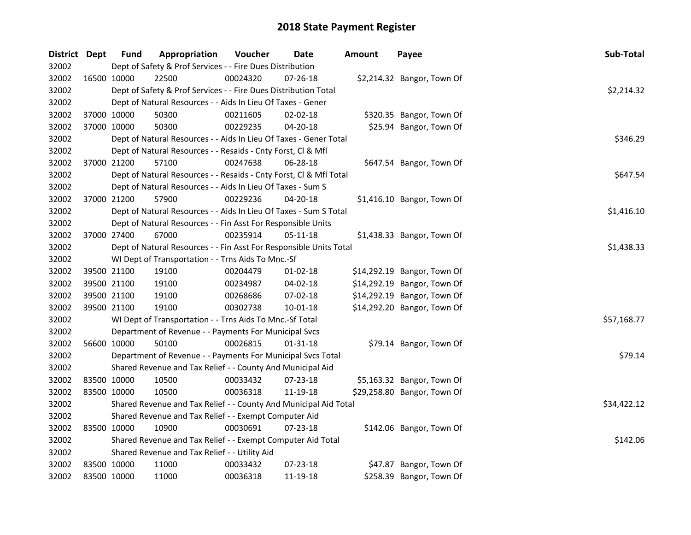| District Dept |             | <b>Fund</b> | Appropriation                                                      | Voucher  | Date           | <b>Amount</b> | Payee                       | Sub-Total   |
|---------------|-------------|-------------|--------------------------------------------------------------------|----------|----------------|---------------|-----------------------------|-------------|
| 32002         |             |             | Dept of Safety & Prof Services - - Fire Dues Distribution          |          |                |               |                             |             |
| 32002         | 16500 10000 |             | 22500                                                              | 00024320 | 07-26-18       |               | \$2,214.32 Bangor, Town Of  |             |
| 32002         |             |             | Dept of Safety & Prof Services - - Fire Dues Distribution Total    |          |                |               |                             | \$2,214.32  |
| 32002         |             |             | Dept of Natural Resources - - Aids In Lieu Of Taxes - Gener        |          |                |               |                             |             |
| 32002         | 37000 10000 |             | 50300                                                              | 00211605 | $02 - 02 - 18$ |               | \$320.35 Bangor, Town Of    |             |
| 32002         | 37000 10000 |             | 50300                                                              | 00229235 | $04 - 20 - 18$ |               | \$25.94 Bangor, Town Of     |             |
| 32002         |             |             | Dept of Natural Resources - - Aids In Lieu Of Taxes - Gener Total  |          |                |               |                             | \$346.29    |
| 32002         |             |             | Dept of Natural Resources - - Resaids - Cnty Forst, Cl & Mfl       |          |                |               |                             |             |
| 32002         | 37000 21200 |             | 57100                                                              | 00247638 | 06-28-18       |               | \$647.54 Bangor, Town Of    |             |
| 32002         |             |             | Dept of Natural Resources - - Resaids - Cnty Forst, Cl & Mfl Total |          |                |               |                             | \$647.54    |
| 32002         |             |             | Dept of Natural Resources - - Aids In Lieu Of Taxes - Sum S        |          |                |               |                             |             |
| 32002         | 37000 21200 |             | 57900                                                              | 00229236 | 04-20-18       |               | \$1,416.10 Bangor, Town Of  |             |
| 32002         |             |             | Dept of Natural Resources - - Aids In Lieu Of Taxes - Sum S Total  |          |                |               |                             | \$1,416.10  |
| 32002         |             |             | Dept of Natural Resources - - Fin Asst For Responsible Units       |          |                |               |                             |             |
| 32002         | 37000 27400 |             | 67000                                                              | 00235914 | 05-11-18       |               | \$1,438.33 Bangor, Town Of  |             |
| 32002         |             |             | Dept of Natural Resources - - Fin Asst For Responsible Units Total |          |                |               |                             | \$1,438.33  |
| 32002         |             |             | WI Dept of Transportation - - Trns Aids To Mnc.-Sf                 |          |                |               |                             |             |
| 32002         | 39500 21100 |             | 19100                                                              | 00204479 | $01 - 02 - 18$ |               | \$14,292.19 Bangor, Town Of |             |
| 32002         | 39500 21100 |             | 19100                                                              | 00234987 | 04-02-18       |               | \$14,292.19 Bangor, Town Of |             |
| 32002         | 39500 21100 |             | 19100                                                              | 00268686 | 07-02-18       |               | \$14,292.19 Bangor, Town Of |             |
| 32002         | 39500 21100 |             | 19100                                                              | 00302738 | $10 - 01 - 18$ |               | \$14,292.20 Bangor, Town Of |             |
| 32002         |             |             | WI Dept of Transportation - - Trns Aids To Mnc.-Sf Total           |          |                |               |                             | \$57,168.77 |
| 32002         |             |             | Department of Revenue - - Payments For Municipal Svcs              |          |                |               |                             |             |
| 32002         | 56600 10000 |             | 50100                                                              | 00026815 | $01 - 31 - 18$ |               | \$79.14 Bangor, Town Of     |             |
| 32002         |             |             | Department of Revenue - - Payments For Municipal Svcs Total        |          |                |               |                             | \$79.14     |
| 32002         |             |             | Shared Revenue and Tax Relief - - County And Municipal Aid         |          |                |               |                             |             |
| 32002         | 83500 10000 |             | 10500                                                              | 00033432 | 07-23-18       |               | \$5,163.32 Bangor, Town Of  |             |
| 32002         | 83500 10000 |             | 10500                                                              | 00036318 | 11-19-18       |               | \$29,258.80 Bangor, Town Of |             |
| 32002         |             |             | Shared Revenue and Tax Relief - - County And Municipal Aid Total   |          |                |               |                             | \$34,422.12 |
| 32002         |             |             | Shared Revenue and Tax Relief - - Exempt Computer Aid              |          |                |               |                             |             |
| 32002         | 83500 10000 |             | 10900                                                              | 00030691 | 07-23-18       |               | \$142.06 Bangor, Town Of    |             |
| 32002         |             |             | Shared Revenue and Tax Relief - - Exempt Computer Aid Total        |          |                |               |                             | \$142.06    |
| 32002         |             |             | Shared Revenue and Tax Relief - - Utility Aid                      |          |                |               |                             |             |
| 32002         | 83500 10000 |             | 11000                                                              | 00033432 | 07-23-18       |               | \$47.87 Bangor, Town Of     |             |
| 32002         | 83500 10000 |             | 11000                                                              | 00036318 | 11-19-18       |               | \$258.39 Bangor, Town Of    |             |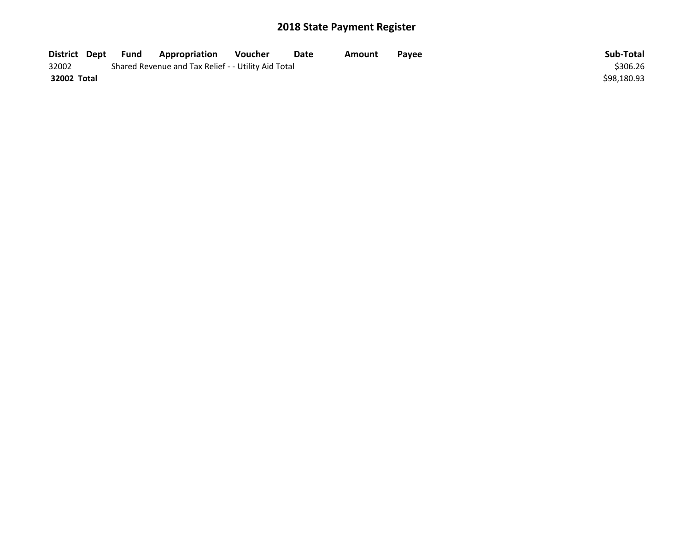| District Dept | Fund | <b>Appropriation</b>                                | Voucher | Date | Amount | Pavee | Sub-Total   |
|---------------|------|-----------------------------------------------------|---------|------|--------|-------|-------------|
| 32002         |      | Shared Revenue and Tax Relief - - Utility Aid Total |         |      |        |       | \$306.26    |
| 32002 Total   |      |                                                     |         |      |        |       | \$98,180.93 |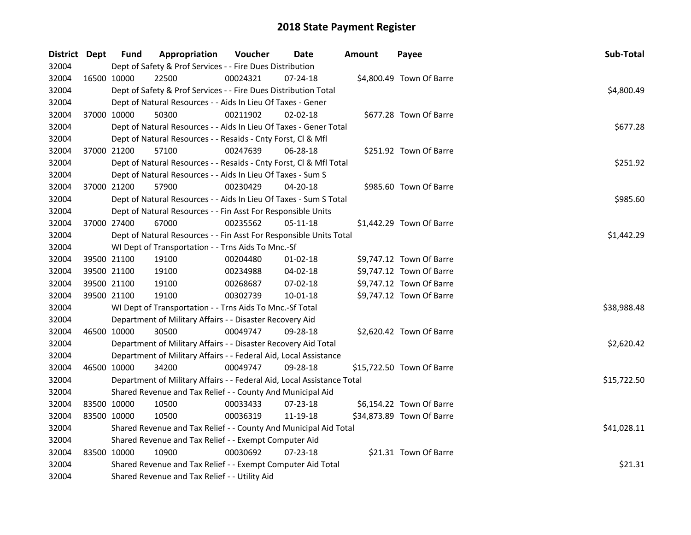| District Dept |             | <b>Fund</b> | Appropriation                                                          | Voucher  | Date           | <b>Amount</b> | Payee                     | Sub-Total   |  |  |  |
|---------------|-------------|-------------|------------------------------------------------------------------------|----------|----------------|---------------|---------------------------|-------------|--|--|--|
| 32004         |             |             | Dept of Safety & Prof Services - - Fire Dues Distribution              |          |                |               |                           |             |  |  |  |
| 32004         | 16500 10000 |             | 22500                                                                  | 00024321 | 07-24-18       |               | \$4,800.49 Town Of Barre  |             |  |  |  |
| 32004         |             |             | Dept of Safety & Prof Services - - Fire Dues Distribution Total        |          |                |               |                           |             |  |  |  |
| 32004         |             |             | Dept of Natural Resources - - Aids In Lieu Of Taxes - Gener            |          |                |               |                           |             |  |  |  |
| 32004         |             | 37000 10000 | 50300                                                                  | 00211902 | 02-02-18       |               | \$677.28 Town Of Barre    |             |  |  |  |
| 32004         |             |             | Dept of Natural Resources - - Aids In Lieu Of Taxes - Gener Total      |          |                |               |                           | \$677.28    |  |  |  |
| 32004         |             |             | Dept of Natural Resources - - Resaids - Cnty Forst, Cl & Mfl           |          |                |               |                           |             |  |  |  |
| 32004         |             | 37000 21200 | 57100                                                                  | 00247639 | $06 - 28 - 18$ |               | \$251.92 Town Of Barre    |             |  |  |  |
| 32004         |             |             | Dept of Natural Resources - - Resaids - Cnty Forst, Cl & Mfl Total     |          |                |               |                           | \$251.92    |  |  |  |
| 32004         |             |             | Dept of Natural Resources - - Aids In Lieu Of Taxes - Sum S            |          |                |               |                           |             |  |  |  |
| 32004         |             | 37000 21200 | 57900                                                                  | 00230429 | 04-20-18       |               | \$985.60 Town Of Barre    |             |  |  |  |
| 32004         |             |             | Dept of Natural Resources - - Aids In Lieu Of Taxes - Sum S Total      |          |                |               |                           | \$985.60    |  |  |  |
| 32004         |             |             | Dept of Natural Resources - - Fin Asst For Responsible Units           |          |                |               |                           |             |  |  |  |
| 32004         |             | 37000 27400 | 67000                                                                  | 00235562 | 05-11-18       |               | \$1,442.29 Town Of Barre  |             |  |  |  |
| 32004         |             |             | Dept of Natural Resources - - Fin Asst For Responsible Units Total     |          |                |               |                           | \$1,442.29  |  |  |  |
| 32004         |             |             | WI Dept of Transportation - - Trns Aids To Mnc.-Sf                     |          |                |               |                           |             |  |  |  |
| 32004         |             | 39500 21100 | 19100                                                                  | 00204480 | $01-02-18$     |               | \$9,747.12 Town Of Barre  |             |  |  |  |
| 32004         |             | 39500 21100 | 19100                                                                  | 00234988 | $04 - 02 - 18$ |               | \$9,747.12 Town Of Barre  |             |  |  |  |
| 32004         |             | 39500 21100 | 19100                                                                  | 00268687 | 07-02-18       |               | \$9,747.12 Town Of Barre  |             |  |  |  |
| 32004         |             | 39500 21100 | 19100                                                                  | 00302739 | $10 - 01 - 18$ |               | \$9,747.12 Town Of Barre  |             |  |  |  |
| 32004         |             |             | WI Dept of Transportation - - Trns Aids To Mnc.-Sf Total               |          |                |               |                           | \$38,988.48 |  |  |  |
| 32004         |             |             | Department of Military Affairs - - Disaster Recovery Aid               |          |                |               |                           |             |  |  |  |
| 32004         |             | 46500 10000 | 30500                                                                  | 00049747 | 09-28-18       |               | \$2,620.42 Town Of Barre  |             |  |  |  |
| 32004         |             |             | Department of Military Affairs - - Disaster Recovery Aid Total         |          |                |               |                           | \$2,620.42  |  |  |  |
| 32004         |             |             | Department of Military Affairs - - Federal Aid, Local Assistance       |          |                |               |                           |             |  |  |  |
| 32004         |             | 46500 10000 | 34200                                                                  | 00049747 | 09-28-18       |               | \$15,722.50 Town Of Barre |             |  |  |  |
| 32004         |             |             | Department of Military Affairs - - Federal Aid, Local Assistance Total |          |                |               |                           | \$15,722.50 |  |  |  |
| 32004         |             |             | Shared Revenue and Tax Relief - - County And Municipal Aid             |          |                |               |                           |             |  |  |  |
| 32004         |             | 83500 10000 | 10500                                                                  | 00033433 | 07-23-18       |               | \$6,154.22 Town Of Barre  |             |  |  |  |
| 32004         |             | 83500 10000 | 10500                                                                  | 00036319 | 11-19-18       |               | \$34,873.89 Town Of Barre |             |  |  |  |
| 32004         |             |             | Shared Revenue and Tax Relief - - County And Municipal Aid Total       |          |                |               |                           | \$41,028.11 |  |  |  |
| 32004         |             |             | Shared Revenue and Tax Relief - - Exempt Computer Aid                  |          |                |               |                           |             |  |  |  |
| 32004         |             | 83500 10000 | 10900                                                                  | 00030692 | 07-23-18       |               | \$21.31 Town Of Barre     |             |  |  |  |
| 32004         |             |             | Shared Revenue and Tax Relief - - Exempt Computer Aid Total            |          |                |               |                           | \$21.31     |  |  |  |
| 32004         |             |             | Shared Revenue and Tax Relief - - Utility Aid                          |          |                |               |                           |             |  |  |  |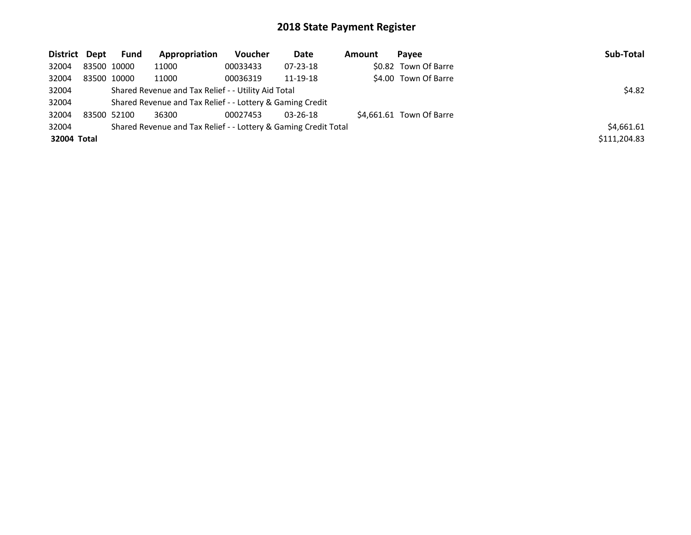| District Dept |             | Fund   | Appropriation                                                   | <b>Voucher</b> | Date           | Amount | Pavee                    | Sub-Total    |
|---------------|-------------|--------|-----------------------------------------------------------------|----------------|----------------|--------|--------------------------|--------------|
| 32004         | 83500 10000 |        | 11000                                                           | 00033433       | $07 - 23 - 18$ |        | \$0.82 Town Of Barre     |              |
| 32004         | 83500 10000 |        | 11000                                                           | 00036319       | 11-19-18       |        | \$4.00 Town Of Barre     |              |
| 32004         |             | \$4.82 |                                                                 |                |                |        |                          |              |
| 32004         |             |        | Shared Revenue and Tax Relief - - Lottery & Gaming Credit       |                |                |        |                          |              |
| 32004         | 83500 52100 |        | 36300                                                           | 00027453       | $03 - 26 - 18$ |        | \$4.661.61 Town Of Barre |              |
| 32004         |             |        | Shared Revenue and Tax Relief - - Lottery & Gaming Credit Total |                |                |        |                          | \$4,661.61   |
| 32004 Total   |             |        |                                                                 |                |                |        |                          | \$111,204.83 |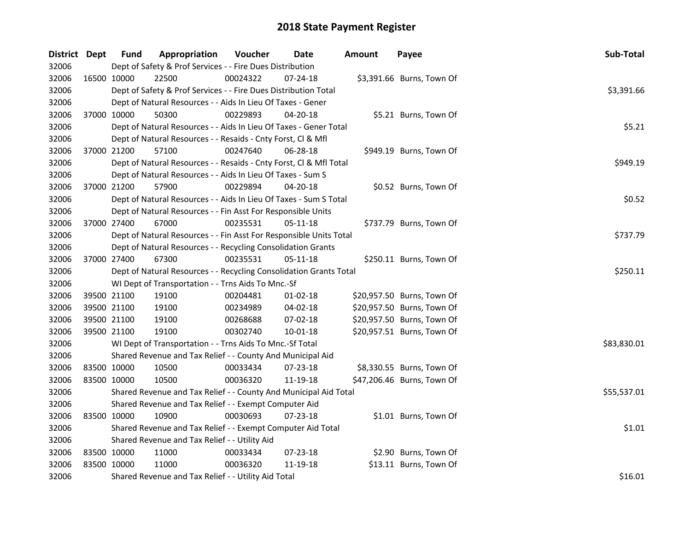| District Dept |             | <b>Fund</b>                                   | Appropriation                                                      | Voucher  | Date           | <b>Amount</b> | Payee                      | Sub-Total   |
|---------------|-------------|-----------------------------------------------|--------------------------------------------------------------------|----------|----------------|---------------|----------------------------|-------------|
| 32006         |             |                                               | Dept of Safety & Prof Services - - Fire Dues Distribution          |          |                |               |                            |             |
| 32006         | 16500 10000 |                                               | 22500                                                              | 00024322 | $07 - 24 - 18$ |               | \$3,391.66 Burns, Town Of  |             |
| 32006         |             |                                               | Dept of Safety & Prof Services - - Fire Dues Distribution Total    |          |                |               |                            | \$3,391.66  |
| 32006         |             |                                               | Dept of Natural Resources - - Aids In Lieu Of Taxes - Gener        |          |                |               |                            |             |
| 32006         | 37000 10000 |                                               | 50300                                                              | 00229893 | 04-20-18       |               | \$5.21 Burns, Town Of      |             |
| 32006         |             |                                               | Dept of Natural Resources - - Aids In Lieu Of Taxes - Gener Total  |          |                |               |                            | \$5.21      |
| 32006         |             |                                               | Dept of Natural Resources - - Resaids - Cnty Forst, Cl & Mfl       |          |                |               |                            |             |
| 32006         |             | 37000 21200                                   | 57100                                                              | 00247640 | 06-28-18       |               | \$949.19 Burns, Town Of    |             |
| 32006         |             |                                               | Dept of Natural Resources - - Resaids - Cnty Forst, Cl & Mfl Total |          |                |               |                            | \$949.19    |
| 32006         |             |                                               | Dept of Natural Resources - - Aids In Lieu Of Taxes - Sum S        |          |                |               |                            |             |
| 32006         | 37000 21200 |                                               | 57900                                                              | 00229894 | 04-20-18       |               | \$0.52 Burns, Town Of      |             |
| 32006         |             |                                               | Dept of Natural Resources - - Aids In Lieu Of Taxes - Sum S Total  |          |                |               |                            | \$0.52      |
| 32006         |             |                                               | Dept of Natural Resources - - Fin Asst For Responsible Units       |          |                |               |                            |             |
| 32006         | 37000 27400 |                                               | 67000                                                              | 00235531 | 05-11-18       |               | \$737.79 Burns, Town Of    |             |
| 32006         |             |                                               | Dept of Natural Resources - - Fin Asst For Responsible Units Total |          |                |               |                            | \$737.79    |
| 32006         |             |                                               | Dept of Natural Resources - - Recycling Consolidation Grants       |          |                |               |                            |             |
| 32006         | 37000 27400 |                                               | 67300                                                              | 00235531 | 05-11-18       |               | \$250.11 Burns, Town Of    |             |
| 32006         |             |                                               | Dept of Natural Resources - - Recycling Consolidation Grants Total |          |                |               |                            | \$250.11    |
| 32006         |             |                                               | WI Dept of Transportation - - Trns Aids To Mnc.-Sf                 |          |                |               |                            |             |
| 32006         | 39500 21100 |                                               | 19100                                                              | 00204481 | $01 - 02 - 18$ |               | \$20,957.50 Burns, Town Of |             |
| 32006         | 39500 21100 |                                               | 19100                                                              | 00234989 | 04-02-18       |               | \$20,957.50 Burns, Town Of |             |
| 32006         | 39500 21100 |                                               | 19100                                                              | 00268688 | 07-02-18       |               | \$20,957.50 Burns, Town Of |             |
| 32006         | 39500 21100 |                                               | 19100                                                              | 00302740 | $10 - 01 - 18$ |               | \$20,957.51 Burns, Town Of |             |
| 32006         |             |                                               | WI Dept of Transportation - - Trns Aids To Mnc.-Sf Total           |          |                |               |                            | \$83,830.01 |
| 32006         |             |                                               | Shared Revenue and Tax Relief - - County And Municipal Aid         |          |                |               |                            |             |
| 32006         |             | 83500 10000                                   | 10500                                                              | 00033434 | 07-23-18       |               | \$8,330.55 Burns, Town Of  |             |
| 32006         | 83500 10000 |                                               | 10500                                                              | 00036320 | 11-19-18       |               | \$47,206.46 Burns, Town Of |             |
| 32006         |             |                                               | Shared Revenue and Tax Relief - - County And Municipal Aid Total   |          |                |               |                            | \$55,537.01 |
| 32006         |             |                                               | Shared Revenue and Tax Relief - - Exempt Computer Aid              |          |                |               |                            |             |
| 32006         | 83500 10000 |                                               | 10900                                                              | 00030693 | 07-23-18       |               | \$1.01 Burns, Town Of      |             |
| 32006         |             |                                               | Shared Revenue and Tax Relief - - Exempt Computer Aid Total        |          |                |               |                            | \$1.01      |
| 32006         |             | Shared Revenue and Tax Relief - - Utility Aid |                                                                    |          |                |               |                            |             |
| 32006         | 83500 10000 |                                               | 11000                                                              | 00033434 | 07-23-18       |               | \$2.90 Burns, Town Of      |             |
| 32006         | 83500 10000 |                                               | 11000                                                              | 00036320 | 11-19-18       |               | \$13.11 Burns, Town Of     |             |
| 32006         |             |                                               | Shared Revenue and Tax Relief - - Utility Aid Total                |          |                |               |                            | \$16.01     |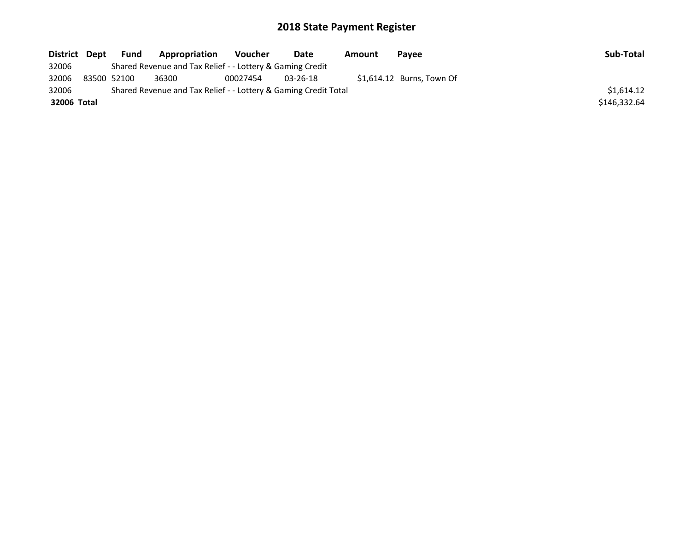| District Dept | <b>Fund</b> | Appropriation                                                   | <b>Voucher</b> | Date           | Amount | Pavee                      | Sub-Total    |
|---------------|-------------|-----------------------------------------------------------------|----------------|----------------|--------|----------------------------|--------------|
| 32006         |             | Shared Revenue and Tax Relief - - Lottery & Gaming Credit       |                |                |        |                            |              |
| 32006         | 83500 52100 | 36300                                                           | 00027454       | $03 - 26 - 18$ |        | $$1,614.12$ Burns, Town Of |              |
| 32006         |             | Shared Revenue and Tax Relief - - Lottery & Gaming Credit Total |                |                |        |                            | \$1,614.12   |
| 32006 Total   |             |                                                                 |                |                |        |                            | \$146.332.64 |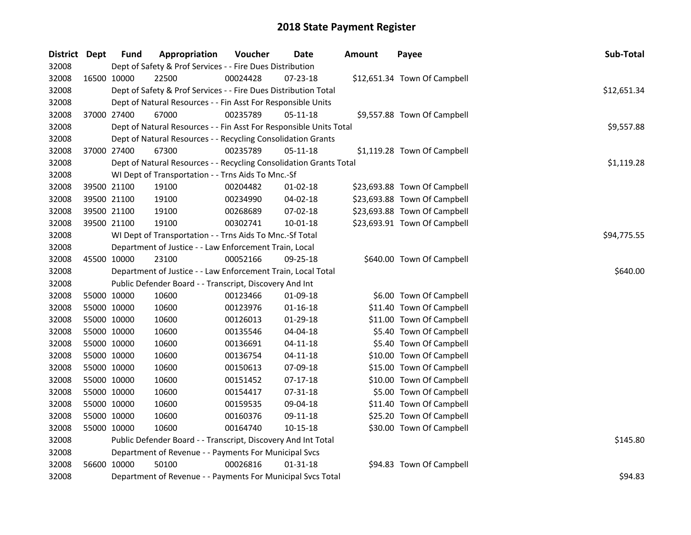| District Dept |             | Fund        | Appropriation                                                      | Voucher  | Date           | <b>Amount</b> | Payee                        | Sub-Total   |
|---------------|-------------|-------------|--------------------------------------------------------------------|----------|----------------|---------------|------------------------------|-------------|
| 32008         |             |             | Dept of Safety & Prof Services - - Fire Dues Distribution          |          |                |               |                              |             |
| 32008         | 16500 10000 |             | 22500                                                              | 00024428 | 07-23-18       |               | \$12,651.34 Town Of Campbell |             |
| 32008         |             |             | Dept of Safety & Prof Services - - Fire Dues Distribution Total    |          |                |               |                              | \$12,651.34 |
| 32008         |             |             | Dept of Natural Resources - - Fin Asst For Responsible Units       |          |                |               |                              |             |
| 32008         |             | 37000 27400 | 67000                                                              | 00235789 | 05-11-18       |               | \$9,557.88 Town Of Campbell  |             |
| 32008         |             |             | Dept of Natural Resources - - Fin Asst For Responsible Units Total |          |                |               |                              | \$9,557.88  |
| 32008         |             |             | Dept of Natural Resources - - Recycling Consolidation Grants       |          |                |               |                              |             |
| 32008         |             | 37000 27400 | 67300                                                              | 00235789 | 05-11-18       |               | \$1,119.28 Town Of Campbell  |             |
| 32008         |             |             | Dept of Natural Resources - - Recycling Consolidation Grants Total |          |                | \$1,119.28    |                              |             |
| 32008         |             |             | WI Dept of Transportation - - Trns Aids To Mnc.-Sf                 |          |                |               |                              |             |
| 32008         | 39500 21100 |             | 19100                                                              | 00204482 | $01-02-18$     |               | \$23,693.88 Town Of Campbell |             |
| 32008         | 39500 21100 |             | 19100                                                              | 00234990 | 04-02-18       |               | \$23,693.88 Town Of Campbell |             |
| 32008         | 39500 21100 |             | 19100                                                              | 00268689 | 07-02-18       |               | \$23,693.88 Town Of Campbell |             |
| 32008         | 39500 21100 |             | 19100                                                              | 00302741 | 10-01-18       |               | \$23,693.91 Town Of Campbell |             |
| 32008         |             |             | WI Dept of Transportation - - Trns Aids To Mnc.-Sf Total           |          |                |               |                              | \$94,775.55 |
| 32008         |             |             | Department of Justice - - Law Enforcement Train, Local             |          |                |               |                              |             |
| 32008         | 45500 10000 |             | 23100                                                              | 00052166 | 09-25-18       |               | \$640.00 Town Of Campbell    |             |
| 32008         |             |             | Department of Justice - - Law Enforcement Train, Local Total       |          |                |               |                              | \$640.00    |
| 32008         |             |             | Public Defender Board - - Transcript, Discovery And Int            |          |                |               |                              |             |
| 32008         |             | 55000 10000 | 10600                                                              | 00123466 | 01-09-18       |               | \$6.00 Town Of Campbell      |             |
| 32008         | 55000 10000 |             | 10600                                                              | 00123976 | $01 - 16 - 18$ |               | \$11.40 Town Of Campbell     |             |
| 32008         | 55000 10000 |             | 10600                                                              | 00126013 | 01-29-18       |               | \$11.00 Town Of Campbell     |             |
| 32008         | 55000 10000 |             | 10600                                                              | 00135546 | 04-04-18       |               | \$5.40 Town Of Campbell      |             |
| 32008         | 55000 10000 |             | 10600                                                              | 00136691 | $04 - 11 - 18$ |               | \$5.40 Town Of Campbell      |             |
| 32008         | 55000 10000 |             | 10600                                                              | 00136754 | $04 - 11 - 18$ |               | \$10.00 Town Of Campbell     |             |
| 32008         | 55000 10000 |             | 10600                                                              | 00150613 | 07-09-18       |               | \$15.00 Town Of Campbell     |             |
| 32008         | 55000 10000 |             | 10600                                                              | 00151452 | $07-17-18$     |               | \$10.00 Town Of Campbell     |             |
| 32008         | 55000 10000 |             | 10600                                                              | 00154417 | 07-31-18       |               | \$5.00 Town Of Campbell      |             |
| 32008         | 55000 10000 |             | 10600                                                              | 00159535 | 09-04-18       |               | \$11.40 Town Of Campbell     |             |
| 32008         | 55000 10000 |             | 10600                                                              | 00160376 | 09-11-18       |               | \$25.20 Town Of Campbell     |             |
| 32008         | 55000 10000 |             | 10600                                                              | 00164740 | 10-15-18       |               | \$30.00 Town Of Campbell     |             |
| 32008         |             |             | Public Defender Board - - Transcript, Discovery And Int Total      |          |                |               |                              | \$145.80    |
| 32008         |             |             | Department of Revenue - - Payments For Municipal Svcs              |          |                |               |                              |             |
| 32008         | 56600 10000 |             | 50100                                                              | 00026816 | $01 - 31 - 18$ |               | \$94.83 Town Of Campbell     |             |
| 32008         |             |             | Department of Revenue - - Payments For Municipal Svcs Total        |          |                |               |                              | \$94.83     |
|               |             |             |                                                                    |          |                |               |                              |             |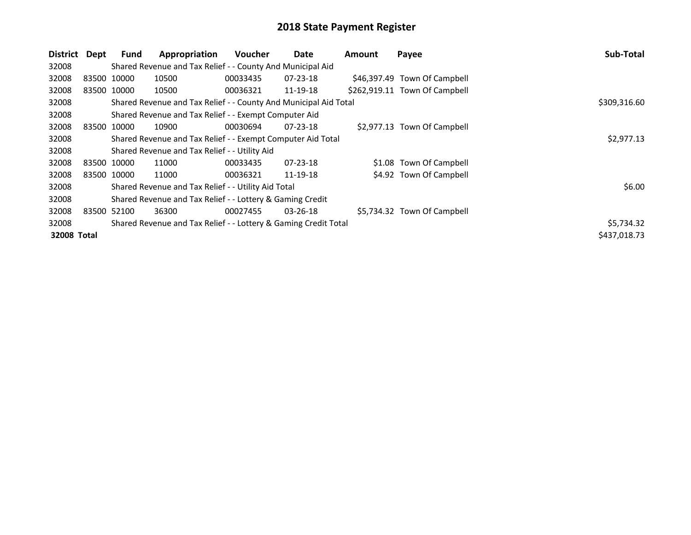| District Dept |             | <b>Fund</b> | Appropriation                                                    | <b>Voucher</b> | Date           | Amount | Payee                         | <b>Sub-Total</b> |
|---------------|-------------|-------------|------------------------------------------------------------------|----------------|----------------|--------|-------------------------------|------------------|
| 32008         |             |             | Shared Revenue and Tax Relief - - County And Municipal Aid       |                |                |        |                               |                  |
| 32008         | 83500 10000 |             | 10500                                                            | 00033435       | 07-23-18       |        | \$46,397.49 Town Of Campbell  |                  |
| 32008         | 83500 10000 |             | 10500                                                            | 00036321       | 11-19-18       |        | \$262,919.11 Town Of Campbell |                  |
| 32008         |             |             | Shared Revenue and Tax Relief - - County And Municipal Aid Total |                |                |        |                               | \$309,316.60     |
| 32008         |             |             | Shared Revenue and Tax Relief - - Exempt Computer Aid            |                |                |        |                               |                  |
| 32008         | 83500 10000 |             | 10900                                                            | 00030694       | $07 - 23 - 18$ |        | \$2,977.13 Town Of Campbell   |                  |
| 32008         |             |             | Shared Revenue and Tax Relief - - Exempt Computer Aid Total      | \$2,977.13     |                |        |                               |                  |
| 32008         |             |             | Shared Revenue and Tax Relief - - Utility Aid                    |                |                |        |                               |                  |
| 32008         | 83500 10000 |             | 11000                                                            | 00033435       | $07 - 23 - 18$ |        | \$1.08 Town Of Campbell       |                  |
| 32008         | 83500 10000 |             | 11000                                                            | 00036321       | 11-19-18       |        | \$4.92 Town Of Campbell       |                  |
| 32008         |             |             | Shared Revenue and Tax Relief - - Utility Aid Total              |                |                |        |                               | \$6.00           |
| 32008         |             |             | Shared Revenue and Tax Relief - - Lottery & Gaming Credit        |                |                |        |                               |                  |
| 32008         | 83500 52100 |             | 36300                                                            | 00027455       | $03 - 26 - 18$ |        | \$5,734.32 Town Of Campbell   |                  |
| 32008         |             |             | Shared Revenue and Tax Relief - - Lottery & Gaming Credit Total  |                |                |        |                               | \$5,734.32       |
| 32008 Total   |             |             |                                                                  |                |                |        |                               | \$437,018.73     |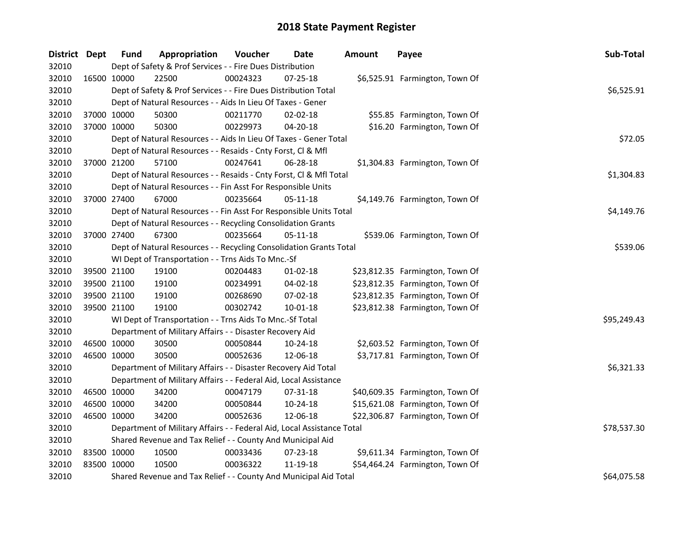| District Dept |             | <b>Fund</b> | Appropriation                                                                    | Voucher  | <b>Date</b>    | <b>Amount</b> | Payee                           | Sub-Total   |  |  |  |
|---------------|-------------|-------------|----------------------------------------------------------------------------------|----------|----------------|---------------|---------------------------------|-------------|--|--|--|
| 32010         |             |             | Dept of Safety & Prof Services - - Fire Dues Distribution                        |          |                |               |                                 |             |  |  |  |
| 32010         |             | 16500 10000 | 22500                                                                            | 00024323 | 07-25-18       |               | \$6,525.91 Farmington, Town Of  |             |  |  |  |
| 32010         |             |             | Dept of Safety & Prof Services - - Fire Dues Distribution Total                  |          |                |               |                                 | \$6,525.91  |  |  |  |
| 32010         |             |             | Dept of Natural Resources - - Aids In Lieu Of Taxes - Gener                      |          |                |               |                                 |             |  |  |  |
| 32010         | 37000 10000 |             | 50300                                                                            | 00211770 | 02-02-18       |               | \$55.85 Farmington, Town Of     |             |  |  |  |
| 32010         | 37000 10000 |             | 50300                                                                            | 00229973 | $04 - 20 - 18$ |               | \$16.20 Farmington, Town Of     |             |  |  |  |
| 32010         |             |             | Dept of Natural Resources - - Aids In Lieu Of Taxes - Gener Total                |          |                |               |                                 | \$72.05     |  |  |  |
| 32010         |             |             | Dept of Natural Resources - - Resaids - Cnty Forst, Cl & Mfl                     |          |                |               |                                 |             |  |  |  |
| 32010         | 37000 21200 |             | 57100                                                                            | 00247641 | 06-28-18       |               | \$1,304.83 Farmington, Town Of  |             |  |  |  |
| 32010         |             |             | \$1,304.83<br>Dept of Natural Resources - - Resaids - Cnty Forst, Cl & Mfl Total |          |                |               |                                 |             |  |  |  |
| 32010         |             |             | Dept of Natural Resources - - Fin Asst For Responsible Units                     |          |                |               |                                 |             |  |  |  |
| 32010         | 37000 27400 |             | 67000                                                                            | 00235664 | 05-11-18       |               | \$4,149.76 Farmington, Town Of  |             |  |  |  |
| 32010         |             |             | Dept of Natural Resources - - Fin Asst For Responsible Units Total               |          |                |               |                                 | \$4,149.76  |  |  |  |
| 32010         |             |             | Dept of Natural Resources - - Recycling Consolidation Grants                     |          |                |               |                                 |             |  |  |  |
| 32010         |             | 37000 27400 | 67300                                                                            | 00235664 | 05-11-18       |               | \$539.06 Farmington, Town Of    |             |  |  |  |
| 32010         |             |             | Dept of Natural Resources - - Recycling Consolidation Grants Total               |          |                |               |                                 |             |  |  |  |
| 32010         |             |             | WI Dept of Transportation - - Trns Aids To Mnc.-Sf                               |          |                |               |                                 |             |  |  |  |
| 32010         | 39500 21100 |             | 19100                                                                            | 00204483 | 01-02-18       |               | \$23,812.35 Farmington, Town Of |             |  |  |  |
| 32010         | 39500 21100 |             | 19100                                                                            | 00234991 | 04-02-18       |               | \$23,812.35 Farmington, Town Of |             |  |  |  |
| 32010         | 39500 21100 |             | 19100                                                                            | 00268690 | 07-02-18       |               | \$23,812.35 Farmington, Town Of |             |  |  |  |
| 32010         | 39500 21100 |             | 19100                                                                            | 00302742 | 10-01-18       |               | \$23,812.38 Farmington, Town Of |             |  |  |  |
| 32010         |             |             | WI Dept of Transportation - - Trns Aids To Mnc.-Sf Total                         |          |                |               |                                 | \$95,249.43 |  |  |  |
| 32010         |             |             | Department of Military Affairs - - Disaster Recovery Aid                         |          |                |               |                                 |             |  |  |  |
| 32010         | 46500 10000 |             | 30500                                                                            | 00050844 | 10-24-18       |               | \$2,603.52 Farmington, Town Of  |             |  |  |  |
| 32010         | 46500 10000 |             | 30500                                                                            | 00052636 | 12-06-18       |               | \$3,717.81 Farmington, Town Of  |             |  |  |  |
| 32010         |             |             | Department of Military Affairs - - Disaster Recovery Aid Total                   |          |                |               |                                 | \$6,321.33  |  |  |  |
| 32010         |             |             | Department of Military Affairs - - Federal Aid, Local Assistance                 |          |                |               |                                 |             |  |  |  |
| 32010         | 46500 10000 |             | 34200                                                                            | 00047179 | 07-31-18       |               | \$40,609.35 Farmington, Town Of |             |  |  |  |
| 32010         | 46500 10000 |             | 34200                                                                            | 00050844 | 10-24-18       |               | \$15,621.08 Farmington, Town Of |             |  |  |  |
| 32010         | 46500 10000 |             | 34200                                                                            | 00052636 | 12-06-18       |               | \$22,306.87 Farmington, Town Of |             |  |  |  |
| 32010         |             |             | Department of Military Affairs - - Federal Aid, Local Assistance Total           |          |                |               |                                 | \$78,537.30 |  |  |  |
| 32010         |             |             | Shared Revenue and Tax Relief - - County And Municipal Aid                       |          |                |               |                                 |             |  |  |  |
| 32010         | 83500 10000 |             | 10500                                                                            | 00033436 | 07-23-18       |               | \$9,611.34 Farmington, Town Of  |             |  |  |  |
| 32010         | 83500 10000 |             | 10500                                                                            | 00036322 | 11-19-18       |               | \$54,464.24 Farmington, Town Of |             |  |  |  |
| 32010         |             |             | Shared Revenue and Tax Relief - - County And Municipal Aid Total                 |          |                |               |                                 | \$64,075.58 |  |  |  |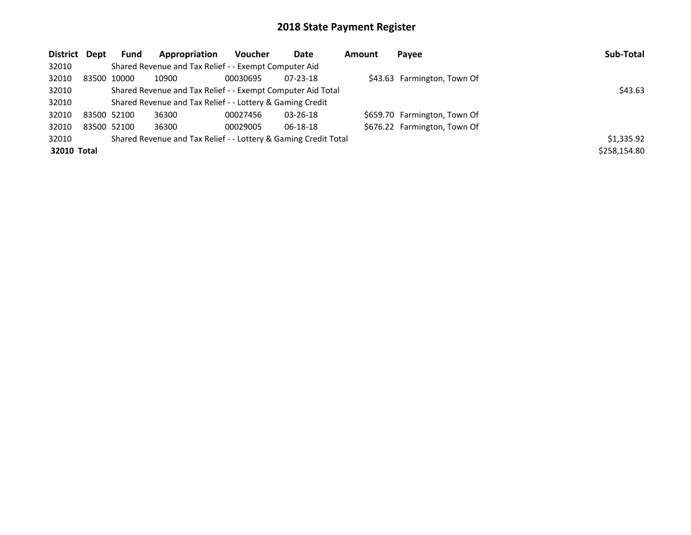| District Dept | <b>Fund</b> | Appropriation                                                   | <b>Voucher</b> | Date           | <b>Amount</b> | Payee                        | Sub-Total    |
|---------------|-------------|-----------------------------------------------------------------|----------------|----------------|---------------|------------------------------|--------------|
| 32010         |             | Shared Revenue and Tax Relief - - Exempt Computer Aid           |                |                |               |                              |              |
| 32010         | 83500 10000 | 10900                                                           | 00030695       | $07 - 23 - 18$ |               | \$43.63 Farmington, Town Of  |              |
| 32010         |             | Shared Revenue and Tax Relief - - Exempt Computer Aid Total     |                |                |               |                              | \$43.63      |
| 32010         |             | Shared Revenue and Tax Relief - - Lottery & Gaming Credit       |                |                |               |                              |              |
| 32010         | 83500 52100 | 36300                                                           | 00027456       | $03 - 26 - 18$ |               | \$659.70 Farmington, Town Of |              |
| 32010         | 83500 52100 | 36300                                                           | 00029005       | $06-18-18$     |               | \$676.22 Farmington, Town Of |              |
| 32010         |             | Shared Revenue and Tax Relief - - Lottery & Gaming Credit Total |                |                |               |                              | \$1,335.92   |
| 32010 Total   |             |                                                                 |                |                |               |                              | \$258,154.80 |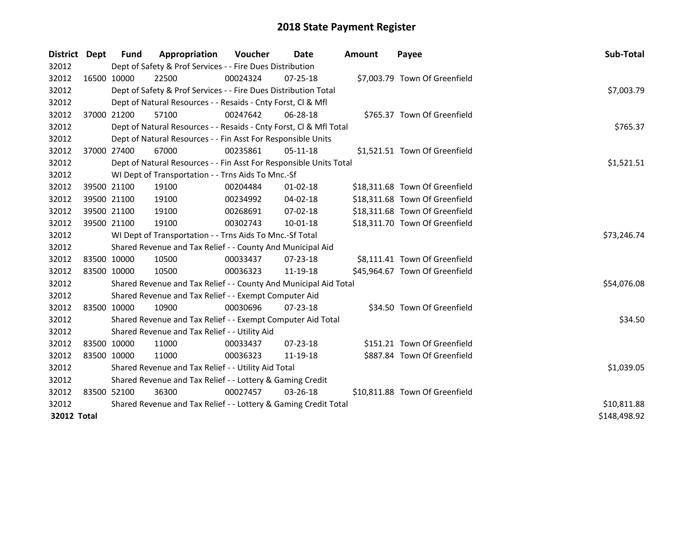| District           | Dept        | Fund                                                            | Appropriation                                                                    | <b>Voucher</b> | Date           | <b>Amount</b> | Payee                          | Sub-Total   |  |
|--------------------|-------------|-----------------------------------------------------------------|----------------------------------------------------------------------------------|----------------|----------------|---------------|--------------------------------|-------------|--|
| 32012              |             |                                                                 | Dept of Safety & Prof Services - - Fire Dues Distribution                        |                |                |               |                                |             |  |
| 32012              |             | 16500 10000                                                     | 22500                                                                            | 00024324       | $07 - 25 - 18$ |               | \$7,003.79 Town Of Greenfield  |             |  |
| 32012              |             |                                                                 | Dept of Safety & Prof Services - - Fire Dues Distribution Total                  |                |                |               |                                | \$7,003.79  |  |
| 32012              |             |                                                                 | Dept of Natural Resources - - Resaids - Cnty Forst, Cl & Mfl                     |                |                |               |                                |             |  |
| 32012              | 37000 21200 |                                                                 | 57100                                                                            | 00247642       | $06 - 28 - 18$ |               | \$765.37 Town Of Greenfield    |             |  |
| 32012              |             |                                                                 | Dept of Natural Resources - - Resaids - Cnty Forst, Cl & Mfl Total               |                |                |               |                                | \$765.37    |  |
| 32012              |             |                                                                 | Dept of Natural Resources - - Fin Asst For Responsible Units                     |                |                |               |                                |             |  |
| 32012              |             | 37000 27400                                                     | 67000                                                                            | 00235861       | 05-11-18       |               | \$1,521.51 Town Of Greenfield  |             |  |
| 32012              |             |                                                                 | \$1,521.51<br>Dept of Natural Resources - - Fin Asst For Responsible Units Total |                |                |               |                                |             |  |
| 32012              |             |                                                                 | WI Dept of Transportation - - Trns Aids To Mnc.-Sf                               |                |                |               |                                |             |  |
| 32012              |             | 39500 21100                                                     | 19100                                                                            | 00204484       | $01 - 02 - 18$ |               | \$18,311.68 Town Of Greenfield |             |  |
| 32012              |             | 39500 21100                                                     | 19100                                                                            | 00234992       | 04-02-18       |               | \$18,311.68 Town Of Greenfield |             |  |
| 32012              |             | 39500 21100                                                     | 19100                                                                            | 00268691       | 07-02-18       |               | \$18,311.68 Town Of Greenfield |             |  |
| 32012              | 39500 21100 |                                                                 | 19100                                                                            | 00302743       | 10-01-18       |               | \$18,311.70 Town Of Greenfield |             |  |
| 32012              |             |                                                                 | WI Dept of Transportation - - Trns Aids To Mnc.-Sf Total                         |                |                |               |                                | \$73,246.74 |  |
| 32012              |             |                                                                 | Shared Revenue and Tax Relief - - County And Municipal Aid                       |                |                |               |                                |             |  |
| 32012              |             | 83500 10000                                                     | 10500                                                                            | 00033437       | $07 - 23 - 18$ |               | \$8,111.41 Town Of Greenfield  |             |  |
| 32012              | 83500 10000 |                                                                 | 10500                                                                            | 00036323       | 11-19-18       |               | \$45,964.67 Town Of Greenfield |             |  |
| 32012              |             |                                                                 | Shared Revenue and Tax Relief - - County And Municipal Aid Total                 |                |                |               |                                | \$54,076.08 |  |
| 32012              |             |                                                                 | Shared Revenue and Tax Relief - - Exempt Computer Aid                            |                |                |               |                                |             |  |
| 32012              |             | 83500 10000                                                     | 10900                                                                            | 00030696       | 07-23-18       |               | \$34.50 Town Of Greenfield     |             |  |
| 32012              |             |                                                                 | Shared Revenue and Tax Relief - - Exempt Computer Aid Total                      |                |                |               |                                | \$34.50     |  |
| 32012              |             |                                                                 | Shared Revenue and Tax Relief - - Utility Aid                                    |                |                |               |                                |             |  |
| 32012              |             | 83500 10000                                                     | 11000                                                                            | 00033437       | $07 - 23 - 18$ |               | \$151.21 Town Of Greenfield    |             |  |
| 32012              | 83500 10000 |                                                                 | 11000                                                                            | 00036323       | 11-19-18       |               | \$887.84 Town Of Greenfield    |             |  |
| 32012              |             |                                                                 | Shared Revenue and Tax Relief - - Utility Aid Total                              |                |                |               |                                | \$1,039.05  |  |
| 32012              |             |                                                                 | Shared Revenue and Tax Relief - - Lottery & Gaming Credit                        |                |                |               |                                |             |  |
| 32012              |             | 83500 52100                                                     | 36300                                                                            | 00027457       | 03-26-18       |               | \$10,811.88 Town Of Greenfield |             |  |
| 32012              |             | Shared Revenue and Tax Relief - - Lottery & Gaming Credit Total | \$10,811.88                                                                      |                |                |               |                                |             |  |
| <b>32012 Total</b> |             |                                                                 |                                                                                  |                |                |               |                                |             |  |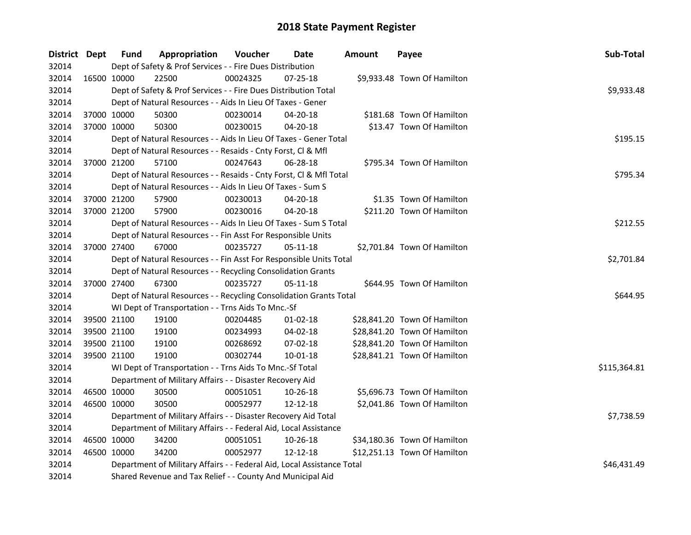| District Dept |             | <b>Fund</b>                                                      | Appropriation                                                                  | Voucher  | Date           | <b>Amount</b> | Payee                        | Sub-Total    |  |  |  |
|---------------|-------------|------------------------------------------------------------------|--------------------------------------------------------------------------------|----------|----------------|---------------|------------------------------|--------------|--|--|--|
| 32014         |             |                                                                  | Dept of Safety & Prof Services - - Fire Dues Distribution                      |          |                |               |                              |              |  |  |  |
| 32014         |             | 16500 10000                                                      | 22500                                                                          | 00024325 | $07 - 25 - 18$ |               | \$9,933.48 Town Of Hamilton  |              |  |  |  |
| 32014         |             |                                                                  | Dept of Safety & Prof Services - - Fire Dues Distribution Total                |          |                |               |                              | \$9,933.48   |  |  |  |
| 32014         |             |                                                                  | Dept of Natural Resources - - Aids In Lieu Of Taxes - Gener                    |          |                |               |                              |              |  |  |  |
| 32014         |             | 37000 10000                                                      | 50300                                                                          | 00230014 | 04-20-18       |               | \$181.68 Town Of Hamilton    |              |  |  |  |
| 32014         |             | 37000 10000                                                      | 50300                                                                          | 00230015 | 04-20-18       |               | \$13.47 Town Of Hamilton     |              |  |  |  |
| 32014         |             |                                                                  | Dept of Natural Resources - - Aids In Lieu Of Taxes - Gener Total              |          |                |               |                              | \$195.15     |  |  |  |
| 32014         |             |                                                                  | Dept of Natural Resources - - Resaids - Cnty Forst, Cl & Mfl                   |          |                |               |                              |              |  |  |  |
| 32014         |             | 37000 21200                                                      | 57100                                                                          | 00247643 | 06-28-18       |               | \$795.34 Town Of Hamilton    |              |  |  |  |
| 32014         |             |                                                                  | \$795.34<br>Dept of Natural Resources - - Resaids - Cnty Forst, Cl & Mfl Total |          |                |               |                              |              |  |  |  |
| 32014         |             |                                                                  | Dept of Natural Resources - - Aids In Lieu Of Taxes - Sum S                    |          |                |               |                              |              |  |  |  |
| 32014         |             | 37000 21200                                                      | 57900                                                                          | 00230013 | 04-20-18       |               | \$1.35 Town Of Hamilton      |              |  |  |  |
| 32014         |             | 37000 21200                                                      | 57900                                                                          | 00230016 | 04-20-18       |               | \$211.20 Town Of Hamilton    |              |  |  |  |
| 32014         |             |                                                                  | Dept of Natural Resources - - Aids In Lieu Of Taxes - Sum S Total              |          |                |               |                              | \$212.55     |  |  |  |
| 32014         |             |                                                                  | Dept of Natural Resources - - Fin Asst For Responsible Units                   |          |                |               |                              |              |  |  |  |
| 32014         |             | 37000 27400                                                      | 67000                                                                          | 00235727 | $05-11-18$     |               | \$2,701.84 Town Of Hamilton  |              |  |  |  |
| 32014         |             |                                                                  | Dept of Natural Resources - - Fin Asst For Responsible Units Total             |          |                |               |                              | \$2,701.84   |  |  |  |
| 32014         |             |                                                                  | Dept of Natural Resources - - Recycling Consolidation Grants                   |          |                |               |                              |              |  |  |  |
| 32014         | 37000 27400 |                                                                  | 67300                                                                          | 00235727 | $05 - 11 - 18$ |               | \$644.95 Town Of Hamilton    |              |  |  |  |
| 32014         |             |                                                                  | Dept of Natural Resources - - Recycling Consolidation Grants Total             |          |                |               |                              | \$644.95     |  |  |  |
| 32014         |             |                                                                  | WI Dept of Transportation - - Trns Aids To Mnc.-Sf                             |          |                |               |                              |              |  |  |  |
| 32014         |             | 39500 21100                                                      | 19100                                                                          | 00204485 | $01-02-18$     |               | \$28,841.20 Town Of Hamilton |              |  |  |  |
| 32014         |             | 39500 21100                                                      | 19100                                                                          | 00234993 | 04-02-18       |               | \$28,841.20 Town Of Hamilton |              |  |  |  |
| 32014         |             | 39500 21100                                                      | 19100                                                                          | 00268692 | 07-02-18       |               | \$28,841.20 Town Of Hamilton |              |  |  |  |
| 32014         |             | 39500 21100                                                      | 19100                                                                          | 00302744 | 10-01-18       |               | \$28,841.21 Town Of Hamilton |              |  |  |  |
| 32014         |             |                                                                  | WI Dept of Transportation - - Trns Aids To Mnc.-Sf Total                       |          |                |               |                              | \$115,364.81 |  |  |  |
| 32014         |             |                                                                  | Department of Military Affairs - - Disaster Recovery Aid                       |          |                |               |                              |              |  |  |  |
| 32014         |             | 46500 10000                                                      | 30500                                                                          | 00051051 | 10-26-18       |               | \$5,696.73 Town Of Hamilton  |              |  |  |  |
| 32014         | 46500 10000 |                                                                  | 30500                                                                          | 00052977 | 12-12-18       |               | \$2,041.86 Town Of Hamilton  |              |  |  |  |
| 32014         |             |                                                                  | Department of Military Affairs - - Disaster Recovery Aid Total                 |          |                |               |                              | \$7,738.59   |  |  |  |
| 32014         |             | Department of Military Affairs - - Federal Aid, Local Assistance |                                                                                |          |                |               |                              |              |  |  |  |
| 32014         |             | 46500 10000                                                      | 34200                                                                          | 00051051 | 10-26-18       |               | \$34,180.36 Town Of Hamilton |              |  |  |  |
| 32014         |             | 46500 10000                                                      | 34200                                                                          | 00052977 | $12 - 12 - 18$ |               | \$12,251.13 Town Of Hamilton |              |  |  |  |
| 32014         |             |                                                                  | Department of Military Affairs - - Federal Aid, Local Assistance Total         |          |                |               |                              | \$46,431.49  |  |  |  |
| 32014         |             |                                                                  | Shared Revenue and Tax Relief - - County And Municipal Aid                     |          |                |               |                              |              |  |  |  |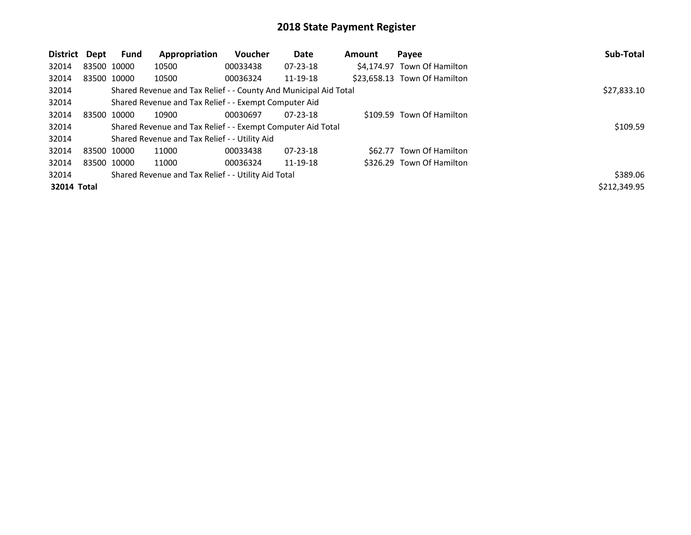| District    | Dept | Fund        | Appropriation                                                    | Voucher     | Date           | <b>Amount</b> | Payee                        | Sub-Total    |
|-------------|------|-------------|------------------------------------------------------------------|-------------|----------------|---------------|------------------------------|--------------|
| 32014       |      | 83500 10000 | 10500                                                            | 00033438    | $07 - 23 - 18$ |               | \$4.174.97 Town Of Hamilton  |              |
| 32014       |      | 83500 10000 | 10500                                                            | 00036324    | 11-19-18       |               | \$23,658.13 Town Of Hamilton |              |
| 32014       |      |             | Shared Revenue and Tax Relief - - County And Municipal Aid Total | \$27,833.10 |                |               |                              |              |
| 32014       |      |             | Shared Revenue and Tax Relief - - Exempt Computer Aid            |             |                |               |                              |              |
| 32014       |      | 83500 10000 | 10900                                                            | 00030697    | $07 - 23 - 18$ |               | \$109.59 Town Of Hamilton    |              |
| 32014       |      |             | Shared Revenue and Tax Relief - - Exempt Computer Aid Total      |             |                |               |                              | \$109.59     |
| 32014       |      |             | Shared Revenue and Tax Relief - - Utility Aid                    |             |                |               |                              |              |
| 32014       |      | 83500 10000 | 11000                                                            | 00033438    | $07 - 23 - 18$ |               | \$62.77 Town Of Hamilton     |              |
| 32014       |      | 83500 10000 | 11000                                                            | 00036324    | 11-19-18       |               | \$326.29 Town Of Hamilton    |              |
| 32014       |      |             | Shared Revenue and Tax Relief - - Utility Aid Total              |             |                |               |                              | \$389.06     |
| 32014 Total |      |             |                                                                  |             |                |               |                              | \$212,349.95 |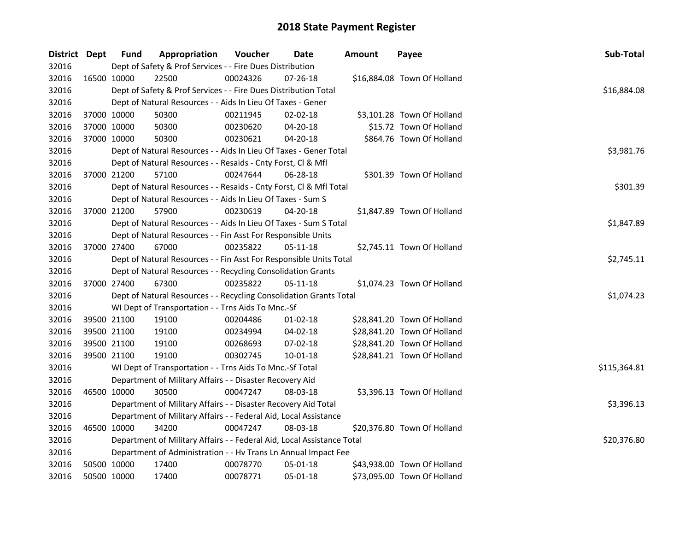| District Dept |             | <b>Fund</b> | Appropriation                                                          | Voucher  | Date           | <b>Amount</b> | Payee                       | Sub-Total    |
|---------------|-------------|-------------|------------------------------------------------------------------------|----------|----------------|---------------|-----------------------------|--------------|
| 32016         |             |             | Dept of Safety & Prof Services - - Fire Dues Distribution              |          |                |               |                             |              |
| 32016         | 16500 10000 |             | 22500                                                                  | 00024326 | 07-26-18       |               | \$16,884.08 Town Of Holland |              |
| 32016         |             |             | Dept of Safety & Prof Services - - Fire Dues Distribution Total        |          |                |               |                             | \$16,884.08  |
| 32016         |             |             | Dept of Natural Resources - - Aids In Lieu Of Taxes - Gener            |          |                |               |                             |              |
| 32016         | 37000 10000 |             | 50300                                                                  | 00211945 | 02-02-18       |               | \$3,101.28 Town Of Holland  |              |
| 32016         | 37000 10000 |             | 50300                                                                  | 00230620 | 04-20-18       |               | \$15.72 Town Of Holland     |              |
| 32016         | 37000 10000 |             | 50300                                                                  | 00230621 | $04 - 20 - 18$ |               | \$864.76 Town Of Holland    |              |
| 32016         |             |             | Dept of Natural Resources - - Aids In Lieu Of Taxes - Gener Total      |          |                |               |                             | \$3,981.76   |
| 32016         |             |             | Dept of Natural Resources - - Resaids - Cnty Forst, Cl & Mfl           |          |                |               |                             |              |
| 32016         | 37000 21200 |             | 57100                                                                  | 00247644 | 06-28-18       |               | \$301.39 Town Of Holland    |              |
| 32016         |             |             | Dept of Natural Resources - - Resaids - Cnty Forst, Cl & Mfl Total     |          |                |               |                             | \$301.39     |
| 32016         |             |             | Dept of Natural Resources - - Aids In Lieu Of Taxes - Sum S            |          |                |               |                             |              |
| 32016         | 37000 21200 |             | 57900                                                                  | 00230619 | 04-20-18       |               | \$1,847.89 Town Of Holland  |              |
| 32016         |             |             | Dept of Natural Resources - - Aids In Lieu Of Taxes - Sum S Total      |          |                |               |                             | \$1,847.89   |
| 32016         |             |             | Dept of Natural Resources - - Fin Asst For Responsible Units           |          |                |               |                             |              |
| 32016         | 37000 27400 |             | 67000                                                                  | 00235822 | 05-11-18       |               | \$2,745.11 Town Of Holland  |              |
| 32016         |             |             | Dept of Natural Resources - - Fin Asst For Responsible Units Total     |          |                |               |                             | \$2,745.11   |
| 32016         |             |             | Dept of Natural Resources - - Recycling Consolidation Grants           |          |                |               |                             |              |
| 32016         | 37000 27400 |             | 67300                                                                  | 00235822 | $05 - 11 - 18$ |               | \$1,074.23 Town Of Holland  |              |
| 32016         |             |             | Dept of Natural Resources - - Recycling Consolidation Grants Total     |          |                |               |                             | \$1,074.23   |
| 32016         |             |             | WI Dept of Transportation - - Trns Aids To Mnc.-Sf                     |          |                |               |                             |              |
| 32016         | 39500 21100 |             | 19100                                                                  | 00204486 | 01-02-18       |               | \$28,841.20 Town Of Holland |              |
| 32016         | 39500 21100 |             | 19100                                                                  | 00234994 | 04-02-18       |               | \$28,841.20 Town Of Holland |              |
| 32016         | 39500 21100 |             | 19100                                                                  | 00268693 | 07-02-18       |               | \$28,841.20 Town Of Holland |              |
| 32016         | 39500 21100 |             | 19100                                                                  | 00302745 | 10-01-18       |               | \$28,841.21 Town Of Holland |              |
| 32016         |             |             | WI Dept of Transportation - - Trns Aids To Mnc.-Sf Total               |          |                |               |                             | \$115,364.81 |
| 32016         |             |             | Department of Military Affairs - - Disaster Recovery Aid               |          |                |               |                             |              |
| 32016         | 46500 10000 |             | 30500                                                                  | 00047247 | 08-03-18       |               | \$3,396.13 Town Of Holland  |              |
| 32016         |             |             | Department of Military Affairs - - Disaster Recovery Aid Total         |          |                |               |                             | \$3,396.13   |
| 32016         |             |             | Department of Military Affairs - - Federal Aid, Local Assistance       |          |                |               |                             |              |
| 32016         | 46500 10000 |             | 34200                                                                  | 00047247 | 08-03-18       |               | \$20,376.80 Town Of Holland |              |
| 32016         |             |             | Department of Military Affairs - - Federal Aid, Local Assistance Total |          |                |               |                             | \$20,376.80  |
| 32016         |             |             | Department of Administration - - Hv Trans Ln Annual Impact Fee         |          |                |               |                             |              |
| 32016         | 50500 10000 |             | 17400                                                                  | 00078770 | 05-01-18       |               | \$43,938.00 Town Of Holland |              |
| 32016         | 50500 10000 |             | 17400                                                                  | 00078771 | 05-01-18       |               | \$73,095.00 Town Of Holland |              |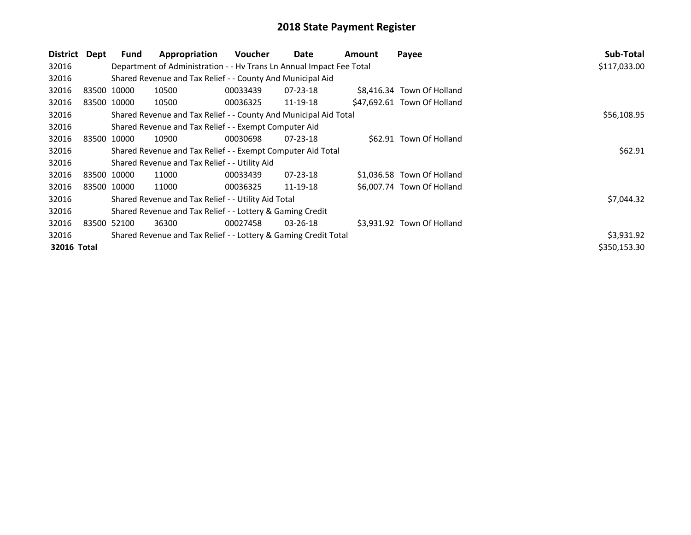| District    | Dept        | <b>Fund</b>                                                     | Appropriation                                                        | <b>Voucher</b> | Date           | Amount | Payee                       | Sub-Total    |
|-------------|-------------|-----------------------------------------------------------------|----------------------------------------------------------------------|----------------|----------------|--------|-----------------------------|--------------|
| 32016       |             |                                                                 | Department of Administration - - Hv Trans Ln Annual Impact Fee Total |                |                |        |                             | \$117,033.00 |
| 32016       |             |                                                                 | Shared Revenue and Tax Relief - - County And Municipal Aid           |                |                |        |                             |              |
| 32016       | 83500 10000 |                                                                 | 10500                                                                | 00033439       | $07 - 23 - 18$ |        | \$8,416.34 Town Of Holland  |              |
| 32016       |             | 83500 10000                                                     | 10500                                                                | 00036325       | 11-19-18       |        | \$47,692.61 Town Of Holland |              |
| 32016       |             |                                                                 | Shared Revenue and Tax Relief - - County And Municipal Aid Total     | \$56,108.95    |                |        |                             |              |
| 32016       |             |                                                                 | Shared Revenue and Tax Relief - - Exempt Computer Aid                |                |                |        |                             |              |
| 32016       |             | 83500 10000                                                     | 10900                                                                | 00030698       | $07 - 23 - 18$ |        | \$62.91 Town Of Holland     |              |
| 32016       |             |                                                                 | Shared Revenue and Tax Relief - - Exempt Computer Aid Total          | \$62.91        |                |        |                             |              |
| 32016       |             |                                                                 | Shared Revenue and Tax Relief - - Utility Aid                        |                |                |        |                             |              |
| 32016       | 83500 10000 |                                                                 | 11000                                                                | 00033439       | $07 - 23 - 18$ |        | \$1,036.58 Town Of Holland  |              |
| 32016       |             | 83500 10000                                                     | 11000                                                                | 00036325       | 11-19-18       |        | \$6,007.74 Town Of Holland  |              |
| 32016       |             |                                                                 | Shared Revenue and Tax Relief - - Utility Aid Total                  |                |                |        |                             | \$7,044.32   |
| 32016       |             |                                                                 | Shared Revenue and Tax Relief - - Lottery & Gaming Credit            |                |                |        |                             |              |
| 32016       | 83500 52100 |                                                                 | 36300                                                                | 00027458       | $03 - 26 - 18$ |        | \$3,931.92 Town Of Holland  |              |
| 32016       |             | Shared Revenue and Tax Relief - - Lottery & Gaming Credit Total | \$3,931.92                                                           |                |                |        |                             |              |
| 32016 Total |             |                                                                 |                                                                      |                |                |        |                             | \$350,153.30 |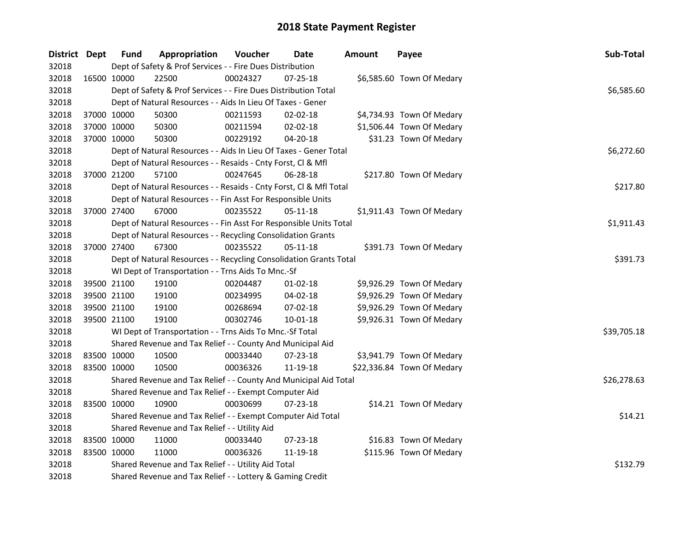| District Dept |             | <b>Fund</b>                                   | Appropriation                                                                                                    | Voucher  | Date           | <b>Amount</b> | Payee                      | Sub-Total   |  |  |  |  |
|---------------|-------------|-----------------------------------------------|------------------------------------------------------------------------------------------------------------------|----------|----------------|---------------|----------------------------|-------------|--|--|--|--|
| 32018         |             |                                               | Dept of Safety & Prof Services - - Fire Dues Distribution                                                        |          |                |               |                            |             |  |  |  |  |
| 32018         | 16500 10000 |                                               | 22500                                                                                                            | 00024327 | 07-25-18       |               | \$6,585.60 Town Of Medary  |             |  |  |  |  |
| 32018         |             |                                               | Dept of Safety & Prof Services - - Fire Dues Distribution Total                                                  |          |                |               |                            | \$6,585.60  |  |  |  |  |
| 32018         |             |                                               | Dept of Natural Resources - - Aids In Lieu Of Taxes - Gener                                                      |          |                |               |                            |             |  |  |  |  |
| 32018         | 37000 10000 |                                               | 50300                                                                                                            | 00211593 | 02-02-18       |               | \$4,734.93 Town Of Medary  |             |  |  |  |  |
| 32018         | 37000 10000 |                                               | 50300                                                                                                            | 00211594 | 02-02-18       |               | \$1,506.44 Town Of Medary  |             |  |  |  |  |
| 32018         | 37000 10000 |                                               | 50300                                                                                                            | 00229192 | 04-20-18       |               | \$31.23 Town Of Medary     |             |  |  |  |  |
| 32018         |             |                                               | Dept of Natural Resources - - Aids In Lieu Of Taxes - Gener Total                                                |          |                |               |                            | \$6,272.60  |  |  |  |  |
| 32018         |             |                                               | Dept of Natural Resources - - Resaids - Cnty Forst, Cl & Mfl                                                     |          |                |               |                            |             |  |  |  |  |
| 32018         | 37000 21200 |                                               | 57100                                                                                                            | 00247645 | $06 - 28 - 18$ |               | \$217.80 Town Of Medary    |             |  |  |  |  |
| 32018         |             |                                               | \$217.80<br>Dept of Natural Resources - - Resaids - Cnty Forst, Cl & Mfl Total                                   |          |                |               |                            |             |  |  |  |  |
| 32018         |             |                                               | Dept of Natural Resources - - Fin Asst For Responsible Units                                                     |          |                |               |                            |             |  |  |  |  |
| 32018         | 37000 27400 |                                               | 67000                                                                                                            | 00235522 | $05 - 11 - 18$ |               | \$1,911.43 Town Of Medary  |             |  |  |  |  |
| 32018         |             |                                               | Dept of Natural Resources - - Fin Asst For Responsible Units Total                                               |          |                |               |                            | \$1,911.43  |  |  |  |  |
| 32018         |             |                                               | Dept of Natural Resources - - Recycling Consolidation Grants                                                     |          |                |               |                            |             |  |  |  |  |
| 32018         | 37000 27400 |                                               | 67300                                                                                                            | 00235522 | 05-11-18       |               | \$391.73 Town Of Medary    |             |  |  |  |  |
| 32018         |             |                                               | Dept of Natural Resources - - Recycling Consolidation Grants Total                                               |          |                |               |                            | \$391.73    |  |  |  |  |
| 32018         |             |                                               | WI Dept of Transportation - - Trns Aids To Mnc.-Sf                                                               |          |                |               |                            |             |  |  |  |  |
| 32018         | 39500 21100 |                                               | 19100                                                                                                            | 00204487 | $01 - 02 - 18$ |               | \$9,926.29 Town Of Medary  |             |  |  |  |  |
| 32018         | 39500 21100 |                                               | 19100                                                                                                            | 00234995 | 04-02-18       |               | \$9,926.29 Town Of Medary  |             |  |  |  |  |
| 32018         | 39500 21100 |                                               | 19100                                                                                                            | 00268694 | 07-02-18       |               | \$9,926.29 Town Of Medary  |             |  |  |  |  |
| 32018         | 39500 21100 |                                               | 19100                                                                                                            | 00302746 | $10 - 01 - 18$ |               | \$9,926.31 Town Of Medary  |             |  |  |  |  |
| 32018         |             |                                               | WI Dept of Transportation - - Trns Aids To Mnc.-Sf Total                                                         |          |                |               |                            | \$39,705.18 |  |  |  |  |
| 32018         |             |                                               | Shared Revenue and Tax Relief - - County And Municipal Aid                                                       |          |                |               |                            |             |  |  |  |  |
| 32018         | 83500 10000 |                                               | 10500                                                                                                            | 00033440 | 07-23-18       |               | \$3,941.79 Town Of Medary  |             |  |  |  |  |
| 32018         | 83500 10000 |                                               | 10500                                                                                                            | 00036326 | 11-19-18       |               | \$22,336.84 Town Of Medary |             |  |  |  |  |
| 32018         |             |                                               | Shared Revenue and Tax Relief - - County And Municipal Aid Total                                                 |          |                |               |                            | \$26,278.63 |  |  |  |  |
| 32018         |             |                                               | Shared Revenue and Tax Relief - - Exempt Computer Aid                                                            |          |                |               |                            |             |  |  |  |  |
| 32018         | 83500 10000 |                                               | 10900                                                                                                            | 00030699 | 07-23-18       |               | \$14.21 Town Of Medary     |             |  |  |  |  |
| 32018         |             |                                               | Shared Revenue and Tax Relief - - Exempt Computer Aid Total                                                      |          |                |               |                            | \$14.21     |  |  |  |  |
| 32018         |             | Shared Revenue and Tax Relief - - Utility Aid |                                                                                                                  |          |                |               |                            |             |  |  |  |  |
| 32018         | 83500 10000 |                                               | 11000                                                                                                            | 00033440 | 07-23-18       |               | \$16.83 Town Of Medary     |             |  |  |  |  |
| 32018         | 83500 10000 |                                               | 11000                                                                                                            | 00036326 | 11-19-18       |               | \$115.96 Town Of Medary    |             |  |  |  |  |
| 32018         |             |                                               |                                                                                                                  |          |                |               |                            | \$132.79    |  |  |  |  |
| 32018         |             |                                               | Shared Revenue and Tax Relief - - Utility Aid Total<br>Shared Revenue and Tax Relief - - Lottery & Gaming Credit |          |                |               |                            |             |  |  |  |  |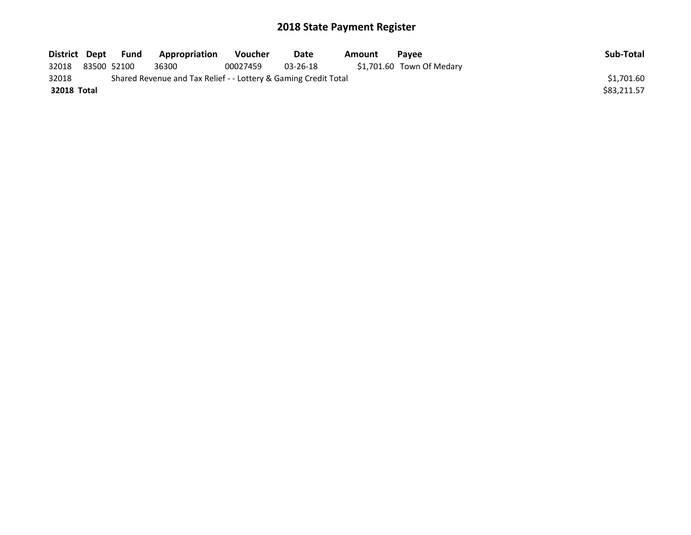| District Dept |             | Fund | Appropriation                                                   | <b>Voucher</b> | Date           | Amount | <b>Pavee</b>              | Sub-Total   |
|---------------|-------------|------|-----------------------------------------------------------------|----------------|----------------|--------|---------------------------|-------------|
| 32018         | 83500 52100 |      | 36300                                                           | 00027459       | $03 - 26 - 18$ |        | \$1,701.60 Town Of Medary |             |
| 32018         |             |      | Shared Revenue and Tax Relief - - Lottery & Gaming Credit Total |                |                |        |                           | \$1.701.60  |
| 32018 Total   |             |      |                                                                 |                |                |        |                           | \$83.211.57 |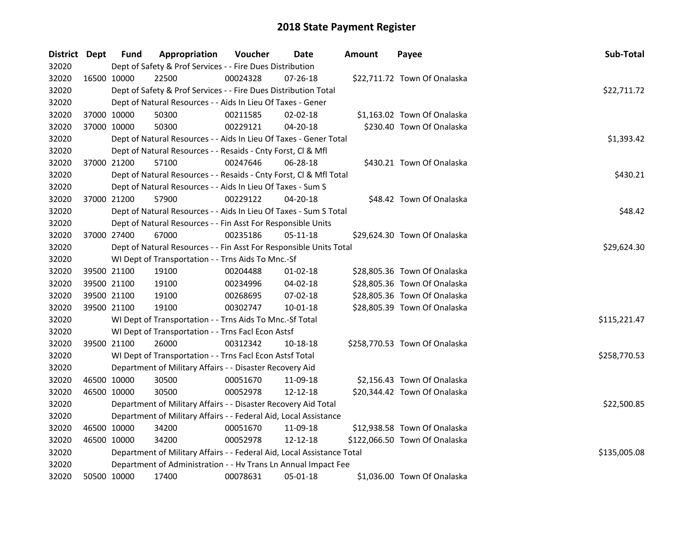| District Dept |             | <b>Fund</b> | Appropriation                                                          | Voucher  | <b>Date</b>    | Amount | Payee                         | Sub-Total    |  |  |  |
|---------------|-------------|-------------|------------------------------------------------------------------------|----------|----------------|--------|-------------------------------|--------------|--|--|--|
| 32020         |             |             | Dept of Safety & Prof Services - - Fire Dues Distribution              |          |                |        |                               |              |  |  |  |
| 32020         | 16500 10000 |             | 22500                                                                  | 00024328 | $07 - 26 - 18$ |        | \$22,711.72 Town Of Onalaska  |              |  |  |  |
| 32020         |             |             | Dept of Safety & Prof Services - - Fire Dues Distribution Total        |          |                |        |                               | \$22,711.72  |  |  |  |
| 32020         |             |             | Dept of Natural Resources - - Aids In Lieu Of Taxes - Gener            |          |                |        |                               |              |  |  |  |
| 32020         | 37000 10000 |             | 50300                                                                  | 00211585 | $02 - 02 - 18$ |        | \$1,163.02 Town Of Onalaska   |              |  |  |  |
| 32020         | 37000 10000 |             | 50300                                                                  | 00229121 | $04 - 20 - 18$ |        | \$230.40 Town Of Onalaska     |              |  |  |  |
| 32020         |             |             | Dept of Natural Resources - - Aids In Lieu Of Taxes - Gener Total      |          |                |        |                               | \$1,393.42   |  |  |  |
| 32020         |             |             | Dept of Natural Resources - - Resaids - Cnty Forst, Cl & Mfl           |          |                |        |                               |              |  |  |  |
| 32020         | 37000 21200 |             | 57100                                                                  | 00247646 | 06-28-18       |        | \$430.21 Town Of Onalaska     |              |  |  |  |
| 32020         |             |             | Dept of Natural Resources - - Resaids - Cnty Forst, Cl & Mfl Total     |          |                |        |                               | \$430.21     |  |  |  |
| 32020         |             |             | Dept of Natural Resources - - Aids In Lieu Of Taxes - Sum S            |          |                |        |                               |              |  |  |  |
| 32020         | 37000 21200 |             | 57900                                                                  | 00229122 | 04-20-18       |        | \$48.42 Town Of Onalaska      |              |  |  |  |
| 32020         |             |             | Dept of Natural Resources - - Aids In Lieu Of Taxes - Sum S Total      |          |                |        |                               | \$48.42      |  |  |  |
| 32020         |             |             | Dept of Natural Resources - - Fin Asst For Responsible Units           |          |                |        |                               |              |  |  |  |
| 32020         | 37000 27400 |             | 67000                                                                  | 00235186 | 05-11-18       |        | \$29,624.30 Town Of Onalaska  |              |  |  |  |
| 32020         |             |             | Dept of Natural Resources - - Fin Asst For Responsible Units Total     |          |                |        |                               | \$29,624.30  |  |  |  |
| 32020         |             |             | WI Dept of Transportation - - Trns Aids To Mnc.-Sf                     |          |                |        |                               |              |  |  |  |
| 32020         | 39500 21100 |             | 19100                                                                  | 00204488 | $01-02-18$     |        | \$28,805.36 Town Of Onalaska  |              |  |  |  |
| 32020         | 39500 21100 |             | 19100                                                                  | 00234996 | 04-02-18       |        | \$28,805.36 Town Of Onalaska  |              |  |  |  |
| 32020         | 39500 21100 |             | 19100                                                                  | 00268695 | 07-02-18       |        | \$28,805.36 Town Of Onalaska  |              |  |  |  |
| 32020         | 39500 21100 |             | 19100                                                                  | 00302747 | 10-01-18       |        | \$28,805.39 Town Of Onalaska  |              |  |  |  |
| 32020         |             |             | WI Dept of Transportation - - Trns Aids To Mnc.-Sf Total               |          |                |        |                               | \$115,221.47 |  |  |  |
| 32020         |             |             | WI Dept of Transportation - - Trns Facl Econ Astsf                     |          |                |        |                               |              |  |  |  |
| 32020         | 39500 21100 |             | 26000                                                                  | 00312342 | 10-18-18       |        | \$258,770.53 Town Of Onalaska |              |  |  |  |
| 32020         |             |             | WI Dept of Transportation - - Trns Facl Econ Astsf Total               |          |                |        |                               | \$258,770.53 |  |  |  |
| 32020         |             |             | Department of Military Affairs - - Disaster Recovery Aid               |          |                |        |                               |              |  |  |  |
| 32020         | 46500 10000 |             | 30500                                                                  | 00051670 | 11-09-18       |        | \$2,156.43 Town Of Onalaska   |              |  |  |  |
| 32020         | 46500 10000 |             | 30500                                                                  | 00052978 | 12-12-18       |        | \$20,344.42 Town Of Onalaska  |              |  |  |  |
| 32020         |             |             | Department of Military Affairs - - Disaster Recovery Aid Total         |          |                |        |                               | \$22,500.85  |  |  |  |
| 32020         |             |             | Department of Military Affairs - - Federal Aid, Local Assistance       |          |                |        |                               |              |  |  |  |
| 32020         | 46500 10000 |             | 34200                                                                  | 00051670 | 11-09-18       |        | \$12,938.58 Town Of Onalaska  |              |  |  |  |
| 32020         | 46500 10000 |             | 34200                                                                  | 00052978 | 12-12-18       |        | \$122,066.50 Town Of Onalaska |              |  |  |  |
| 32020         |             |             | Department of Military Affairs - - Federal Aid, Local Assistance Total |          |                |        |                               | \$135,005.08 |  |  |  |
| 32020         |             |             | Department of Administration - - Hv Trans Ln Annual Impact Fee         |          |                |        |                               |              |  |  |  |
| 32020         | 50500 10000 |             | 17400                                                                  | 00078631 | 05-01-18       |        | \$1,036.00 Town Of Onalaska   |              |  |  |  |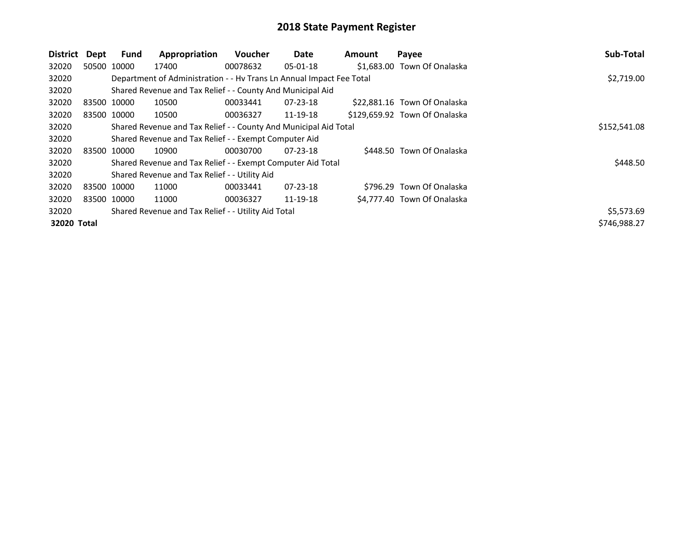| <b>District</b> | Dept | <b>Fund</b> | Appropriation                                                        | <b>Voucher</b> | Date           | Amount | Payee                         | Sub-Total    |
|-----------------|------|-------------|----------------------------------------------------------------------|----------------|----------------|--------|-------------------------------|--------------|
| 32020           |      | 50500 10000 | 17400                                                                | 00078632       | $05 - 01 - 18$ |        | \$1,683.00 Town Of Onalaska   |              |
| 32020           |      |             | Department of Administration - - Hv Trans Ln Annual Impact Fee Total |                |                |        |                               | \$2,719.00   |
| 32020           |      |             | Shared Revenue and Tax Relief - - County And Municipal Aid           |                |                |        |                               |              |
| 32020           |      | 83500 10000 | 10500                                                                | 00033441       | $07 - 23 - 18$ |        | \$22,881.16 Town Of Onalaska  |              |
| 32020           |      | 83500 10000 | 10500                                                                | 00036327       | 11-19-18       |        | \$129,659.92 Town Of Onalaska |              |
| 32020           |      |             | Shared Revenue and Tax Relief - - County And Municipal Aid Total     |                |                |        |                               | \$152,541.08 |
| 32020           |      |             | Shared Revenue and Tax Relief - - Exempt Computer Aid                |                |                |        |                               |              |
| 32020           |      | 83500 10000 | 10900                                                                | 00030700       | $07 - 23 - 18$ |        | \$448.50 Town Of Onalaska     |              |
| 32020           |      |             | Shared Revenue and Tax Relief - - Exempt Computer Aid Total          |                |                |        |                               | \$448.50     |
| 32020           |      |             | Shared Revenue and Tax Relief - - Utility Aid                        |                |                |        |                               |              |
| 32020           |      | 83500 10000 | 11000                                                                | 00033441       | $07 - 23 - 18$ |        | \$796.29 Town Of Onalaska     |              |
| 32020           |      | 83500 10000 | 11000                                                                | 00036327       | 11-19-18       |        | \$4.777.40 Town Of Onalaska   |              |
| 32020           |      |             | Shared Revenue and Tax Relief - - Utility Aid Total                  |                |                |        |                               | \$5,573.69   |
| 32020 Total     |      |             |                                                                      |                |                |        |                               | \$746,988.27 |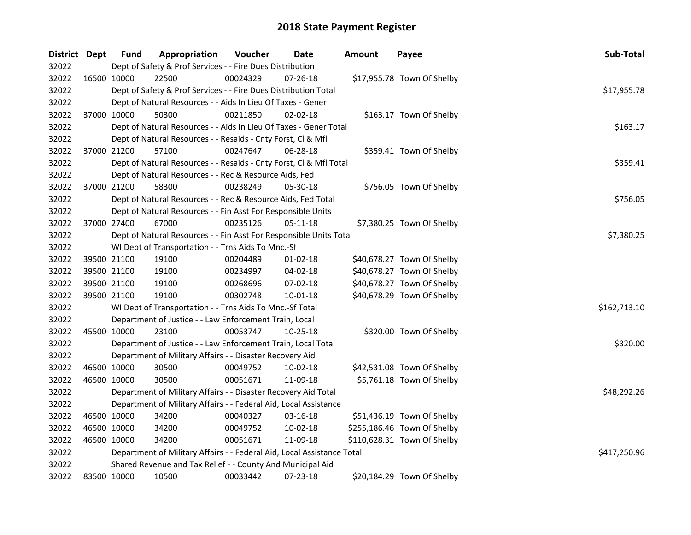| District Dept |             | <b>Fund</b> | Appropriation                                                          | Voucher  | Date           | <b>Amount</b> | Payee                       | Sub-Total    |
|---------------|-------------|-------------|------------------------------------------------------------------------|----------|----------------|---------------|-----------------------------|--------------|
| 32022         |             |             | Dept of Safety & Prof Services - - Fire Dues Distribution              |          |                |               |                             |              |
| 32022         |             | 16500 10000 | 22500                                                                  | 00024329 | $07 - 26 - 18$ |               | \$17,955.78 Town Of Shelby  |              |
| 32022         |             |             | Dept of Safety & Prof Services - - Fire Dues Distribution Total        |          |                |               |                             | \$17,955.78  |
| 32022         |             |             | Dept of Natural Resources - - Aids In Lieu Of Taxes - Gener            |          |                |               |                             |              |
| 32022         | 37000 10000 |             | 50300                                                                  | 00211850 | $02 - 02 - 18$ |               | \$163.17 Town Of Shelby     |              |
| 32022         |             |             | Dept of Natural Resources - - Aids In Lieu Of Taxes - Gener Total      |          |                |               |                             | \$163.17     |
| 32022         |             |             | Dept of Natural Resources - - Resaids - Cnty Forst, Cl & Mfl           |          |                |               |                             |              |
| 32022         |             | 37000 21200 | 57100                                                                  | 00247647 | 06-28-18       |               | \$359.41 Town Of Shelby     |              |
| 32022         |             |             | Dept of Natural Resources - - Resaids - Cnty Forst, Cl & Mfl Total     |          |                |               |                             | \$359.41     |
| 32022         |             |             | Dept of Natural Resources - - Rec & Resource Aids, Fed                 |          |                |               |                             |              |
| 32022         |             | 37000 21200 | 58300                                                                  | 00238249 | 05-30-18       |               | \$756.05 Town Of Shelby     |              |
| 32022         |             |             | Dept of Natural Resources - - Rec & Resource Aids, Fed Total           |          |                |               |                             | \$756.05     |
| 32022         |             |             | Dept of Natural Resources - - Fin Asst For Responsible Units           |          |                |               |                             |              |
| 32022         |             | 37000 27400 | 67000                                                                  | 00235126 | 05-11-18       |               | \$7,380.25 Town Of Shelby   |              |
| 32022         |             |             | Dept of Natural Resources - - Fin Asst For Responsible Units Total     |          |                |               |                             | \$7,380.25   |
| 32022         |             |             | WI Dept of Transportation - - Trns Aids To Mnc.-Sf                     |          |                |               |                             |              |
| 32022         |             | 39500 21100 | 19100                                                                  | 00204489 | $01 - 02 - 18$ |               | \$40,678.27 Town Of Shelby  |              |
| 32022         |             | 39500 21100 | 19100                                                                  | 00234997 | 04-02-18       |               | \$40,678.27 Town Of Shelby  |              |
| 32022         | 39500 21100 |             | 19100                                                                  | 00268696 | 07-02-18       |               | \$40,678.27 Town Of Shelby  |              |
| 32022         | 39500 21100 |             | 19100                                                                  | 00302748 | 10-01-18       |               | \$40,678.29 Town Of Shelby  |              |
| 32022         |             |             | WI Dept of Transportation - - Trns Aids To Mnc.-Sf Total               |          |                |               |                             | \$162,713.10 |
| 32022         |             |             | Department of Justice - - Law Enforcement Train, Local                 |          |                |               |                             |              |
| 32022         | 45500 10000 |             | 23100                                                                  | 00053747 | $10 - 25 - 18$ |               | \$320.00 Town Of Shelby     |              |
| 32022         |             |             | Department of Justice - - Law Enforcement Train, Local Total           |          |                |               |                             | \$320.00     |
| 32022         |             |             | Department of Military Affairs - - Disaster Recovery Aid               |          |                |               |                             |              |
| 32022         | 46500 10000 |             | 30500                                                                  | 00049752 | 10-02-18       |               | \$42,531.08 Town Of Shelby  |              |
| 32022         | 46500 10000 |             | 30500                                                                  | 00051671 | 11-09-18       |               | \$5,761.18 Town Of Shelby   |              |
| 32022         |             |             | Department of Military Affairs - - Disaster Recovery Aid Total         |          |                |               |                             | \$48,292.26  |
| 32022         |             |             | Department of Military Affairs - - Federal Aid, Local Assistance       |          |                |               |                             |              |
| 32022         | 46500 10000 |             | 34200                                                                  | 00040327 | 03-16-18       |               | \$51,436.19 Town Of Shelby  |              |
| 32022         | 46500 10000 |             | 34200                                                                  | 00049752 | 10-02-18       |               | \$255,186.46 Town Of Shelby |              |
| 32022         | 46500 10000 |             | 34200                                                                  | 00051671 | 11-09-18       |               | \$110,628.31 Town Of Shelby |              |
| 32022         |             |             | Department of Military Affairs - - Federal Aid, Local Assistance Total |          |                |               |                             | \$417,250.96 |
| 32022         |             |             | Shared Revenue and Tax Relief - - County And Municipal Aid             |          |                |               |                             |              |
| 32022         |             | 83500 10000 | 10500                                                                  | 00033442 | 07-23-18       |               | \$20,184.29 Town Of Shelby  |              |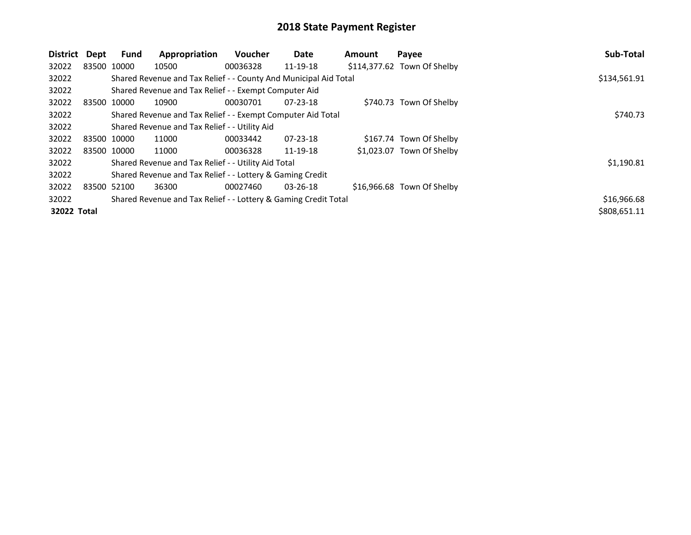| District    | Dept        | <b>Fund</b> | Appropriation                                                    | <b>Voucher</b> | Date           | Amount | Payee                       | Sub-Total    |
|-------------|-------------|-------------|------------------------------------------------------------------|----------------|----------------|--------|-----------------------------|--------------|
| 32022       |             | 83500 10000 | 10500                                                            | 00036328       | 11-19-18       |        | \$114,377.62 Town Of Shelby |              |
| 32022       |             |             | Shared Revenue and Tax Relief - - County And Municipal Aid Total |                |                |        |                             | \$134,561.91 |
| 32022       |             |             | Shared Revenue and Tax Relief - - Exempt Computer Aid            |                |                |        |                             |              |
| 32022       | 83500 10000 |             | 10900                                                            | 00030701       | $07 - 23 - 18$ |        | \$740.73 Town Of Shelby     |              |
| 32022       |             |             | Shared Revenue and Tax Relief - - Exempt Computer Aid Total      |                |                |        |                             | \$740.73     |
| 32022       |             |             | Shared Revenue and Tax Relief - - Utility Aid                    |                |                |        |                             |              |
| 32022       |             | 83500 10000 | 11000                                                            | 00033442       | $07 - 23 - 18$ |        | \$167.74 Town Of Shelby     |              |
| 32022       |             | 83500 10000 | 11000                                                            | 00036328       | 11-19-18       |        | \$1,023.07 Town Of Shelby   |              |
| 32022       |             |             | Shared Revenue and Tax Relief - - Utility Aid Total              |                |                |        |                             | \$1,190.81   |
| 32022       |             |             | Shared Revenue and Tax Relief - - Lottery & Gaming Credit        |                |                |        |                             |              |
| 32022       | 83500 52100 |             | 36300                                                            | 00027460       | 03-26-18       |        | \$16,966.68 Town Of Shelby  |              |
| 32022       |             |             | Shared Revenue and Tax Relief - - Lottery & Gaming Credit Total  |                |                |        |                             | \$16,966.68  |
| 32022 Total |             |             |                                                                  |                |                |        |                             | \$808,651.11 |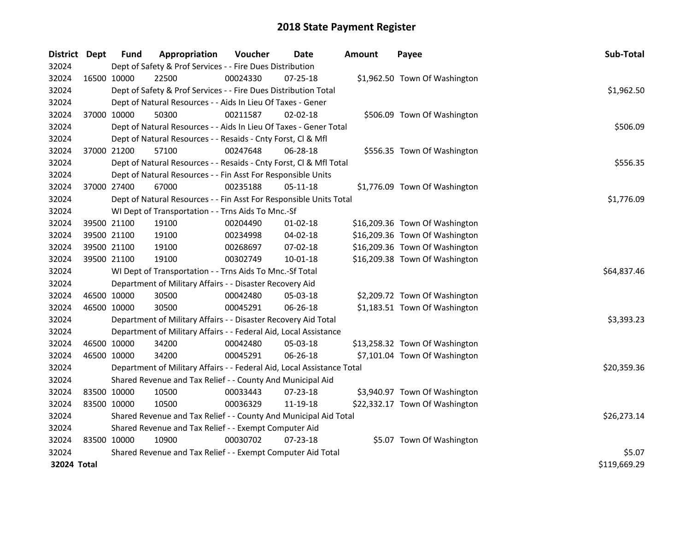| District Dept |             | Fund        | Appropriation                                                          | Voucher  | Date           | Amount | Payee                          | Sub-Total    |  |  |  |
|---------------|-------------|-------------|------------------------------------------------------------------------|----------|----------------|--------|--------------------------------|--------------|--|--|--|
| 32024         |             |             | Dept of Safety & Prof Services - - Fire Dues Distribution              |          |                |        |                                |              |  |  |  |
| 32024         | 16500 10000 |             | 22500                                                                  | 00024330 | $07 - 25 - 18$ |        | \$1,962.50 Town Of Washington  |              |  |  |  |
| 32024         |             |             | Dept of Safety & Prof Services - - Fire Dues Distribution Total        |          |                |        |                                | \$1,962.50   |  |  |  |
| 32024         |             |             | Dept of Natural Resources - - Aids In Lieu Of Taxes - Gener            |          |                |        |                                |              |  |  |  |
| 32024         | 37000 10000 |             | 50300                                                                  | 00211587 | $02 - 02 - 18$ |        | \$506.09 Town Of Washington    |              |  |  |  |
| 32024         |             |             | Dept of Natural Resources - - Aids In Lieu Of Taxes - Gener Total      |          |                |        |                                | \$506.09     |  |  |  |
| 32024         |             |             | Dept of Natural Resources - - Resaids - Cnty Forst, Cl & Mfl           |          |                |        |                                |              |  |  |  |
| 32024         | 37000 21200 |             | 57100                                                                  | 00247648 | 06-28-18       |        | \$556.35 Town Of Washington    |              |  |  |  |
| 32024         |             |             | Dept of Natural Resources - - Resaids - Cnty Forst, CI & Mfl Total     |          |                |        |                                | \$556.35     |  |  |  |
| 32024         |             |             | Dept of Natural Resources - - Fin Asst For Responsible Units           |          |                |        |                                |              |  |  |  |
| 32024         | 37000 27400 |             | 67000                                                                  | 00235188 | $05 - 11 - 18$ |        | \$1,776.09 Town Of Washington  |              |  |  |  |
| 32024         |             |             | Dept of Natural Resources - - Fin Asst For Responsible Units Total     |          |                |        |                                | \$1,776.09   |  |  |  |
| 32024         |             |             | WI Dept of Transportation - - Trns Aids To Mnc.-Sf                     |          |                |        |                                |              |  |  |  |
| 32024         |             | 39500 21100 | 19100                                                                  | 00204490 | $01 - 02 - 18$ |        | \$16,209.36 Town Of Washington |              |  |  |  |
| 32024         |             | 39500 21100 | 19100                                                                  | 00234998 | 04-02-18       |        | \$16,209.36 Town Of Washington |              |  |  |  |
| 32024         | 39500 21100 |             | 19100                                                                  | 00268697 | 07-02-18       |        | \$16,209.36 Town Of Washington |              |  |  |  |
| 32024         | 39500 21100 |             | 19100                                                                  | 00302749 | 10-01-18       |        | \$16,209.38 Town Of Washington |              |  |  |  |
| 32024         |             |             | WI Dept of Transportation - - Trns Aids To Mnc.-Sf Total               |          |                |        |                                | \$64,837.46  |  |  |  |
| 32024         |             |             | Department of Military Affairs - - Disaster Recovery Aid               |          |                |        |                                |              |  |  |  |
| 32024         |             | 46500 10000 | 30500                                                                  | 00042480 | 05-03-18       |        | \$2,209.72 Town Of Washington  |              |  |  |  |
| 32024         | 46500 10000 |             | 30500                                                                  | 00045291 | 06-26-18       |        | \$1,183.51 Town Of Washington  |              |  |  |  |
| 32024         |             |             | Department of Military Affairs - - Disaster Recovery Aid Total         |          |                |        |                                | \$3,393.23   |  |  |  |
| 32024         |             |             | Department of Military Affairs - - Federal Aid, Local Assistance       |          |                |        |                                |              |  |  |  |
| 32024         | 46500 10000 |             | 34200                                                                  | 00042480 | 05-03-18       |        | \$13,258.32 Town Of Washington |              |  |  |  |
| 32024         | 46500 10000 |             | 34200                                                                  | 00045291 | 06-26-18       |        | \$7,101.04 Town Of Washington  |              |  |  |  |
| 32024         |             |             | Department of Military Affairs - - Federal Aid, Local Assistance Total |          |                |        |                                | \$20,359.36  |  |  |  |
| 32024         |             |             | Shared Revenue and Tax Relief - - County And Municipal Aid             |          |                |        |                                |              |  |  |  |
| 32024         | 83500 10000 |             | 10500                                                                  | 00033443 | 07-23-18       |        | \$3,940.97 Town Of Washington  |              |  |  |  |
| 32024         | 83500 10000 |             | 10500                                                                  | 00036329 | 11-19-18       |        | \$22,332.17 Town Of Washington |              |  |  |  |
| 32024         |             |             | Shared Revenue and Tax Relief - - County And Municipal Aid Total       |          |                |        |                                | \$26,273.14  |  |  |  |
| 32024         |             |             | Shared Revenue and Tax Relief - - Exempt Computer Aid                  |          |                |        |                                |              |  |  |  |
| 32024         | 83500 10000 |             | 10900                                                                  | 00030702 | 07-23-18       |        | \$5.07 Town Of Washington      |              |  |  |  |
| 32024         |             |             | Shared Revenue and Tax Relief - - Exempt Computer Aid Total            |          |                |        |                                | \$5.07       |  |  |  |
| 32024 Total   |             |             |                                                                        |          |                |        |                                | \$119,669.29 |  |  |  |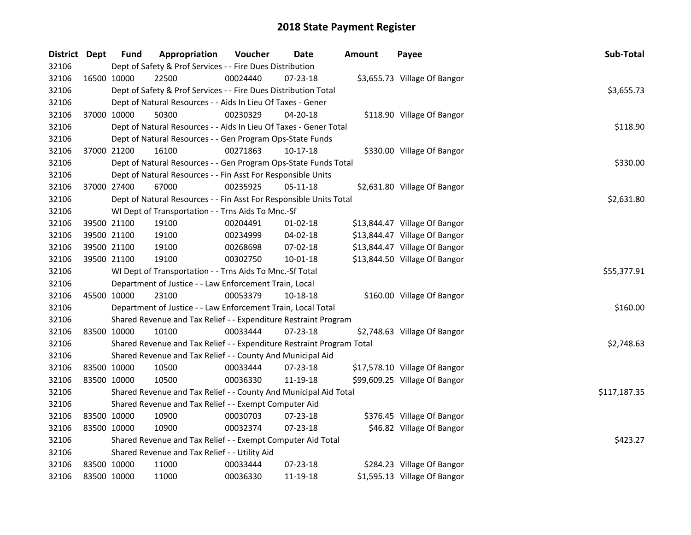| District Dept |             | <b>Fund</b> | Appropriation                                                                                                                                                                                                                                                                                                                                                                                                                                                                                                                                                                                                                                                                                                                                                                                                                                                                                                                                                                                                                                                                                                                                                                                                                                                                                                                                                                                                                                                                                                                                                                                                                                                                                                                                                                                               | Voucher  | Date     | <b>Amount</b> | Payee                        | Sub-Total    |  |  |  |  |
|---------------|-------------|-------------|-------------------------------------------------------------------------------------------------------------------------------------------------------------------------------------------------------------------------------------------------------------------------------------------------------------------------------------------------------------------------------------------------------------------------------------------------------------------------------------------------------------------------------------------------------------------------------------------------------------------------------------------------------------------------------------------------------------------------------------------------------------------------------------------------------------------------------------------------------------------------------------------------------------------------------------------------------------------------------------------------------------------------------------------------------------------------------------------------------------------------------------------------------------------------------------------------------------------------------------------------------------------------------------------------------------------------------------------------------------------------------------------------------------------------------------------------------------------------------------------------------------------------------------------------------------------------------------------------------------------------------------------------------------------------------------------------------------------------------------------------------------------------------------------------------------|----------|----------|---------------|------------------------------|--------------|--|--|--|--|
| 32106         |             |             | Dept of Safety & Prof Services - - Fire Dues Distribution<br>00024440<br>07-23-18<br>\$3,655.73 Village Of Bangor<br>Dept of Safety & Prof Services - - Fire Dues Distribution Total<br>Dept of Natural Resources - - Aids In Lieu Of Taxes - Gener<br>$04 - 20 - 18$<br>\$118.90 Village Of Bangor<br>00230329<br>Dept of Natural Resources - - Aids In Lieu Of Taxes - Gener Total<br>Dept of Natural Resources - - Gen Program Ops-State Funds<br>00271863<br>$10-17-18$<br>\$330.00 Village Of Bangor<br>Dept of Natural Resources - - Gen Program Ops-State Funds Total<br>00235925<br>05-11-18<br>\$2,631.80 Village Of Bangor<br>Dept of Natural Resources - - Fin Asst For Responsible Units Total<br>WI Dept of Transportation - - Trns Aids To Mnc.-Sf<br>00204491<br>$01 - 02 - 18$<br>\$13,844.47 Village Of Bangor<br>00234999<br>04-02-18<br>\$13,844.47 Village Of Bangor<br>00268698<br>07-02-18<br>\$13,844.47 Village Of Bangor<br>00302750<br>$10 - 01 - 18$<br>\$13,844.50 Village Of Bangor<br>WI Dept of Transportation - - Trns Aids To Mnc.-Sf Total<br>Department of Justice - - Law Enforcement Train, Local<br>00053379<br>10-18-18<br>\$160.00 Village Of Bangor<br>Department of Justice - - Law Enforcement Train, Local Total<br>Shared Revenue and Tax Relief - - Expenditure Restraint Program<br>00033444<br>07-23-18<br>\$2,748.63 Village Of Bangor<br>Shared Revenue and Tax Relief - - Expenditure Restraint Program Total<br>Shared Revenue and Tax Relief - - County And Municipal Aid<br>00033444<br>07-23-18<br>\$17,578.10 Village Of Bangor<br>00036330<br>11-19-18<br>\$99,609.25 Village Of Bangor<br>Shared Revenue and Tax Relief - - County And Municipal Aid Total<br>Shared Revenue and Tax Relief - - Exempt Computer Aid<br>\$376.45 Village Of Bangor |          |          |               |                              |              |  |  |  |  |
| 32106         | 16500 10000 |             | 22500                                                                                                                                                                                                                                                                                                                                                                                                                                                                                                                                                                                                                                                                                                                                                                                                                                                                                                                                                                                                                                                                                                                                                                                                                                                                                                                                                                                                                                                                                                                                                                                                                                                                                                                                                                                                       |          |          |               |                              |              |  |  |  |  |
| 32106         |             |             |                                                                                                                                                                                                                                                                                                                                                                                                                                                                                                                                                                                                                                                                                                                                                                                                                                                                                                                                                                                                                                                                                                                                                                                                                                                                                                                                                                                                                                                                                                                                                                                                                                                                                                                                                                                                             |          |          |               |                              | \$3,655.73   |  |  |  |  |
| 32106         |             |             |                                                                                                                                                                                                                                                                                                                                                                                                                                                                                                                                                                                                                                                                                                                                                                                                                                                                                                                                                                                                                                                                                                                                                                                                                                                                                                                                                                                                                                                                                                                                                                                                                                                                                                                                                                                                             |          |          |               |                              |              |  |  |  |  |
| 32106         | 37000 10000 |             | 50300                                                                                                                                                                                                                                                                                                                                                                                                                                                                                                                                                                                                                                                                                                                                                                                                                                                                                                                                                                                                                                                                                                                                                                                                                                                                                                                                                                                                                                                                                                                                                                                                                                                                                                                                                                                                       |          |          |               |                              |              |  |  |  |  |
| 32106         |             |             |                                                                                                                                                                                                                                                                                                                                                                                                                                                                                                                                                                                                                                                                                                                                                                                                                                                                                                                                                                                                                                                                                                                                                                                                                                                                                                                                                                                                                                                                                                                                                                                                                                                                                                                                                                                                             |          |          |               |                              | \$118.90     |  |  |  |  |
| 32106         |             |             |                                                                                                                                                                                                                                                                                                                                                                                                                                                                                                                                                                                                                                                                                                                                                                                                                                                                                                                                                                                                                                                                                                                                                                                                                                                                                                                                                                                                                                                                                                                                                                                                                                                                                                                                                                                                             |          |          |               |                              |              |  |  |  |  |
| 32106         | 37000 21200 |             | 16100                                                                                                                                                                                                                                                                                                                                                                                                                                                                                                                                                                                                                                                                                                                                                                                                                                                                                                                                                                                                                                                                                                                                                                                                                                                                                                                                                                                                                                                                                                                                                                                                                                                                                                                                                                                                       |          |          |               |                              |              |  |  |  |  |
| 32106         |             |             |                                                                                                                                                                                                                                                                                                                                                                                                                                                                                                                                                                                                                                                                                                                                                                                                                                                                                                                                                                                                                                                                                                                                                                                                                                                                                                                                                                                                                                                                                                                                                                                                                                                                                                                                                                                                             |          |          |               |                              | \$330.00     |  |  |  |  |
| 32106         |             |             | Dept of Natural Resources - - Fin Asst For Responsible Units                                                                                                                                                                                                                                                                                                                                                                                                                                                                                                                                                                                                                                                                                                                                                                                                                                                                                                                                                                                                                                                                                                                                                                                                                                                                                                                                                                                                                                                                                                                                                                                                                                                                                                                                                |          |          |               |                              |              |  |  |  |  |
| 32106         | 37000 27400 |             | 67000                                                                                                                                                                                                                                                                                                                                                                                                                                                                                                                                                                                                                                                                                                                                                                                                                                                                                                                                                                                                                                                                                                                                                                                                                                                                                                                                                                                                                                                                                                                                                                                                                                                                                                                                                                                                       |          |          |               |                              |              |  |  |  |  |
| 32106         |             |             |                                                                                                                                                                                                                                                                                                                                                                                                                                                                                                                                                                                                                                                                                                                                                                                                                                                                                                                                                                                                                                                                                                                                                                                                                                                                                                                                                                                                                                                                                                                                                                                                                                                                                                                                                                                                             |          |          |               |                              | \$2,631.80   |  |  |  |  |
| 32106         |             |             |                                                                                                                                                                                                                                                                                                                                                                                                                                                                                                                                                                                                                                                                                                                                                                                                                                                                                                                                                                                                                                                                                                                                                                                                                                                                                                                                                                                                                                                                                                                                                                                                                                                                                                                                                                                                             |          |          |               |                              |              |  |  |  |  |
| 32106         | 39500 21100 |             | 19100                                                                                                                                                                                                                                                                                                                                                                                                                                                                                                                                                                                                                                                                                                                                                                                                                                                                                                                                                                                                                                                                                                                                                                                                                                                                                                                                                                                                                                                                                                                                                                                                                                                                                                                                                                                                       |          |          |               |                              |              |  |  |  |  |
| 32106         | 39500 21100 |             | 19100                                                                                                                                                                                                                                                                                                                                                                                                                                                                                                                                                                                                                                                                                                                                                                                                                                                                                                                                                                                                                                                                                                                                                                                                                                                                                                                                                                                                                                                                                                                                                                                                                                                                                                                                                                                                       |          |          |               |                              |              |  |  |  |  |
| 32106         | 39500 21100 |             | 19100                                                                                                                                                                                                                                                                                                                                                                                                                                                                                                                                                                                                                                                                                                                                                                                                                                                                                                                                                                                                                                                                                                                                                                                                                                                                                                                                                                                                                                                                                                                                                                                                                                                                                                                                                                                                       |          |          |               |                              |              |  |  |  |  |
| 32106         | 39500 21100 |             | 19100                                                                                                                                                                                                                                                                                                                                                                                                                                                                                                                                                                                                                                                                                                                                                                                                                                                                                                                                                                                                                                                                                                                                                                                                                                                                                                                                                                                                                                                                                                                                                                                                                                                                                                                                                                                                       |          |          |               |                              |              |  |  |  |  |
| 32106         |             |             |                                                                                                                                                                                                                                                                                                                                                                                                                                                                                                                                                                                                                                                                                                                                                                                                                                                                                                                                                                                                                                                                                                                                                                                                                                                                                                                                                                                                                                                                                                                                                                                                                                                                                                                                                                                                             |          |          |               |                              | \$55,377.91  |  |  |  |  |
| 32106         |             |             |                                                                                                                                                                                                                                                                                                                                                                                                                                                                                                                                                                                                                                                                                                                                                                                                                                                                                                                                                                                                                                                                                                                                                                                                                                                                                                                                                                                                                                                                                                                                                                                                                                                                                                                                                                                                             |          |          |               |                              |              |  |  |  |  |
| 32106         | 45500 10000 |             | 23100                                                                                                                                                                                                                                                                                                                                                                                                                                                                                                                                                                                                                                                                                                                                                                                                                                                                                                                                                                                                                                                                                                                                                                                                                                                                                                                                                                                                                                                                                                                                                                                                                                                                                                                                                                                                       |          |          |               |                              |              |  |  |  |  |
| 32106         |             |             |                                                                                                                                                                                                                                                                                                                                                                                                                                                                                                                                                                                                                                                                                                                                                                                                                                                                                                                                                                                                                                                                                                                                                                                                                                                                                                                                                                                                                                                                                                                                                                                                                                                                                                                                                                                                             |          |          |               |                              | \$160.00     |  |  |  |  |
| 32106         |             |             |                                                                                                                                                                                                                                                                                                                                                                                                                                                                                                                                                                                                                                                                                                                                                                                                                                                                                                                                                                                                                                                                                                                                                                                                                                                                                                                                                                                                                                                                                                                                                                                                                                                                                                                                                                                                             |          |          |               |                              |              |  |  |  |  |
| 32106         | 83500 10000 |             | 10100                                                                                                                                                                                                                                                                                                                                                                                                                                                                                                                                                                                                                                                                                                                                                                                                                                                                                                                                                                                                                                                                                                                                                                                                                                                                                                                                                                                                                                                                                                                                                                                                                                                                                                                                                                                                       |          |          |               |                              |              |  |  |  |  |
| 32106         |             |             |                                                                                                                                                                                                                                                                                                                                                                                                                                                                                                                                                                                                                                                                                                                                                                                                                                                                                                                                                                                                                                                                                                                                                                                                                                                                                                                                                                                                                                                                                                                                                                                                                                                                                                                                                                                                             |          |          |               |                              | \$2,748.63   |  |  |  |  |
| 32106         |             |             |                                                                                                                                                                                                                                                                                                                                                                                                                                                                                                                                                                                                                                                                                                                                                                                                                                                                                                                                                                                                                                                                                                                                                                                                                                                                                                                                                                                                                                                                                                                                                                                                                                                                                                                                                                                                             |          |          |               |                              |              |  |  |  |  |
| 32106         | 83500 10000 |             | 10500                                                                                                                                                                                                                                                                                                                                                                                                                                                                                                                                                                                                                                                                                                                                                                                                                                                                                                                                                                                                                                                                                                                                                                                                                                                                                                                                                                                                                                                                                                                                                                                                                                                                                                                                                                                                       |          |          |               |                              |              |  |  |  |  |
| 32106         | 83500 10000 |             | 10500                                                                                                                                                                                                                                                                                                                                                                                                                                                                                                                                                                                                                                                                                                                                                                                                                                                                                                                                                                                                                                                                                                                                                                                                                                                                                                                                                                                                                                                                                                                                                                                                                                                                                                                                                                                                       |          |          |               |                              |              |  |  |  |  |
| 32106         |             |             |                                                                                                                                                                                                                                                                                                                                                                                                                                                                                                                                                                                                                                                                                                                                                                                                                                                                                                                                                                                                                                                                                                                                                                                                                                                                                                                                                                                                                                                                                                                                                                                                                                                                                                                                                                                                             |          |          |               |                              | \$117,187.35 |  |  |  |  |
| 32106         |             |             |                                                                                                                                                                                                                                                                                                                                                                                                                                                                                                                                                                                                                                                                                                                                                                                                                                                                                                                                                                                                                                                                                                                                                                                                                                                                                                                                                                                                                                                                                                                                                                                                                                                                                                                                                                                                             |          |          |               |                              |              |  |  |  |  |
| 32106         | 83500 10000 |             | 10900                                                                                                                                                                                                                                                                                                                                                                                                                                                                                                                                                                                                                                                                                                                                                                                                                                                                                                                                                                                                                                                                                                                                                                                                                                                                                                                                                                                                                                                                                                                                                                                                                                                                                                                                                                                                       | 00030703 | 07-23-18 |               |                              |              |  |  |  |  |
| 32106         | 83500 10000 |             | 10900                                                                                                                                                                                                                                                                                                                                                                                                                                                                                                                                                                                                                                                                                                                                                                                                                                                                                                                                                                                                                                                                                                                                                                                                                                                                                                                                                                                                                                                                                                                                                                                                                                                                                                                                                                                                       | 00032374 | 07-23-18 |               | \$46.82 Village Of Bangor    |              |  |  |  |  |
| 32106         |             |             | Shared Revenue and Tax Relief - - Exempt Computer Aid Total                                                                                                                                                                                                                                                                                                                                                                                                                                                                                                                                                                                                                                                                                                                                                                                                                                                                                                                                                                                                                                                                                                                                                                                                                                                                                                                                                                                                                                                                                                                                                                                                                                                                                                                                                 | \$423.27 |          |               |                              |              |  |  |  |  |
| 32106         |             |             | Shared Revenue and Tax Relief - - Utility Aid                                                                                                                                                                                                                                                                                                                                                                                                                                                                                                                                                                                                                                                                                                                                                                                                                                                                                                                                                                                                                                                                                                                                                                                                                                                                                                                                                                                                                                                                                                                                                                                                                                                                                                                                                               |          |          |               |                              |              |  |  |  |  |
| 32106         |             | 83500 10000 | 11000                                                                                                                                                                                                                                                                                                                                                                                                                                                                                                                                                                                                                                                                                                                                                                                                                                                                                                                                                                                                                                                                                                                                                                                                                                                                                                                                                                                                                                                                                                                                                                                                                                                                                                                                                                                                       | 00033444 | 07-23-18 |               | \$284.23 Village Of Bangor   |              |  |  |  |  |
| 32106         | 83500 10000 |             | 11000                                                                                                                                                                                                                                                                                                                                                                                                                                                                                                                                                                                                                                                                                                                                                                                                                                                                                                                                                                                                                                                                                                                                                                                                                                                                                                                                                                                                                                                                                                                                                                                                                                                                                                                                                                                                       | 00036330 | 11-19-18 |               | \$1,595.13 Village Of Bangor |              |  |  |  |  |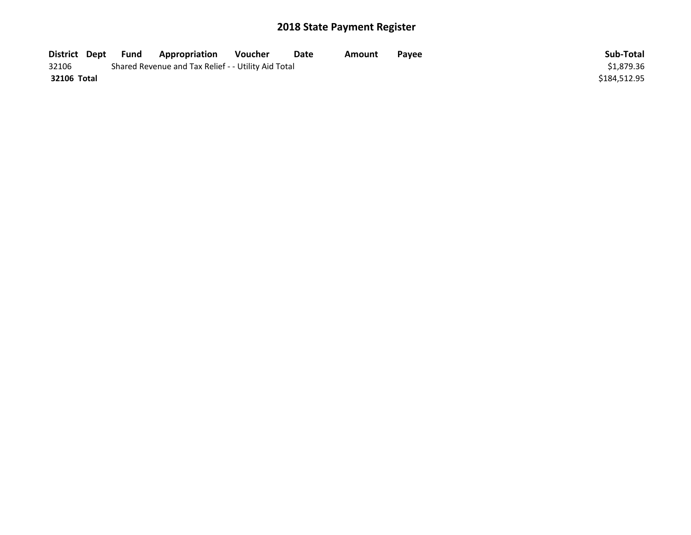| District Dept | <b>Fund</b> | Appropriation                                       | Voucher | Date | Amount | <b>Pavee</b> | Sub-Total    |
|---------------|-------------|-----------------------------------------------------|---------|------|--------|--------------|--------------|
| 32106         |             | Shared Revenue and Tax Relief - - Utility Aid Total |         |      |        |              | \$1.879.36   |
| 32106 Total   |             |                                                     |         |      |        |              | \$184,512.95 |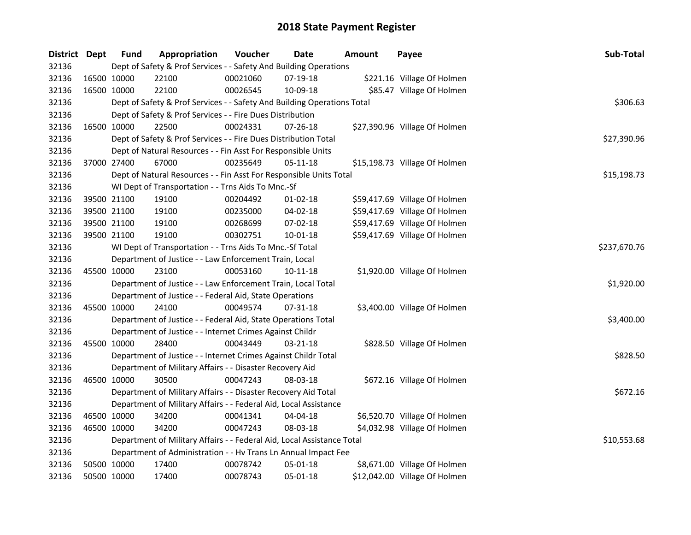| District Dept |             | <b>Fund</b> | Appropriation                                                           | Voucher  | Date           | <b>Amount</b> | Payee                         | Sub-Total    |  |  |  |  |
|---------------|-------------|-------------|-------------------------------------------------------------------------|----------|----------------|---------------|-------------------------------|--------------|--|--|--|--|
| 32136         |             |             | Dept of Safety & Prof Services - - Safety And Building Operations       |          |                |               |                               |              |  |  |  |  |
| 32136         | 16500 10000 |             | 22100                                                                   | 00021060 | 07-19-18       |               | \$221.16 Village Of Holmen    |              |  |  |  |  |
| 32136         | 16500 10000 |             | 22100                                                                   | 00026545 | 10-09-18       |               | \$85.47 Village Of Holmen     |              |  |  |  |  |
| 32136         |             |             | Dept of Safety & Prof Services - - Safety And Building Operations Total |          |                |               |                               | \$306.63     |  |  |  |  |
| 32136         |             |             | Dept of Safety & Prof Services - - Fire Dues Distribution               |          |                |               |                               |              |  |  |  |  |
| 32136         |             | 16500 10000 | 22500                                                                   | 00024331 | $07 - 26 - 18$ |               | \$27,390.96 Village Of Holmen |              |  |  |  |  |
| 32136         |             |             | Dept of Safety & Prof Services - - Fire Dues Distribution Total         |          |                |               |                               | \$27,390.96  |  |  |  |  |
| 32136         |             |             | Dept of Natural Resources - - Fin Asst For Responsible Units            |          |                |               |                               |              |  |  |  |  |
| 32136         | 37000 27400 |             | 67000                                                                   | 00235649 | 05-11-18       |               | \$15,198.73 Village Of Holmen |              |  |  |  |  |
| 32136         |             |             | Dept of Natural Resources - - Fin Asst For Responsible Units Total      |          |                |               |                               | \$15,198.73  |  |  |  |  |
| 32136         |             |             | WI Dept of Transportation - - Trns Aids To Mnc.-Sf                      |          |                |               |                               |              |  |  |  |  |
| 32136         |             | 39500 21100 | 19100                                                                   | 00204492 | $01-02-18$     |               | \$59,417.69 Village Of Holmen |              |  |  |  |  |
| 32136         |             | 39500 21100 | 19100                                                                   | 00235000 | 04-02-18       |               | \$59,417.69 Village Of Holmen |              |  |  |  |  |
| 32136         |             | 39500 21100 | 19100                                                                   | 00268699 | 07-02-18       |               | \$59,417.69 Village Of Holmen |              |  |  |  |  |
| 32136         | 39500 21100 |             | 19100                                                                   | 00302751 | $10 - 01 - 18$ |               | \$59,417.69 Village Of Holmen |              |  |  |  |  |
| 32136         |             |             | WI Dept of Transportation - - Trns Aids To Mnc.-Sf Total                |          |                |               |                               | \$237,670.76 |  |  |  |  |
| 32136         |             |             | Department of Justice - - Law Enforcement Train, Local                  |          |                |               |                               |              |  |  |  |  |
| 32136         | 45500 10000 |             | 23100                                                                   | 00053160 | $10 - 11 - 18$ |               | \$1,920.00 Village Of Holmen  |              |  |  |  |  |
| 32136         |             |             | Department of Justice - - Law Enforcement Train, Local Total            |          |                |               |                               | \$1,920.00   |  |  |  |  |
| 32136         |             |             | Department of Justice - - Federal Aid, State Operations                 |          |                |               |                               |              |  |  |  |  |
| 32136         | 45500 10000 |             | 24100                                                                   | 00049574 | 07-31-18       |               | \$3,400.00 Village Of Holmen  |              |  |  |  |  |
| 32136         |             |             | Department of Justice - - Federal Aid, State Operations Total           |          |                |               |                               | \$3,400.00   |  |  |  |  |
| 32136         |             |             | Department of Justice - - Internet Crimes Against Childr                |          |                |               |                               |              |  |  |  |  |
| 32136         | 45500 10000 |             | 28400                                                                   | 00043449 | $03 - 21 - 18$ |               | \$828.50 Village Of Holmen    |              |  |  |  |  |
| 32136         |             |             | Department of Justice - - Internet Crimes Against Childr Total          |          |                |               |                               | \$828.50     |  |  |  |  |
| 32136         |             |             | Department of Military Affairs - - Disaster Recovery Aid                |          |                |               |                               |              |  |  |  |  |
| 32136         | 46500 10000 |             | 30500                                                                   | 00047243 | 08-03-18       |               | \$672.16 Village Of Holmen    |              |  |  |  |  |
| 32136         |             |             | Department of Military Affairs - - Disaster Recovery Aid Total          |          |                |               |                               | \$672.16     |  |  |  |  |
| 32136         |             |             | Department of Military Affairs - - Federal Aid, Local Assistance        |          |                |               |                               |              |  |  |  |  |
| 32136         | 46500 10000 |             | 34200                                                                   | 00041341 | 04-04-18       |               | \$6,520.70 Village Of Holmen  |              |  |  |  |  |
| 32136         | 46500 10000 |             | 34200                                                                   | 00047243 | 08-03-18       |               | \$4,032.98 Village Of Holmen  |              |  |  |  |  |
| 32136         |             |             | Department of Military Affairs - - Federal Aid, Local Assistance Total  |          |                |               |                               | \$10,553.68  |  |  |  |  |
| 32136         |             |             | Department of Administration - - Hv Trans Ln Annual Impact Fee          |          |                |               |                               |              |  |  |  |  |
| 32136         |             | 50500 10000 | 17400                                                                   | 00078742 | 05-01-18       |               | \$8,671.00 Village Of Holmen  |              |  |  |  |  |
| 32136         | 50500 10000 |             | 17400                                                                   | 00078743 | 05-01-18       |               | \$12,042.00 Village Of Holmen |              |  |  |  |  |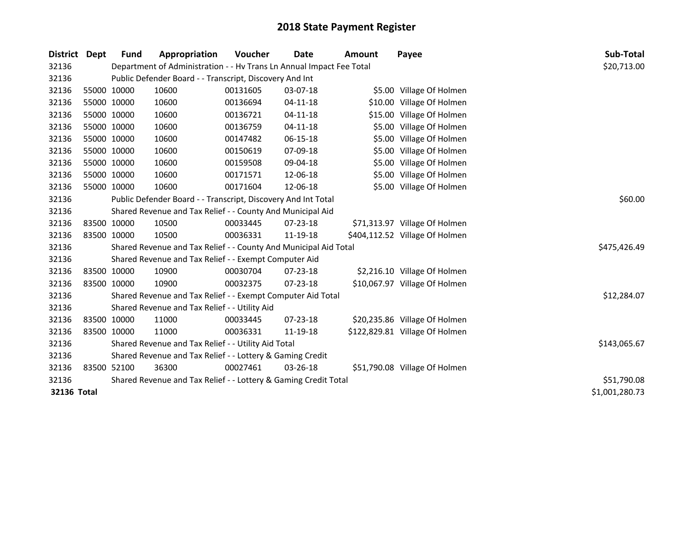| <b>District</b> | <b>Dept</b> | <b>Fund</b> | Appropriation                                                        | Voucher  | Date           | <b>Amount</b> | Payee                          | Sub-Total      |
|-----------------|-------------|-------------|----------------------------------------------------------------------|----------|----------------|---------------|--------------------------------|----------------|
| 32136           |             |             | Department of Administration - - Hv Trans Ln Annual Impact Fee Total |          |                |               |                                | \$20,713.00    |
| 32136           |             |             | Public Defender Board - - Transcript, Discovery And Int              |          |                |               |                                |                |
| 32136           |             | 55000 10000 | 10600                                                                | 00131605 | 03-07-18       |               | \$5.00 Village Of Holmen       |                |
| 32136           | 55000 10000 |             | 10600                                                                | 00136694 | $04 - 11 - 18$ |               | \$10.00 Village Of Holmen      |                |
| 32136           | 55000 10000 |             | 10600                                                                | 00136721 | 04-11-18       |               | \$15.00 Village Of Holmen      |                |
| 32136           | 55000 10000 |             | 10600                                                                | 00136759 | 04-11-18       |               | \$5.00 Village Of Holmen       |                |
| 32136           | 55000 10000 |             | 10600                                                                | 00147482 | 06-15-18       |               | \$5.00 Village Of Holmen       |                |
| 32136           |             | 55000 10000 | 10600                                                                | 00150619 | 07-09-18       |               | \$5.00 Village Of Holmen       |                |
| 32136           | 55000 10000 |             | 10600                                                                | 00159508 | 09-04-18       |               | \$5.00 Village Of Holmen       |                |
| 32136           | 55000 10000 |             | 10600                                                                | 00171571 | 12-06-18       |               | \$5.00 Village Of Holmen       |                |
| 32136           | 55000 10000 |             | 10600                                                                | 00171604 | 12-06-18       |               | \$5.00 Village Of Holmen       |                |
| 32136           |             |             | Public Defender Board - - Transcript, Discovery And Int Total        |          |                |               |                                | \$60.00        |
| 32136           |             |             | Shared Revenue and Tax Relief - - County And Municipal Aid           |          |                |               |                                |                |
| 32136           |             | 83500 10000 | 10500                                                                | 00033445 | 07-23-18       |               | \$71,313.97 Village Of Holmen  |                |
| 32136           | 83500 10000 |             | 10500                                                                | 00036331 | 11-19-18       |               | \$404,112.52 Village Of Holmen |                |
| 32136           |             |             | Shared Revenue and Tax Relief - - County And Municipal Aid Total     |          |                |               |                                | \$475,426.49   |
| 32136           |             |             | Shared Revenue and Tax Relief - - Exempt Computer Aid                |          |                |               |                                |                |
| 32136           |             | 83500 10000 | 10900                                                                | 00030704 | $07 - 23 - 18$ |               | \$2,216.10 Village Of Holmen   |                |
| 32136           | 83500 10000 |             | 10900                                                                | 00032375 | 07-23-18       |               | \$10,067.97 Village Of Holmen  |                |
| 32136           |             |             | Shared Revenue and Tax Relief - - Exempt Computer Aid Total          |          |                |               |                                | \$12,284.07    |
| 32136           |             |             | Shared Revenue and Tax Relief - - Utility Aid                        |          |                |               |                                |                |
| 32136           |             | 83500 10000 | 11000                                                                | 00033445 | 07-23-18       |               | \$20,235.86 Village Of Holmen  |                |
| 32136           | 83500 10000 |             | 11000                                                                | 00036331 | 11-19-18       |               | \$122,829.81 Village Of Holmen |                |
| 32136           |             |             | Shared Revenue and Tax Relief - - Utility Aid Total                  |          |                |               |                                | \$143,065.67   |
| 32136           |             |             | Shared Revenue and Tax Relief - - Lottery & Gaming Credit            |          |                |               |                                |                |
| 32136           |             | 83500 52100 | 36300                                                                | 00027461 | 03-26-18       |               | \$51,790.08 Village Of Holmen  |                |
| 32136           |             |             | Shared Revenue and Tax Relief - - Lottery & Gaming Credit Total      |          |                |               |                                | \$51,790.08    |
| 32136 Total     |             |             |                                                                      |          |                |               |                                | \$1,001,280.73 |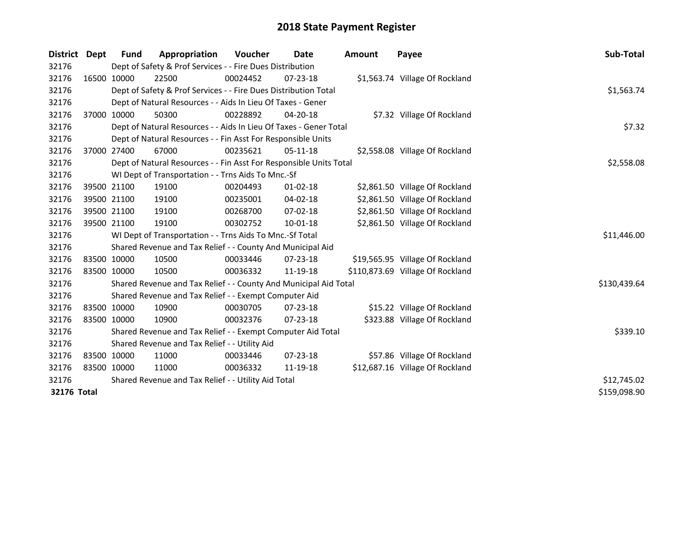| <b>District</b> | <b>Dept</b> | Fund        | Appropriation                                                      | <b>Voucher</b> | Date           | <b>Amount</b> | Payee                            | Sub-Total    |
|-----------------|-------------|-------------|--------------------------------------------------------------------|----------------|----------------|---------------|----------------------------------|--------------|
| 32176           |             |             | Dept of Safety & Prof Services - - Fire Dues Distribution          |                |                |               |                                  |              |
| 32176           |             | 16500 10000 | 22500                                                              | 00024452       | 07-23-18       |               | \$1,563.74 Village Of Rockland   |              |
| 32176           |             |             | Dept of Safety & Prof Services - - Fire Dues Distribution Total    |                |                |               |                                  | \$1,563.74   |
| 32176           |             |             | Dept of Natural Resources - - Aids In Lieu Of Taxes - Gener        |                |                |               |                                  |              |
| 32176           |             | 37000 10000 | 50300                                                              | 00228892       | 04-20-18       |               | \$7.32 Village Of Rockland       |              |
| 32176           |             |             | Dept of Natural Resources - - Aids In Lieu Of Taxes - Gener Total  |                |                |               |                                  | \$7.32       |
| 32176           |             |             | Dept of Natural Resources - - Fin Asst For Responsible Units       |                |                |               |                                  |              |
| 32176           |             | 37000 27400 | 67000                                                              | 00235621       | 05-11-18       |               | \$2,558.08 Village Of Rockland   |              |
| 32176           |             |             | Dept of Natural Resources - - Fin Asst For Responsible Units Total |                |                |               |                                  | \$2,558.08   |
| 32176           |             |             | WI Dept of Transportation - - Trns Aids To Mnc.-Sf                 |                |                |               |                                  |              |
| 32176           |             | 39500 21100 | 19100                                                              | 00204493       | $01 - 02 - 18$ |               | \$2,861.50 Village Of Rockland   |              |
| 32176           |             | 39500 21100 | 19100                                                              | 00235001       | 04-02-18       |               | \$2,861.50 Village Of Rockland   |              |
| 32176           |             | 39500 21100 | 19100                                                              | 00268700       | $07 - 02 - 18$ |               | \$2,861.50 Village Of Rockland   |              |
| 32176           |             | 39500 21100 | 19100                                                              | 00302752       | $10 - 01 - 18$ |               | \$2,861.50 Village Of Rockland   |              |
| 32176           |             |             | WI Dept of Transportation - - Trns Aids To Mnc.-Sf Total           |                |                |               |                                  | \$11,446.00  |
| 32176           |             |             | Shared Revenue and Tax Relief - - County And Municipal Aid         |                |                |               |                                  |              |
| 32176           |             | 83500 10000 | 10500                                                              | 00033446       | $07 - 23 - 18$ |               | \$19,565.95 Village Of Rockland  |              |
| 32176           |             | 83500 10000 | 10500                                                              | 00036332       | 11-19-18       |               | \$110,873.69 Village Of Rockland |              |
| 32176           |             |             | Shared Revenue and Tax Relief - - County And Municipal Aid Total   |                |                |               |                                  | \$130,439.64 |
| 32176           |             |             | Shared Revenue and Tax Relief - - Exempt Computer Aid              |                |                |               |                                  |              |
| 32176           |             | 83500 10000 | 10900                                                              | 00030705       | 07-23-18       |               | \$15.22 Village Of Rockland      |              |
| 32176           |             | 83500 10000 | 10900                                                              | 00032376       | $07 - 23 - 18$ |               | \$323.88 Village Of Rockland     |              |
| 32176           |             |             | Shared Revenue and Tax Relief - - Exempt Computer Aid Total        |                |                |               |                                  | \$339.10     |
| 32176           |             |             | Shared Revenue and Tax Relief - - Utility Aid                      |                |                |               |                                  |              |
| 32176           |             | 83500 10000 | 11000                                                              | 00033446       | 07-23-18       |               | \$57.86 Village Of Rockland      |              |
| 32176           |             | 83500 10000 | 11000                                                              | 00036332       | 11-19-18       |               | \$12,687.16 Village Of Rockland  |              |
| 32176           |             |             | Shared Revenue and Tax Relief - - Utility Aid Total                | \$12,745.02    |                |               |                                  |              |
| 32176 Total     |             |             |                                                                    |                |                |               |                                  | \$159,098.90 |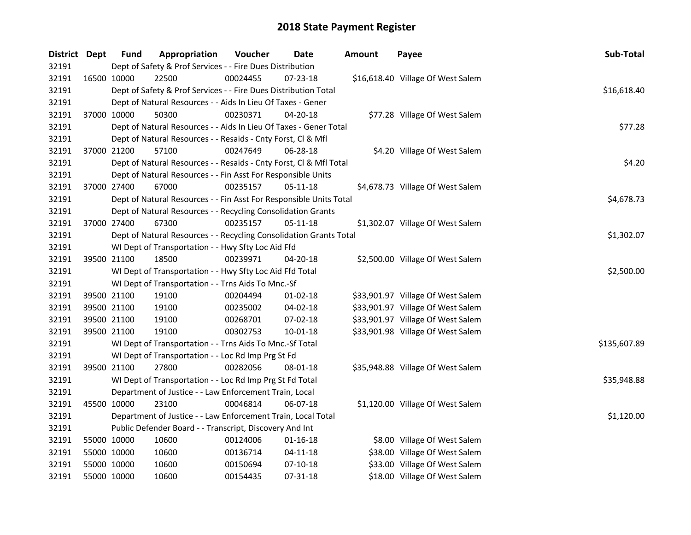| District Dept | Fund        | Appropriation                                                      | Voucher  | Date           | <b>Amount</b> | Payee                             | Sub-Total    |
|---------------|-------------|--------------------------------------------------------------------|----------|----------------|---------------|-----------------------------------|--------------|
| 32191         |             | Dept of Safety & Prof Services - - Fire Dues Distribution          |          |                |               |                                   |              |
| 32191         | 16500 10000 | 22500                                                              | 00024455 | 07-23-18       |               | \$16,618.40 Village Of West Salem |              |
| 32191         |             | Dept of Safety & Prof Services - - Fire Dues Distribution Total    |          |                |               |                                   | \$16,618.40  |
| 32191         |             | Dept of Natural Resources - - Aids In Lieu Of Taxes - Gener        |          |                |               |                                   |              |
| 32191         | 37000 10000 | 50300                                                              | 00230371 | 04-20-18       |               | \$77.28 Village Of West Salem     |              |
| 32191         |             | Dept of Natural Resources - - Aids In Lieu Of Taxes - Gener Total  |          |                |               |                                   | \$77.28      |
| 32191         |             | Dept of Natural Resources - - Resaids - Cnty Forst, Cl & Mfl       |          |                |               |                                   |              |
| 32191         | 37000 21200 | 57100                                                              | 00247649 | 06-28-18       |               | \$4.20 Village Of West Salem      |              |
| 32191         |             | Dept of Natural Resources - - Resaids - Cnty Forst, Cl & Mfl Total |          |                |               |                                   | \$4.20       |
| 32191         |             | Dept of Natural Resources - - Fin Asst For Responsible Units       |          |                |               |                                   |              |
| 32191         | 37000 27400 | 67000                                                              | 00235157 | 05-11-18       |               | \$4,678.73 Village Of West Salem  |              |
| 32191         |             | Dept of Natural Resources - - Fin Asst For Responsible Units Total |          |                |               |                                   | \$4,678.73   |
| 32191         |             | Dept of Natural Resources - - Recycling Consolidation Grants       |          |                |               |                                   |              |
| 32191         | 37000 27400 | 67300                                                              | 00235157 | 05-11-18       |               | \$1,302.07 Village Of West Salem  |              |
| 32191         |             | Dept of Natural Resources - - Recycling Consolidation Grants Total |          |                |               |                                   | \$1,302.07   |
| 32191         |             | WI Dept of Transportation - - Hwy Sfty Loc Aid Ffd                 |          |                |               |                                   |              |
| 32191         | 39500 21100 | 18500                                                              | 00239971 | 04-20-18       |               | \$2,500.00 Village Of West Salem  |              |
| 32191         |             | WI Dept of Transportation - - Hwy Sfty Loc Aid Ffd Total           |          |                |               |                                   | \$2,500.00   |
| 32191         |             | WI Dept of Transportation - - Trns Aids To Mnc.-Sf                 |          |                |               |                                   |              |
| 32191         | 39500 21100 | 19100                                                              | 00204494 | $01 - 02 - 18$ |               | \$33,901.97 Village Of West Salem |              |
| 32191         | 39500 21100 | 19100                                                              | 00235002 | 04-02-18       |               | \$33,901.97 Village Of West Salem |              |
| 32191         | 39500 21100 | 19100                                                              | 00268701 | $07 - 02 - 18$ |               | \$33,901.97 Village Of West Salem |              |
| 32191         | 39500 21100 | 19100                                                              | 00302753 | $10 - 01 - 18$ |               | \$33,901.98 Village Of West Salem |              |
| 32191         |             | WI Dept of Transportation - - Trns Aids To Mnc.-Sf Total           |          |                |               |                                   | \$135,607.89 |
| 32191         |             | WI Dept of Transportation - - Loc Rd Imp Prg St Fd                 |          |                |               |                                   |              |
| 32191         | 39500 21100 | 27800                                                              | 00282056 | 08-01-18       |               | \$35,948.88 Village Of West Salem |              |
| 32191         |             | WI Dept of Transportation - - Loc Rd Imp Prg St Fd Total           |          |                |               |                                   | \$35,948.88  |
| 32191         |             | Department of Justice - - Law Enforcement Train, Local             |          |                |               |                                   |              |
| 32191         | 45500 10000 | 23100                                                              | 00046814 | 06-07-18       |               | \$1,120.00 Village Of West Salem  |              |
| 32191         |             | Department of Justice - - Law Enforcement Train, Local Total       |          |                |               |                                   | \$1,120.00   |
| 32191         |             | Public Defender Board - - Transcript, Discovery And Int            |          |                |               |                                   |              |
| 32191         | 55000 10000 | 10600                                                              | 00124006 | 01-16-18       |               | \$8.00 Village Of West Salem      |              |
| 32191         | 55000 10000 | 10600                                                              | 00136714 | $04-11-18$     |               | \$38.00 Village Of West Salem     |              |
| 32191         | 55000 10000 | 10600                                                              | 00150694 | $07-10-18$     |               | \$33.00 Village Of West Salem     |              |
| 32191         | 55000 10000 | 10600                                                              | 00154435 | 07-31-18       |               | \$18.00 Village Of West Salem     |              |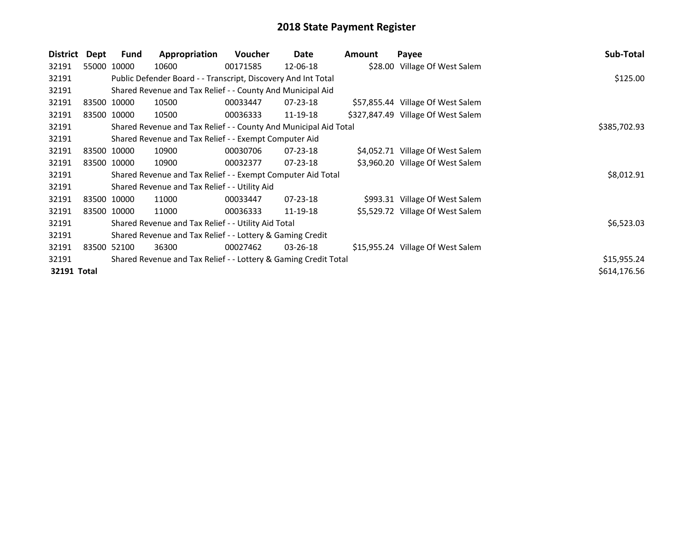| District    | Dept | <b>Fund</b> | Appropriation                                                    | Voucher  | Date           | Amount | Payee                              | Sub-Total    |
|-------------|------|-------------|------------------------------------------------------------------|----------|----------------|--------|------------------------------------|--------------|
| 32191       |      | 55000 10000 | 10600                                                            | 00171585 | 12-06-18       |        | \$28.00 Village Of West Salem      |              |
| 32191       |      |             | Public Defender Board - - Transcript, Discovery And Int Total    |          |                |        |                                    | \$125.00     |
| 32191       |      |             | Shared Revenue and Tax Relief - - County And Municipal Aid       |          |                |        |                                    |              |
| 32191       |      | 83500 10000 | 10500                                                            | 00033447 | $07 - 23 - 18$ |        | \$57,855.44 Village Of West Salem  |              |
| 32191       |      | 83500 10000 | 10500                                                            | 00036333 | 11-19-18       |        | \$327,847.49 Village Of West Salem |              |
| 32191       |      |             | Shared Revenue and Tax Relief - - County And Municipal Aid Total |          |                |        |                                    | \$385,702.93 |
| 32191       |      |             | Shared Revenue and Tax Relief - - Exempt Computer Aid            |          |                |        |                                    |              |
| 32191       |      | 83500 10000 | 10900                                                            | 00030706 | $07 - 23 - 18$ |        | \$4,052.71 Village Of West Salem   |              |
| 32191       |      | 83500 10000 | 10900                                                            | 00032377 | 07-23-18       |        | \$3,960.20 Village Of West Salem   |              |
| 32191       |      |             | Shared Revenue and Tax Relief - - Exempt Computer Aid Total      |          |                |        |                                    | \$8,012.91   |
| 32191       |      |             | Shared Revenue and Tax Relief - - Utility Aid                    |          |                |        |                                    |              |
| 32191       |      | 83500 10000 | 11000                                                            | 00033447 | 07-23-18       |        | \$993.31 Village Of West Salem     |              |
| 32191       |      | 83500 10000 | 11000                                                            | 00036333 | 11-19-18       |        | \$5,529.72 Village Of West Salem   |              |
| 32191       |      |             | Shared Revenue and Tax Relief - - Utility Aid Total              |          |                |        |                                    | \$6,523.03   |
| 32191       |      |             | Shared Revenue and Tax Relief - - Lottery & Gaming Credit        |          |                |        |                                    |              |
| 32191       |      | 83500 52100 | 36300                                                            | 00027462 | $03 - 26 - 18$ |        | \$15,955.24 Village Of West Salem  |              |
| 32191       |      |             | Shared Revenue and Tax Relief - - Lottery & Gaming Credit Total  |          |                |        |                                    | \$15,955.24  |
| 32191 Total |      |             |                                                                  |          |                |        |                                    | \$614,176.56 |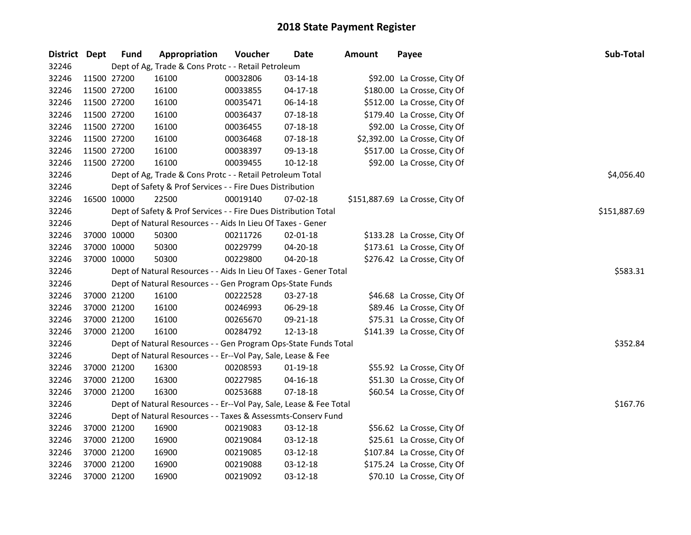| District Dept |             | <b>Fund</b> | Appropriation                                                      | Voucher  | Date           | <b>Amount</b> | Payee                           | Sub-Total    |
|---------------|-------------|-------------|--------------------------------------------------------------------|----------|----------------|---------------|---------------------------------|--------------|
| 32246         |             |             | Dept of Ag, Trade & Cons Protc - - Retail Petroleum                |          |                |               |                                 |              |
| 32246         | 11500 27200 |             | 16100                                                              | 00032806 | 03-14-18       |               | \$92.00 La Crosse, City Of      |              |
| 32246         | 11500 27200 |             | 16100                                                              | 00033855 | $04 - 17 - 18$ |               | \$180.00 La Crosse, City Of     |              |
| 32246         | 11500 27200 |             | 16100                                                              | 00035471 | 06-14-18       |               | \$512.00 La Crosse, City Of     |              |
| 32246         | 11500 27200 |             | 16100                                                              | 00036437 | 07-18-18       |               | \$179.40 La Crosse, City Of     |              |
| 32246         | 11500 27200 |             | 16100                                                              | 00036455 | 07-18-18       |               | \$92.00 La Crosse, City Of      |              |
| 32246         | 11500 27200 |             | 16100                                                              | 00036468 | 07-18-18       |               | \$2,392.00 La Crosse, City Of   |              |
| 32246         | 11500 27200 |             | 16100                                                              | 00038397 | 09-13-18       |               | \$517.00 La Crosse, City Of     |              |
| 32246         | 11500 27200 |             | 16100                                                              | 00039455 | 10-12-18       |               | \$92.00 La Crosse, City Of      |              |
| 32246         |             |             | Dept of Ag, Trade & Cons Protc - - Retail Petroleum Total          |          |                |               |                                 | \$4,056.40   |
| 32246         |             |             | Dept of Safety & Prof Services - - Fire Dues Distribution          |          |                |               |                                 |              |
| 32246         |             | 16500 10000 | 22500                                                              | 00019140 | 07-02-18       |               | \$151,887.69 La Crosse, City Of |              |
| 32246         |             |             | Dept of Safety & Prof Services - - Fire Dues Distribution Total    |          |                |               |                                 | \$151,887.69 |
| 32246         |             |             | Dept of Natural Resources - - Aids In Lieu Of Taxes - Gener        |          |                |               |                                 |              |
| 32246         | 37000 10000 |             | 50300                                                              | 00211726 | 02-01-18       |               | \$133.28 La Crosse, City Of     |              |
| 32246         | 37000 10000 |             | 50300                                                              | 00229799 | 04-20-18       |               | \$173.61 La Crosse, City Of     |              |
| 32246         |             | 37000 10000 | 50300                                                              | 00229800 | 04-20-18       |               | \$276.42 La Crosse, City Of     |              |
| 32246         |             |             | Dept of Natural Resources - - Aids In Lieu Of Taxes - Gener Total  |          |                |               |                                 | \$583.31     |
| 32246         |             |             | Dept of Natural Resources - - Gen Program Ops-State Funds          |          |                |               |                                 |              |
| 32246         | 37000 21200 |             | 16100                                                              | 00222528 | 03-27-18       |               | \$46.68 La Crosse, City Of      |              |
| 32246         | 37000 21200 |             | 16100                                                              | 00246993 | 06-29-18       |               | \$89.46 La Crosse, City Of      |              |
| 32246         | 37000 21200 |             | 16100                                                              | 00265670 | 09-21-18       |               | \$75.31 La Crosse, City Of      |              |
| 32246         |             | 37000 21200 | 16100                                                              | 00284792 | 12-13-18       |               | \$141.39 La Crosse, City Of     |              |
| 32246         |             |             | Dept of Natural Resources - - Gen Program Ops-State Funds Total    |          |                |               |                                 | \$352.84     |
| 32246         |             |             | Dept of Natural Resources - - Er--Vol Pay, Sale, Lease & Fee       |          |                |               |                                 |              |
| 32246         | 37000 21200 |             | 16300                                                              | 00208593 | 01-19-18       |               | \$55.92 La Crosse, City Of      |              |
| 32246         | 37000 21200 |             | 16300                                                              | 00227985 | 04-16-18       |               | \$51.30 La Crosse, City Of      |              |
| 32246         |             | 37000 21200 | 16300                                                              | 00253688 | 07-18-18       |               | \$60.54 La Crosse, City Of      |              |
| 32246         |             |             | Dept of Natural Resources - - Er--Vol Pay, Sale, Lease & Fee Total |          |                |               |                                 | \$167.76     |
| 32246         |             |             | Dept of Natural Resources - - Taxes & Assessmts-Conserv Fund       |          |                |               |                                 |              |
| 32246         |             | 37000 21200 | 16900                                                              | 00219083 | 03-12-18       |               | \$56.62 La Crosse, City Of      |              |
| 32246         | 37000 21200 |             | 16900                                                              | 00219084 | 03-12-18       |               | \$25.61 La Crosse, City Of      |              |
| 32246         | 37000 21200 |             | 16900                                                              | 00219085 | 03-12-18       |               | \$107.84 La Crosse, City Of     |              |
| 32246         |             | 37000 21200 | 16900                                                              | 00219088 | 03-12-18       |               | \$175.24 La Crosse, City Of     |              |
| 32246         |             | 37000 21200 | 16900                                                              | 00219092 | 03-12-18       |               | \$70.10 La Crosse, City Of      |              |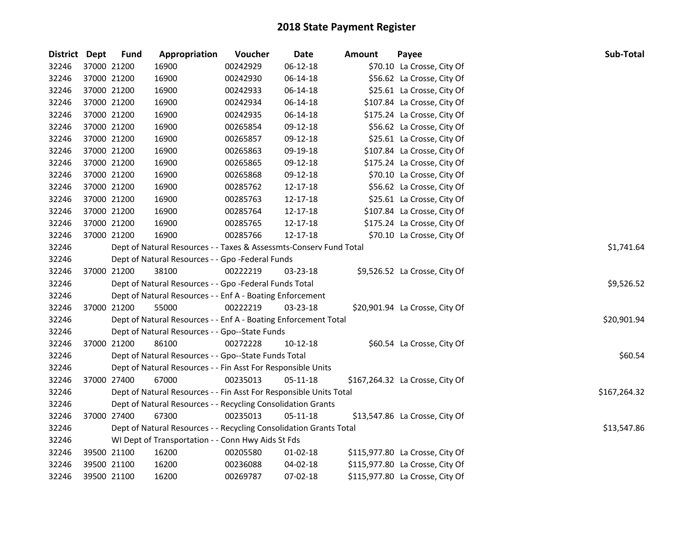| District Dept | <b>Fund</b> | Appropriation                                                      | Voucher  | <b>Date</b> | <b>Amount</b> | Payee                           | Sub-Total    |
|---------------|-------------|--------------------------------------------------------------------|----------|-------------|---------------|---------------------------------|--------------|
| 32246         | 37000 21200 | 16900                                                              | 00242929 | 06-12-18    |               | \$70.10 La Crosse, City Of      |              |
| 32246         | 37000 21200 | 16900                                                              | 00242930 | 06-14-18    |               | \$56.62 La Crosse, City Of      |              |
| 32246         | 37000 21200 | 16900                                                              | 00242933 | 06-14-18    |               | \$25.61 La Crosse, City Of      |              |
| 32246         | 37000 21200 | 16900                                                              | 00242934 | 06-14-18    |               | \$107.84 La Crosse, City Of     |              |
| 32246         | 37000 21200 | 16900                                                              | 00242935 | 06-14-18    |               | \$175.24 La Crosse, City Of     |              |
| 32246         | 37000 21200 | 16900                                                              | 00265854 | 09-12-18    |               | \$56.62 La Crosse, City Of      |              |
| 32246         | 37000 21200 | 16900                                                              | 00265857 | 09-12-18    |               | \$25.61 La Crosse, City Of      |              |
| 32246         | 37000 21200 | 16900                                                              | 00265863 | 09-19-18    |               | \$107.84 La Crosse, City Of     |              |
| 32246         | 37000 21200 | 16900                                                              | 00265865 | 09-12-18    |               | \$175.24 La Crosse, City Of     |              |
| 32246         | 37000 21200 | 16900                                                              | 00265868 | 09-12-18    |               | \$70.10 La Crosse, City Of      |              |
| 32246         | 37000 21200 | 16900                                                              | 00285762 | 12-17-18    |               | \$56.62 La Crosse, City Of      |              |
| 32246         | 37000 21200 | 16900                                                              | 00285763 | 12-17-18    |               | \$25.61 La Crosse, City Of      |              |
| 32246         | 37000 21200 | 16900                                                              | 00285764 | 12-17-18    |               | \$107.84 La Crosse, City Of     |              |
| 32246         | 37000 21200 | 16900                                                              | 00285765 | 12-17-18    |               | \$175.24 La Crosse, City Of     |              |
| 32246         | 37000 21200 | 16900                                                              | 00285766 | 12-17-18    |               | \$70.10 La Crosse, City Of      |              |
| 32246         |             | Dept of Natural Resources - - Taxes & Assessmts-Conserv Fund Total |          |             |               |                                 | \$1,741.64   |
| 32246         |             | Dept of Natural Resources - - Gpo -Federal Funds                   |          |             |               |                                 |              |
| 32246         | 37000 21200 | 38100                                                              | 00222219 | 03-23-18    |               | \$9,526.52 La Crosse, City Of   |              |
| 32246         |             | Dept of Natural Resources - - Gpo -Federal Funds Total             |          |             |               |                                 | \$9,526.52   |
| 32246         |             | Dept of Natural Resources - - Enf A - Boating Enforcement          |          |             |               |                                 |              |
| 32246         | 37000 21200 | 55000                                                              | 00222219 | 03-23-18    |               | \$20,901.94 La Crosse, City Of  |              |
| 32246         |             | Dept of Natural Resources - - Enf A - Boating Enforcement Total    |          |             |               |                                 | \$20,901.94  |
| 32246         |             | Dept of Natural Resources - - Gpo--State Funds                     |          |             |               |                                 |              |
| 32246         | 37000 21200 | 86100                                                              | 00272228 | 10-12-18    |               | \$60.54 La Crosse, City Of      |              |
| 32246         |             | Dept of Natural Resources - - Gpo--State Funds Total               |          |             |               |                                 | \$60.54      |
| 32246         |             | Dept of Natural Resources - - Fin Asst For Responsible Units       |          |             |               |                                 |              |
| 32246         | 37000 27400 | 67000                                                              | 00235013 | 05-11-18    |               | \$167,264.32 La Crosse, City Of |              |
| 32246         |             | Dept of Natural Resources - - Fin Asst For Responsible Units Total |          |             |               |                                 | \$167,264.32 |
| 32246         |             | Dept of Natural Resources - - Recycling Consolidation Grants       |          |             |               |                                 |              |
| 32246         | 37000 27400 | 67300                                                              | 00235013 | 05-11-18    |               | \$13,547.86 La Crosse, City Of  |              |
| 32246         |             | Dept of Natural Resources - - Recycling Consolidation Grants Total |          |             |               |                                 | \$13,547.86  |
| 32246         |             | WI Dept of Transportation - - Conn Hwy Aids St Fds                 |          |             |               |                                 |              |
| 32246         | 39500 21100 | 16200                                                              | 00205580 | $01-02-18$  |               | \$115,977.80 La Crosse, City Of |              |
| 32246         | 39500 21100 | 16200                                                              | 00236088 | 04-02-18    |               | \$115,977.80 La Crosse, City Of |              |
| 32246         | 39500 21100 | 16200                                                              | 00269787 | 07-02-18    |               | \$115,977.80 La Crosse, City Of |              |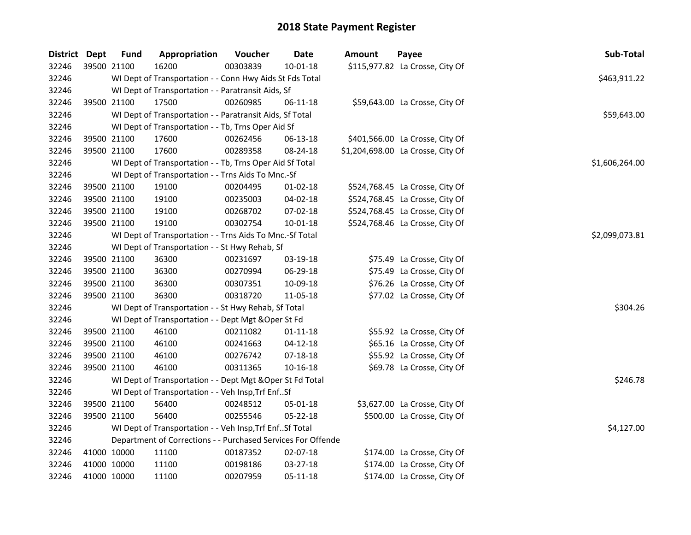| District Dept | <b>Fund</b> | Appropriation                                                | Voucher  | <b>Date</b>    | Amount | Payee                             | Sub-Total      |
|---------------|-------------|--------------------------------------------------------------|----------|----------------|--------|-----------------------------------|----------------|
| 32246         | 39500 21100 | 16200                                                        | 00303839 | $10 - 01 - 18$ |        | \$115,977.82 La Crosse, City Of   |                |
| 32246         |             | WI Dept of Transportation - - Conn Hwy Aids St Fds Total     |          |                |        |                                   | \$463,911.22   |
| 32246         |             | WI Dept of Transportation - - Paratransit Aids, Sf           |          |                |        |                                   |                |
| 32246         | 39500 21100 | 17500                                                        | 00260985 | $06-11-18$     |        | \$59,643.00 La Crosse, City Of    |                |
| 32246         |             | WI Dept of Transportation - - Paratransit Aids, Sf Total     |          |                |        |                                   | \$59,643.00    |
| 32246         |             | WI Dept of Transportation - - Tb, Trns Oper Aid Sf           |          |                |        |                                   |                |
| 32246         | 39500 21100 | 17600                                                        | 00262456 | 06-13-18       |        | \$401,566.00 La Crosse, City Of   |                |
| 32246         | 39500 21100 | 17600                                                        | 00289358 | 08-24-18       |        | \$1,204,698.00 La Crosse, City Of |                |
| 32246         |             | WI Dept of Transportation - - Tb, Trns Oper Aid Sf Total     |          |                |        |                                   | \$1,606,264.00 |
| 32246         |             | WI Dept of Transportation - - Trns Aids To Mnc.-Sf           |          |                |        |                                   |                |
| 32246         | 39500 21100 | 19100                                                        | 00204495 | 01-02-18       |        | \$524,768.45 La Crosse, City Of   |                |
| 32246         | 39500 21100 | 19100                                                        | 00235003 | 04-02-18       |        | \$524,768.45 La Crosse, City Of   |                |
| 32246         | 39500 21100 | 19100                                                        | 00268702 | 07-02-18       |        | \$524,768.45 La Crosse, City Of   |                |
| 32246         | 39500 21100 | 19100                                                        | 00302754 | 10-01-18       |        | \$524,768.46 La Crosse, City Of   |                |
| 32246         |             | WI Dept of Transportation - - Trns Aids To Mnc.-Sf Total     |          |                |        |                                   | \$2,099,073.81 |
| 32246         |             | WI Dept of Transportation - - St Hwy Rehab, Sf               |          |                |        |                                   |                |
| 32246         | 39500 21100 | 36300                                                        | 00231697 | 03-19-18       |        | \$75.49 La Crosse, City Of        |                |
| 32246         | 39500 21100 | 36300                                                        | 00270994 | 06-29-18       |        | \$75.49 La Crosse, City Of        |                |
| 32246         | 39500 21100 | 36300                                                        | 00307351 | 10-09-18       |        | \$76.26 La Crosse, City Of        |                |
| 32246         | 39500 21100 | 36300                                                        | 00318720 | 11-05-18       |        | \$77.02 La Crosse, City Of        |                |
| 32246         |             | WI Dept of Transportation - - St Hwy Rehab, Sf Total         |          |                |        |                                   | \$304.26       |
| 32246         |             | WI Dept of Transportation - - Dept Mgt & Oper St Fd          |          |                |        |                                   |                |
| 32246         | 39500 21100 | 46100                                                        | 00211082 | $01 - 11 - 18$ |        | \$55.92 La Crosse, City Of        |                |
| 32246         | 39500 21100 | 46100                                                        | 00241663 | $04-12-18$     |        | \$65.16 La Crosse, City Of        |                |
| 32246         | 39500 21100 | 46100                                                        | 00276742 | 07-18-18       |        | \$55.92 La Crosse, City Of        |                |
| 32246         | 39500 21100 | 46100                                                        | 00311365 | 10-16-18       |        | \$69.78 La Crosse, City Of        |                |
| 32246         |             | WI Dept of Transportation - - Dept Mgt & Oper St Fd Total    |          |                |        |                                   | \$246.78       |
| 32246         |             | WI Dept of Transportation - - Veh Insp, Trf EnfSf            |          |                |        |                                   |                |
| 32246         | 39500 21100 | 56400                                                        | 00248512 | 05-01-18       |        | \$3,627.00 La Crosse, City Of     |                |
| 32246         | 39500 21100 | 56400                                                        | 00255546 | 05-22-18       |        | \$500.00 La Crosse, City Of       |                |
| 32246         |             | WI Dept of Transportation - - Veh Insp, Trf Enf Sf Total     |          |                |        |                                   | \$4,127.00     |
| 32246         |             | Department of Corrections - - Purchased Services For Offende |          |                |        |                                   |                |
| 32246         | 41000 10000 | 11100                                                        | 00187352 | 02-07-18       |        | \$174.00 La Crosse, City Of       |                |
| 32246         | 41000 10000 | 11100                                                        | 00198186 | 03-27-18       |        | \$174.00 La Crosse, City Of       |                |
| 32246         | 41000 10000 | 11100                                                        | 00207959 | 05-11-18       |        | \$174.00 La Crosse, City Of       |                |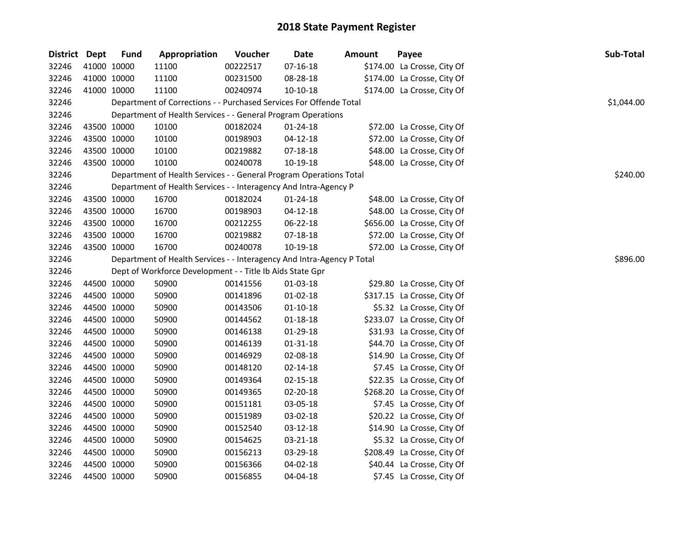| District Dept | <b>Fund</b> | Appropriation                                                          | Voucher  | Date           | Amount | Payee                       | Sub-Total  |          |
|---------------|-------------|------------------------------------------------------------------------|----------|----------------|--------|-----------------------------|------------|----------|
| 32246         | 41000 10000 | 11100                                                                  | 00222517 | $07 - 16 - 18$ |        | \$174.00 La Crosse, City Of |            |          |
| 32246         | 41000 10000 | 11100                                                                  | 00231500 | 08-28-18       |        | \$174.00 La Crosse, City Of |            |          |
| 32246         | 41000 10000 | 11100                                                                  | 00240974 | 10-10-18       |        | \$174.00 La Crosse, City Of |            |          |
| 32246         |             | Department of Corrections - - Purchased Services For Offende Total     |          |                |        |                             | \$1,044.00 |          |
| 32246         |             | Department of Health Services - - General Program Operations           |          |                |        |                             |            |          |
| 32246         | 43500 10000 | 10100                                                                  | 00182024 | $01 - 24 - 18$ |        | \$72.00 La Crosse, City Of  |            |          |
| 32246         | 43500 10000 | 10100                                                                  | 00198903 | $04 - 12 - 18$ |        | \$72.00 La Crosse, City Of  |            |          |
| 32246         | 43500 10000 | 10100                                                                  | 00219882 | $07 - 18 - 18$ |        | \$48.00 La Crosse, City Of  |            |          |
| 32246         | 43500 10000 | 10100                                                                  | 00240078 | 10-19-18       |        | \$48.00 La Crosse, City Of  |            |          |
| 32246         |             | Department of Health Services - - General Program Operations Total     |          |                |        |                             |            | \$240.00 |
| 32246         |             | Department of Health Services - - Interagency And Intra-Agency P       |          |                |        |                             |            |          |
| 32246         | 43500 10000 | 16700                                                                  | 00182024 | 01-24-18       |        | \$48.00 La Crosse, City Of  |            |          |
| 32246         | 43500 10000 | 16700                                                                  | 00198903 | 04-12-18       |        | \$48.00 La Crosse, City Of  |            |          |
| 32246         | 43500 10000 | 16700                                                                  | 00212255 | 06-22-18       |        | \$656.00 La Crosse, City Of |            |          |
| 32246         | 43500 10000 | 16700                                                                  | 00219882 | 07-18-18       |        | \$72.00 La Crosse, City Of  |            |          |
| 32246         | 43500 10000 | 16700                                                                  | 00240078 | 10-19-18       |        | \$72.00 La Crosse, City Of  |            |          |
| 32246         |             | Department of Health Services - - Interagency And Intra-Agency P Total |          |                |        |                             |            | \$896.00 |
| 32246         |             | Dept of Workforce Development - - Title Ib Aids State Gpr              |          |                |        |                             |            |          |
| 32246         | 44500 10000 | 50900                                                                  | 00141556 | 01-03-18       |        | \$29.80 La Crosse, City Of  |            |          |
| 32246         | 44500 10000 | 50900                                                                  | 00141896 | 01-02-18       |        | \$317.15 La Crosse, City Of |            |          |
| 32246         | 44500 10000 | 50900                                                                  | 00143506 | $01 - 10 - 18$ |        | \$5.32 La Crosse, City Of   |            |          |
| 32246         | 44500 10000 | 50900                                                                  | 00144562 | $01 - 18 - 18$ |        | \$233.07 La Crosse, City Of |            |          |
| 32246         | 44500 10000 | 50900                                                                  | 00146138 | 01-29-18       |        | \$31.93 La Crosse, City Of  |            |          |
| 32246         | 44500 10000 | 50900                                                                  | 00146139 | 01-31-18       |        | \$44.70 La Crosse, City Of  |            |          |
| 32246         | 44500 10000 | 50900                                                                  | 00146929 | 02-08-18       |        | \$14.90 La Crosse, City Of  |            |          |
| 32246         | 44500 10000 | 50900                                                                  | 00148120 | $02 - 14 - 18$ |        | \$7.45 La Crosse, City Of   |            |          |
| 32246         | 44500 10000 | 50900                                                                  | 00149364 | 02-15-18       |        | \$22.35 La Crosse, City Of  |            |          |
| 32246         | 44500 10000 | 50900                                                                  | 00149365 | 02-20-18       |        | \$268.20 La Crosse, City Of |            |          |
| 32246         | 44500 10000 | 50900                                                                  | 00151181 | 03-05-18       |        | \$7.45 La Crosse, City Of   |            |          |
| 32246         | 44500 10000 | 50900                                                                  | 00151989 | 03-02-18       |        | \$20.22 La Crosse, City Of  |            |          |
| 32246         | 44500 10000 | 50900                                                                  | 00152540 | 03-12-18       |        | \$14.90 La Crosse, City Of  |            |          |
| 32246         | 44500 10000 | 50900                                                                  | 00154625 | 03-21-18       |        | \$5.32 La Crosse, City Of   |            |          |
| 32246         | 44500 10000 | 50900                                                                  | 00156213 | 03-29-18       |        | \$208.49 La Crosse, City Of |            |          |
| 32246         | 44500 10000 | 50900                                                                  | 00156366 | 04-02-18       |        | \$40.44 La Crosse, City Of  |            |          |
| 32246         | 44500 10000 | 50900                                                                  | 00156855 | 04-04-18       |        | \$7.45 La Crosse, City Of   |            |          |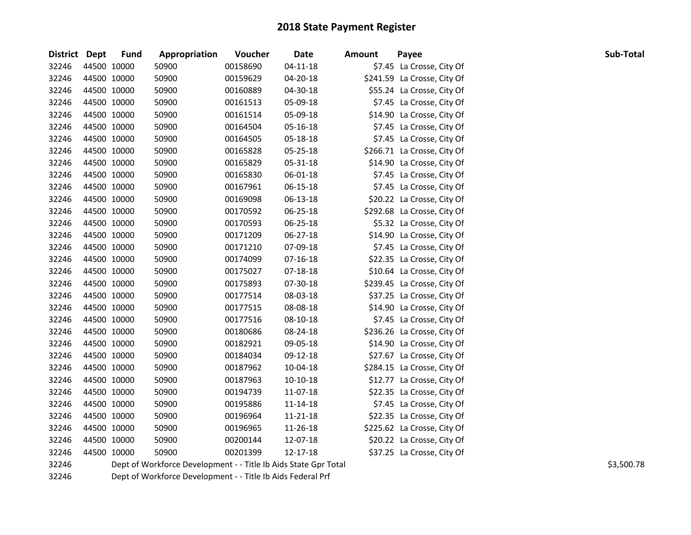| District Dept | <b>Fund</b> | Appropriation                                                   | Voucher  | Date           | <b>Amount</b> | Payee                       | Sub-Total  |
|---------------|-------------|-----------------------------------------------------------------|----------|----------------|---------------|-----------------------------|------------|
| 32246         | 44500 10000 | 50900                                                           | 00158690 | $04 - 11 - 18$ |               | \$7.45 La Crosse, City Of   |            |
| 32246         | 44500 10000 | 50900                                                           | 00159629 | 04-20-18       |               | \$241.59 La Crosse, City Of |            |
| 32246         | 44500 10000 | 50900                                                           | 00160889 | 04-30-18       |               | \$55.24 La Crosse, City Of  |            |
| 32246         | 44500 10000 | 50900                                                           | 00161513 | 05-09-18       |               | \$7.45 La Crosse, City Of   |            |
| 32246         | 44500 10000 | 50900                                                           | 00161514 | 05-09-18       |               | \$14.90 La Crosse, City Of  |            |
| 32246         | 44500 10000 | 50900                                                           | 00164504 | 05-16-18       |               | \$7.45 La Crosse, City Of   |            |
| 32246         | 44500 10000 | 50900                                                           | 00164505 | 05-18-18       |               | \$7.45 La Crosse, City Of   |            |
| 32246         | 44500 10000 | 50900                                                           | 00165828 | 05-25-18       |               | \$266.71 La Crosse, City Of |            |
| 32246         | 44500 10000 | 50900                                                           | 00165829 | 05-31-18       |               | \$14.90 La Crosse, City Of  |            |
| 32246         | 44500 10000 | 50900                                                           | 00165830 | 06-01-18       |               | \$7.45 La Crosse, City Of   |            |
| 32246         | 44500 10000 | 50900                                                           | 00167961 | 06-15-18       |               | \$7.45 La Crosse, City Of   |            |
| 32246         | 44500 10000 | 50900                                                           | 00169098 | 06-13-18       |               | \$20.22 La Crosse, City Of  |            |
| 32246         | 44500 10000 | 50900                                                           | 00170592 | 06-25-18       |               | \$292.68 La Crosse, City Of |            |
| 32246         | 44500 10000 | 50900                                                           | 00170593 | 06-25-18       |               | \$5.32 La Crosse, City Of   |            |
| 32246         | 44500 10000 | 50900                                                           | 00171209 | 06-27-18       |               | \$14.90 La Crosse, City Of  |            |
| 32246         | 44500 10000 | 50900                                                           | 00171210 | 07-09-18       |               | \$7.45 La Crosse, City Of   |            |
| 32246         | 44500 10000 | 50900                                                           | 00174099 | 07-16-18       |               | \$22.35 La Crosse, City Of  |            |
| 32246         | 44500 10000 | 50900                                                           | 00175027 | 07-18-18       |               | \$10.64 La Crosse, City Of  |            |
| 32246         | 44500 10000 | 50900                                                           | 00175893 | 07-30-18       |               | \$239.45 La Crosse, City Of |            |
| 32246         | 44500 10000 | 50900                                                           | 00177514 | 08-03-18       |               | \$37.25 La Crosse, City Of  |            |
| 32246         | 44500 10000 | 50900                                                           | 00177515 | 08-08-18       |               | \$14.90 La Crosse, City Of  |            |
| 32246         | 44500 10000 | 50900                                                           | 00177516 | 08-10-18       |               | \$7.45 La Crosse, City Of   |            |
| 32246         | 44500 10000 | 50900                                                           | 00180686 | 08-24-18       |               | \$236.26 La Crosse, City Of |            |
| 32246         | 44500 10000 | 50900                                                           | 00182921 | 09-05-18       |               | \$14.90 La Crosse, City Of  |            |
| 32246         | 44500 10000 | 50900                                                           | 00184034 | 09-12-18       |               | \$27.67 La Crosse, City Of  |            |
| 32246         | 44500 10000 | 50900                                                           | 00187962 | 10-04-18       |               | \$284.15 La Crosse, City Of |            |
| 32246         | 44500 10000 | 50900                                                           | 00187963 | 10-10-18       |               | \$12.77 La Crosse, City Of  |            |
| 32246         | 44500 10000 | 50900                                                           | 00194739 | 11-07-18       |               | \$22.35 La Crosse, City Of  |            |
| 32246         | 44500 10000 | 50900                                                           | 00195886 | 11-14-18       |               | \$7.45 La Crosse, City Of   |            |
| 32246         | 44500 10000 | 50900                                                           | 00196964 | 11-21-18       |               | \$22.35 La Crosse, City Of  |            |
| 32246         | 44500 10000 | 50900                                                           | 00196965 | 11-26-18       |               | \$225.62 La Crosse, City Of |            |
| 32246         | 44500 10000 | 50900                                                           | 00200144 | 12-07-18       |               | \$20.22 La Crosse, City Of  |            |
| 32246         | 44500 10000 | 50900                                                           | 00201399 | 12-17-18       |               | \$37.25 La Crosse, City Of  |            |
| 32246         |             | Dept of Workforce Development - - Title Ib Aids State Gpr Total |          |                |               |                             | \$3,500.78 |
| 32246         |             | Dept of Workforce Development - - Title Ib Aids Federal Prf     |          |                |               |                             |            |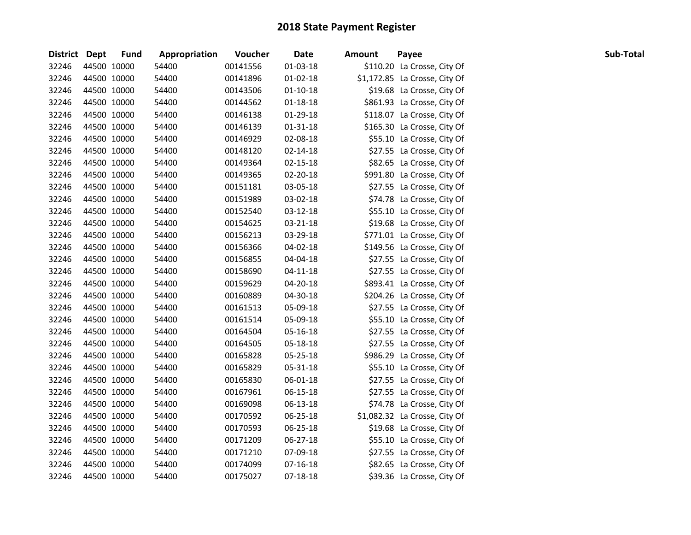| District Dept |             | Fund        | Appropriation | Voucher  | Date           | <b>Amount</b> | Payee                         | Sub-Total |
|---------------|-------------|-------------|---------------|----------|----------------|---------------|-------------------------------|-----------|
| 32246         |             | 44500 10000 | 54400         | 00141556 | 01-03-18       |               | \$110.20 La Crosse, City Of   |           |
| 32246         |             | 44500 10000 | 54400         | 00141896 | $01-02-18$     |               | \$1,172.85 La Crosse, City Of |           |
| 32246         |             | 44500 10000 | 54400         | 00143506 | 01-10-18       |               | \$19.68 La Crosse, City Of    |           |
| 32246         |             | 44500 10000 | 54400         | 00144562 | $01 - 18 - 18$ |               | \$861.93 La Crosse, City Of   |           |
| 32246         |             | 44500 10000 | 54400         | 00146138 | 01-29-18       |               | \$118.07 La Crosse, City Of   |           |
| 32246         |             | 44500 10000 | 54400         | 00146139 | 01-31-18       |               | \$165.30 La Crosse, City Of   |           |
| 32246         |             | 44500 10000 | 54400         | 00146929 | 02-08-18       |               | \$55.10 La Crosse, City Of    |           |
| 32246         |             | 44500 10000 | 54400         | 00148120 | $02 - 14 - 18$ |               | \$27.55 La Crosse, City Of    |           |
| 32246         |             | 44500 10000 | 54400         | 00149364 | 02-15-18       |               | \$82.65 La Crosse, City Of    |           |
| 32246         |             | 44500 10000 | 54400         | 00149365 | 02-20-18       |               | \$991.80 La Crosse, City Of   |           |
| 32246         | 44500 10000 |             | 54400         | 00151181 | 03-05-18       |               | \$27.55 La Crosse, City Of    |           |
| 32246         | 44500 10000 |             | 54400         | 00151989 | 03-02-18       |               | \$74.78 La Crosse, City Of    |           |
| 32246         | 44500 10000 |             | 54400         | 00152540 | 03-12-18       |               | \$55.10 La Crosse, City Of    |           |
| 32246         | 44500 10000 |             | 54400         | 00154625 | 03-21-18       |               | \$19.68 La Crosse, City Of    |           |
| 32246         | 44500 10000 |             | 54400         | 00156213 | 03-29-18       |               | \$771.01 La Crosse, City Of   |           |
| 32246         |             | 44500 10000 | 54400         | 00156366 | 04-02-18       |               | \$149.56 La Crosse, City Of   |           |
| 32246         |             | 44500 10000 | 54400         | 00156855 | 04-04-18       |               | \$27.55 La Crosse, City Of    |           |
| 32246         | 44500 10000 |             | 54400         | 00158690 | $04 - 11 - 18$ |               | \$27.55 La Crosse, City Of    |           |
| 32246         |             | 44500 10000 | 54400         | 00159629 | 04-20-18       |               | \$893.41 La Crosse, City Of   |           |
| 32246         |             | 44500 10000 | 54400         | 00160889 | 04-30-18       |               | \$204.26 La Crosse, City Of   |           |
| 32246         |             | 44500 10000 | 54400         | 00161513 | 05-09-18       |               | \$27.55 La Crosse, City Of    |           |
| 32246         |             | 44500 10000 | 54400         | 00161514 | 05-09-18       |               | \$55.10 La Crosse, City Of    |           |
| 32246         |             | 44500 10000 | 54400         | 00164504 | 05-16-18       |               | \$27.55 La Crosse, City Of    |           |
| 32246         | 44500 10000 |             | 54400         | 00164505 | 05-18-18       |               | \$27.55 La Crosse, City Of    |           |
| 32246         |             | 44500 10000 | 54400         | 00165828 | 05-25-18       |               | \$986.29 La Crosse, City Of   |           |
| 32246         |             | 44500 10000 | 54400         | 00165829 | 05-31-18       |               | \$55.10 La Crosse, City Of    |           |
| 32246         |             | 44500 10000 | 54400         | 00165830 | 06-01-18       |               | \$27.55 La Crosse, City Of    |           |
| 32246         |             | 44500 10000 | 54400         | 00167961 | 06-15-18       |               | \$27.55 La Crosse, City Of    |           |
| 32246         |             | 44500 10000 | 54400         | 00169098 | 06-13-18       |               | \$74.78 La Crosse, City Of    |           |
| 32246         |             | 44500 10000 | 54400         | 00170592 | 06-25-18       |               | \$1,082.32 La Crosse, City Of |           |
| 32246         |             | 44500 10000 | 54400         | 00170593 | 06-25-18       |               | \$19.68 La Crosse, City Of    |           |
| 32246         |             | 44500 10000 | 54400         | 00171209 | 06-27-18       |               | \$55.10 La Crosse, City Of    |           |
| 32246         |             | 44500 10000 | 54400         | 00171210 | 07-09-18       |               | \$27.55 La Crosse, City Of    |           |
| 32246         | 44500 10000 |             | 54400         | 00174099 | $07-16-18$     |               | \$82.65 La Crosse, City Of    |           |
| 32246         | 44500 10000 |             | 54400         | 00175027 | 07-18-18       |               | \$39.36 La Crosse, City Of    |           |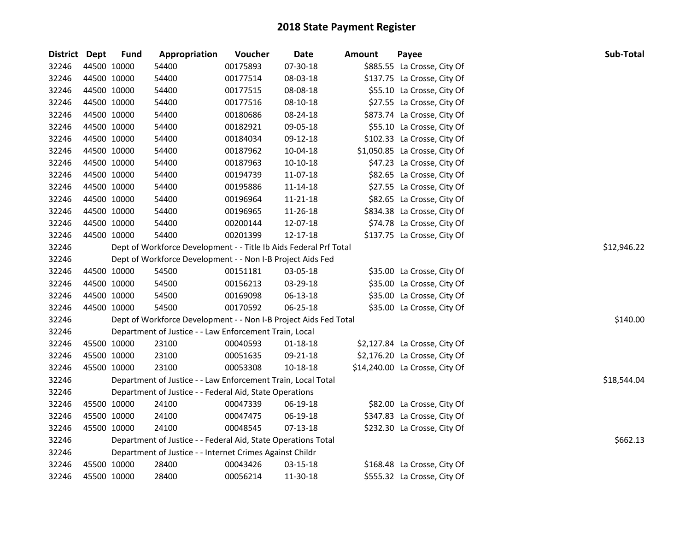| District Dept |             | <b>Fund</b> | Appropriation                                                     | Voucher  | <b>Date</b> | Amount | Payee                          | Sub-Total   |
|---------------|-------------|-------------|-------------------------------------------------------------------|----------|-------------|--------|--------------------------------|-------------|
| 32246         | 44500 10000 |             | 54400                                                             | 00175893 | 07-30-18    |        | \$885.55 La Crosse, City Of    |             |
| 32246         | 44500 10000 |             | 54400                                                             | 00177514 | 08-03-18    |        | \$137.75 La Crosse, City Of    |             |
| 32246         | 44500 10000 |             | 54400                                                             | 00177515 | 08-08-18    |        | \$55.10 La Crosse, City Of     |             |
| 32246         | 44500 10000 |             | 54400                                                             | 00177516 | 08-10-18    |        | \$27.55 La Crosse, City Of     |             |
| 32246         | 44500 10000 |             | 54400                                                             | 00180686 | 08-24-18    |        | \$873.74 La Crosse, City Of    |             |
| 32246         | 44500 10000 |             | 54400                                                             | 00182921 | 09-05-18    |        | \$55.10 La Crosse, City Of     |             |
| 32246         | 44500 10000 |             | 54400                                                             | 00184034 | 09-12-18    |        | \$102.33 La Crosse, City Of    |             |
| 32246         | 44500 10000 |             | 54400                                                             | 00187962 | 10-04-18    |        | \$1,050.85 La Crosse, City Of  |             |
| 32246         | 44500 10000 |             | 54400                                                             | 00187963 | $10-10-18$  |        | \$47.23 La Crosse, City Of     |             |
| 32246         | 44500 10000 |             | 54400                                                             | 00194739 | 11-07-18    |        | \$82.65 La Crosse, City Of     |             |
| 32246         | 44500 10000 |             | 54400                                                             | 00195886 | 11-14-18    |        | \$27.55 La Crosse, City Of     |             |
| 32246         | 44500 10000 |             | 54400                                                             | 00196964 | 11-21-18    |        | \$82.65 La Crosse, City Of     |             |
| 32246         | 44500 10000 |             | 54400                                                             | 00196965 | 11-26-18    |        | \$834.38 La Crosse, City Of    |             |
| 32246         | 44500 10000 |             | 54400                                                             | 00200144 | 12-07-18    |        | \$74.78 La Crosse, City Of     |             |
| 32246         | 44500 10000 |             | 54400                                                             | 00201399 | 12-17-18    |        | \$137.75 La Crosse, City Of    |             |
| 32246         |             |             | Dept of Workforce Development - - Title Ib Aids Federal Prf Total |          |             |        |                                | \$12,946.22 |
| 32246         |             |             | Dept of Workforce Development - - Non I-B Project Aids Fed        |          |             |        |                                |             |
| 32246         | 44500 10000 |             | 54500                                                             | 00151181 | 03-05-18    |        | \$35.00 La Crosse, City Of     |             |
| 32246         | 44500 10000 |             | 54500                                                             | 00156213 | 03-29-18    |        | \$35.00 La Crosse, City Of     |             |
| 32246         | 44500 10000 |             | 54500                                                             | 00169098 | 06-13-18    |        | \$35.00 La Crosse, City Of     |             |
| 32246         | 44500 10000 |             | 54500                                                             | 00170592 | 06-25-18    |        | \$35.00 La Crosse, City Of     |             |
| 32246         |             |             | Dept of Workforce Development - - Non I-B Project Aids Fed Total  |          |             |        |                                | \$140.00    |
| 32246         |             |             | Department of Justice - - Law Enforcement Train, Local            |          |             |        |                                |             |
| 32246         | 45500 10000 |             | 23100                                                             | 00040593 | 01-18-18    |        | \$2,127.84 La Crosse, City Of  |             |
| 32246         | 45500 10000 |             | 23100                                                             | 00051635 | 09-21-18    |        | \$2,176.20 La Crosse, City Of  |             |
| 32246         |             | 45500 10000 | 23100                                                             | 00053308 | 10-18-18    |        | \$14,240.00 La Crosse, City Of |             |
| 32246         |             |             | Department of Justice - - Law Enforcement Train, Local Total      |          |             |        |                                | \$18,544.04 |
| 32246         |             |             | Department of Justice - - Federal Aid, State Operations           |          |             |        |                                |             |
| 32246         | 45500 10000 |             | 24100                                                             | 00047339 | 06-19-18    |        | \$82.00 La Crosse, City Of     |             |
| 32246         | 45500 10000 |             | 24100                                                             | 00047475 | 06-19-18    |        | \$347.83 La Crosse, City Of    |             |
| 32246         | 45500 10000 |             | 24100                                                             | 00048545 | $07-13-18$  |        | \$232.30 La Crosse, City Of    |             |
| 32246         |             |             | Department of Justice - - Federal Aid, State Operations Total     |          |             |        |                                | \$662.13    |
| 32246         |             |             | Department of Justice - - Internet Crimes Against Childr          |          |             |        |                                |             |
| 32246         | 45500 10000 |             | 28400                                                             | 00043426 | 03-15-18    |        | \$168.48 La Crosse, City Of    |             |
| 32246         | 45500 10000 |             | 28400                                                             | 00056214 | 11-30-18    |        | \$555.32 La Crosse, City Of    |             |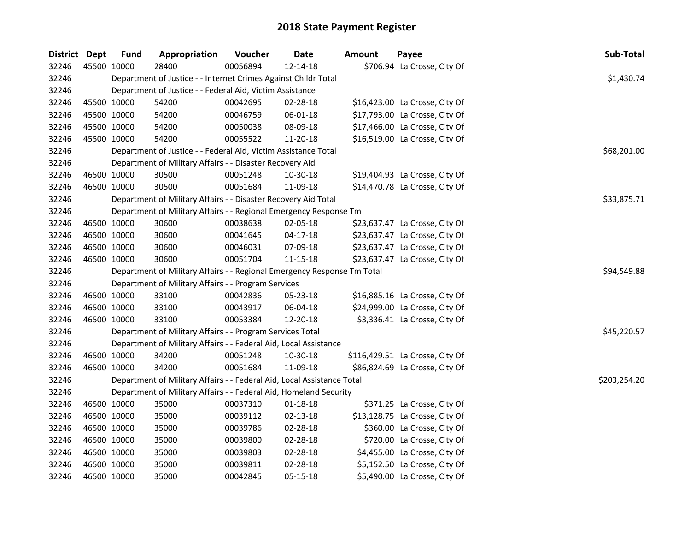| District Dept |             | <b>Fund</b> | Appropriation                                                           | Voucher  | <b>Date</b>    | <b>Amount</b> | Payee                           | Sub-Total    |
|---------------|-------------|-------------|-------------------------------------------------------------------------|----------|----------------|---------------|---------------------------------|--------------|
| 32246         | 45500 10000 |             | 28400                                                                   | 00056894 | 12-14-18       |               | \$706.94 La Crosse, City Of     |              |
| 32246         |             |             | Department of Justice - - Internet Crimes Against Childr Total          |          |                |               |                                 | \$1,430.74   |
| 32246         |             |             | Department of Justice - - Federal Aid, Victim Assistance                |          |                |               |                                 |              |
| 32246         | 45500 10000 |             | 54200                                                                   | 00042695 | 02-28-18       |               | \$16,423.00 La Crosse, City Of  |              |
| 32246         | 45500 10000 |             | 54200                                                                   | 00046759 | 06-01-18       |               | \$17,793.00 La Crosse, City Of  |              |
| 32246         | 45500 10000 |             | 54200                                                                   | 00050038 | 08-09-18       |               | \$17,466.00 La Crosse, City Of  |              |
| 32246         | 45500 10000 |             | 54200                                                                   | 00055522 | 11-20-18       |               | \$16,519.00 La Crosse, City Of  |              |
| 32246         |             |             | Department of Justice - - Federal Aid, Victim Assistance Total          |          |                |               |                                 | \$68,201.00  |
| 32246         |             |             | Department of Military Affairs - - Disaster Recovery Aid                |          |                |               |                                 |              |
| 32246         | 46500 10000 |             | 30500                                                                   | 00051248 | 10-30-18       |               | \$19,404.93 La Crosse, City Of  |              |
| 32246         | 46500 10000 |             | 30500                                                                   | 00051684 | 11-09-18       |               | \$14,470.78 La Crosse, City Of  |              |
| 32246         |             |             | Department of Military Affairs - - Disaster Recovery Aid Total          |          |                |               |                                 | \$33,875.71  |
| 32246         |             |             | Department of Military Affairs - - Regional Emergency Response Tm       |          |                |               |                                 |              |
| 32246         | 46500 10000 |             | 30600                                                                   | 00038638 | 02-05-18       |               | \$23,637.47 La Crosse, City Of  |              |
| 32246         | 46500 10000 |             | 30600                                                                   | 00041645 | $04-17-18$     |               | \$23,637.47 La Crosse, City Of  |              |
| 32246         | 46500 10000 |             | 30600                                                                   | 00046031 | 07-09-18       |               | \$23,637.47 La Crosse, City Of  |              |
| 32246         | 46500 10000 |             | 30600                                                                   | 00051704 | 11-15-18       |               | \$23,637.47 La Crosse, City Of  |              |
| 32246         |             |             | Department of Military Affairs - - Regional Emergency Response Tm Total |          |                |               |                                 | \$94,549.88  |
| 32246         |             |             | Department of Military Affairs - - Program Services                     |          |                |               |                                 |              |
| 32246         | 46500 10000 |             | 33100                                                                   | 00042836 | 05-23-18       |               | \$16,885.16 La Crosse, City Of  |              |
| 32246         | 46500 10000 |             | 33100                                                                   | 00043917 | 06-04-18       |               | \$24,999.00 La Crosse, City Of  |              |
| 32246         | 46500 10000 |             | 33100                                                                   | 00053384 | 12-20-18       |               | \$3,336.41 La Crosse, City Of   |              |
| 32246         |             |             | Department of Military Affairs - - Program Services Total               |          |                |               |                                 | \$45,220.57  |
| 32246         |             |             | Department of Military Affairs - - Federal Aid, Local Assistance        |          |                |               |                                 |              |
| 32246         | 46500 10000 |             | 34200                                                                   | 00051248 | 10-30-18       |               | \$116,429.51 La Crosse, City Of |              |
| 32246         | 46500 10000 |             | 34200                                                                   | 00051684 | 11-09-18       |               | \$86,824.69 La Crosse, City Of  |              |
| 32246         |             |             | Department of Military Affairs - - Federal Aid, Local Assistance Total  |          |                |               |                                 | \$203,254.20 |
| 32246         |             |             | Department of Military Affairs - - Federal Aid, Homeland Security       |          |                |               |                                 |              |
| 32246         | 46500 10000 |             | 35000                                                                   | 00037310 | $01 - 18 - 18$ |               | \$371.25 La Crosse, City Of     |              |
| 32246         | 46500 10000 |             | 35000                                                                   | 00039112 | 02-13-18       |               | \$13,128.75 La Crosse, City Of  |              |
| 32246         | 46500 10000 |             | 35000                                                                   | 00039786 | 02-28-18       |               | \$360.00 La Crosse, City Of     |              |
| 32246         | 46500 10000 |             | 35000                                                                   | 00039800 | 02-28-18       |               | \$720.00 La Crosse, City Of     |              |
| 32246         | 46500 10000 |             | 35000                                                                   | 00039803 | 02-28-18       |               | \$4,455.00 La Crosse, City Of   |              |
| 32246         | 46500 10000 |             | 35000                                                                   | 00039811 | 02-28-18       |               | \$5,152.50 La Crosse, City Of   |              |
| 32246         | 46500 10000 |             | 35000                                                                   | 00042845 | 05-15-18       |               | \$5,490.00 La Crosse, City Of   |              |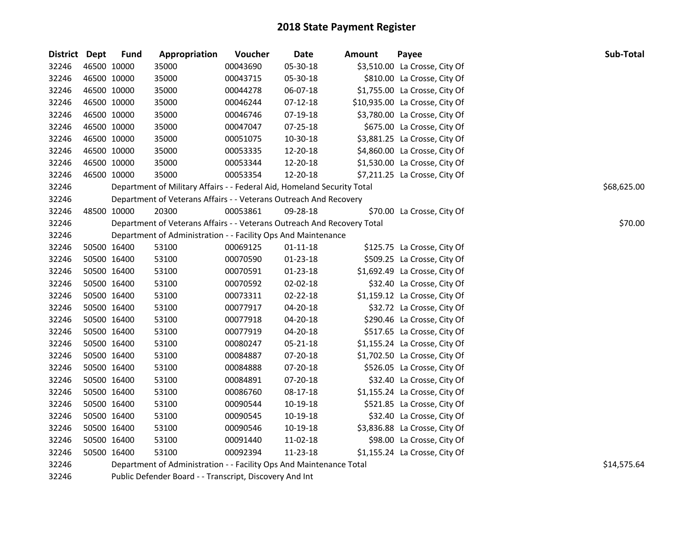| District Dept |             | <b>Fund</b> | Appropriation                                                           | Voucher  | <b>Date</b>    | <b>Amount</b> | Payee                          | Sub-Total   |
|---------------|-------------|-------------|-------------------------------------------------------------------------|----------|----------------|---------------|--------------------------------|-------------|
| 32246         | 46500 10000 |             | 35000                                                                   | 00043690 | 05-30-18       |               | \$3,510.00 La Crosse, City Of  |             |
| 32246         | 46500 10000 |             | 35000                                                                   | 00043715 | 05-30-18       |               | \$810.00 La Crosse, City Of    |             |
| 32246         | 46500 10000 |             | 35000                                                                   | 00044278 | 06-07-18       |               | \$1,755.00 La Crosse, City Of  |             |
| 32246         | 46500 10000 |             | 35000                                                                   | 00046244 | $07-12-18$     |               | \$10,935.00 La Crosse, City Of |             |
| 32246         | 46500 10000 |             | 35000                                                                   | 00046746 | 07-19-18       |               | \$3,780.00 La Crosse, City Of  |             |
| 32246         | 46500 10000 |             | 35000                                                                   | 00047047 | 07-25-18       |               | \$675.00 La Crosse, City Of    |             |
| 32246         | 46500 10000 |             | 35000                                                                   | 00051075 | 10-30-18       |               | \$3,881.25 La Crosse, City Of  |             |
| 32246         | 46500 10000 |             | 35000                                                                   | 00053335 | 12-20-18       |               | \$4,860.00 La Crosse, City Of  |             |
| 32246         | 46500 10000 |             | 35000                                                                   | 00053344 | 12-20-18       |               | \$1,530.00 La Crosse, City Of  |             |
| 32246         | 46500 10000 |             | 35000                                                                   | 00053354 | 12-20-18       |               | \$7,211.25 La Crosse, City Of  |             |
| 32246         |             |             | Department of Military Affairs - - Federal Aid, Homeland Security Total |          |                |               |                                | \$68,625.00 |
| 32246         |             |             | Department of Veterans Affairs - - Veterans Outreach And Recovery       |          |                |               |                                |             |
| 32246         | 48500 10000 |             | 20300                                                                   | 00053861 | 09-28-18       |               | \$70.00 La Crosse, City Of     |             |
| 32246         |             |             | Department of Veterans Affairs - - Veterans Outreach And Recovery Total |          |                |               |                                | \$70.00     |
| 32246         |             |             | Department of Administration - - Facility Ops And Maintenance           |          |                |               |                                |             |
| 32246         | 50500 16400 |             | 53100                                                                   | 00069125 | $01 - 11 - 18$ |               | \$125.75 La Crosse, City Of    |             |
| 32246         | 50500 16400 |             | 53100                                                                   | 00070590 | 01-23-18       |               | \$509.25 La Crosse, City Of    |             |
| 32246         | 50500 16400 |             | 53100                                                                   | 00070591 | 01-23-18       |               | \$1,692.49 La Crosse, City Of  |             |
| 32246         | 50500 16400 |             | 53100                                                                   | 00070592 | 02-02-18       |               | \$32.40 La Crosse, City Of     |             |
| 32246         | 50500 16400 |             | 53100                                                                   | 00073311 | 02-22-18       |               | \$1,159.12 La Crosse, City Of  |             |
| 32246         | 50500 16400 |             | 53100                                                                   | 00077917 | 04-20-18       |               | \$32.72 La Crosse, City Of     |             |
| 32246         | 50500 16400 |             | 53100                                                                   | 00077918 | 04-20-18       |               | \$290.46 La Crosse, City Of    |             |
| 32246         | 50500 16400 |             | 53100                                                                   | 00077919 | 04-20-18       |               | \$517.65 La Crosse, City Of    |             |
| 32246         | 50500 16400 |             | 53100                                                                   | 00080247 | 05-21-18       |               | \$1,155.24 La Crosse, City Of  |             |
| 32246         | 50500 16400 |             | 53100                                                                   | 00084887 | 07-20-18       |               | \$1,702.50 La Crosse, City Of  |             |
| 32246         | 50500 16400 |             | 53100                                                                   | 00084888 | 07-20-18       |               | \$526.05 La Crosse, City Of    |             |
| 32246         | 50500 16400 |             | 53100                                                                   | 00084891 | 07-20-18       |               | \$32.40 La Crosse, City Of     |             |
| 32246         | 50500 16400 |             | 53100                                                                   | 00086760 | 08-17-18       |               | \$1,155.24 La Crosse, City Of  |             |
| 32246         | 50500 16400 |             | 53100                                                                   | 00090544 | 10-19-18       |               | \$521.85 La Crosse, City Of    |             |
| 32246         | 50500 16400 |             | 53100                                                                   | 00090545 | 10-19-18       |               | \$32.40 La Crosse, City Of     |             |
| 32246         | 50500 16400 |             | 53100                                                                   | 00090546 | 10-19-18       |               | \$3,836.88 La Crosse, City Of  |             |
| 32246         | 50500 16400 |             | 53100                                                                   | 00091440 | 11-02-18       |               | \$98.00 La Crosse, City Of     |             |
| 32246         | 50500 16400 |             | 53100                                                                   | 00092394 | 11-23-18       |               | \$1,155.24 La Crosse, City Of  |             |
| 32246         |             |             | Department of Administration - - Facility Ops And Maintenance Total     |          |                |               |                                | \$14,575.64 |

Public Defender Board - - Transcript, Discovery And Int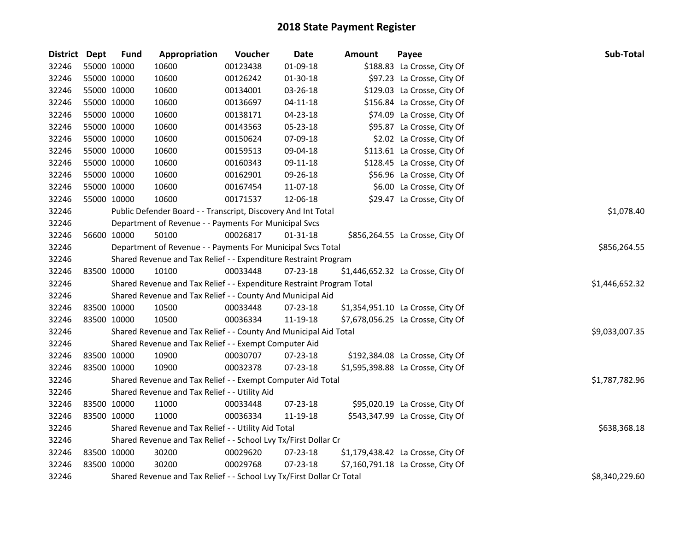| District Dept | <b>Fund</b> | Appropriation                                                         | Voucher  | <b>Date</b>    | <b>Amount</b> | Payee                             | Sub-Total      |
|---------------|-------------|-----------------------------------------------------------------------|----------|----------------|---------------|-----------------------------------|----------------|
| 32246         | 55000 10000 | 10600                                                                 | 00123438 | 01-09-18       |               | \$188.83 La Crosse, City Of       |                |
| 32246         | 55000 10000 | 10600                                                                 | 00126242 | 01-30-18       |               | \$97.23 La Crosse, City Of        |                |
| 32246         | 55000 10000 | 10600                                                                 | 00134001 | 03-26-18       |               | \$129.03 La Crosse, City Of       |                |
| 32246         | 55000 10000 | 10600                                                                 | 00136697 | $04 - 11 - 18$ |               | \$156.84 La Crosse, City Of       |                |
| 32246         | 55000 10000 | 10600                                                                 | 00138171 | 04-23-18       |               | \$74.09 La Crosse, City Of        |                |
| 32246         | 55000 10000 | 10600                                                                 | 00143563 | 05-23-18       |               | \$95.87 La Crosse, City Of        |                |
| 32246         | 55000 10000 | 10600                                                                 | 00150624 | 07-09-18       |               | \$2.02 La Crosse, City Of         |                |
| 32246         | 55000 10000 | 10600                                                                 | 00159513 | 09-04-18       |               | \$113.61 La Crosse, City Of       |                |
| 32246         | 55000 10000 | 10600                                                                 | 00160343 | 09-11-18       |               | \$128.45 La Crosse, City Of       |                |
| 32246         | 55000 10000 | 10600                                                                 | 00162901 | 09-26-18       |               | \$56.96 La Crosse, City Of        |                |
| 32246         | 55000 10000 | 10600                                                                 | 00167454 | 11-07-18       |               | \$6.00 La Crosse, City Of         |                |
| 32246         | 55000 10000 | 10600                                                                 | 00171537 | 12-06-18       |               | \$29.47 La Crosse, City Of        |                |
| 32246         |             | Public Defender Board - - Transcript, Discovery And Int Total         |          |                |               |                                   | \$1,078.40     |
| 32246         |             | Department of Revenue - - Payments For Municipal Svcs                 |          |                |               |                                   |                |
| 32246         | 56600 10000 | 50100                                                                 | 00026817 | 01-31-18       |               | \$856,264.55 La Crosse, City Of   |                |
| 32246         |             | Department of Revenue - - Payments For Municipal Svcs Total           |          |                |               |                                   | \$856,264.55   |
| 32246         |             | Shared Revenue and Tax Relief - - Expenditure Restraint Program       |          |                |               |                                   |                |
| 32246         | 83500 10000 | 10100                                                                 | 00033448 | 07-23-18       |               | \$1,446,652.32 La Crosse, City Of |                |
| 32246         |             | Shared Revenue and Tax Relief - - Expenditure Restraint Program Total |          |                |               |                                   | \$1,446,652.32 |
| 32246         |             | Shared Revenue and Tax Relief - - County And Municipal Aid            |          |                |               |                                   |                |
| 32246         | 83500 10000 | 10500                                                                 | 00033448 | 07-23-18       |               | \$1,354,951.10 La Crosse, City Of |                |
| 32246         | 83500 10000 | 10500                                                                 | 00036334 | 11-19-18       |               | \$7,678,056.25 La Crosse, City Of |                |
| 32246         |             | Shared Revenue and Tax Relief - - County And Municipal Aid Total      |          |                |               |                                   | \$9,033,007.35 |
| 32246         |             | Shared Revenue and Tax Relief - - Exempt Computer Aid                 |          |                |               |                                   |                |
| 32246         | 83500 10000 | 10900                                                                 | 00030707 | 07-23-18       |               | \$192,384.08 La Crosse, City Of   |                |
| 32246         | 83500 10000 | 10900                                                                 | 00032378 | 07-23-18       |               | \$1,595,398.88 La Crosse, City Of |                |
| 32246         |             | Shared Revenue and Tax Relief - - Exempt Computer Aid Total           |          |                |               |                                   | \$1,787,782.96 |
| 32246         |             | Shared Revenue and Tax Relief - - Utility Aid                         |          |                |               |                                   |                |
| 32246         | 83500 10000 | 11000                                                                 | 00033448 | 07-23-18       |               | \$95,020.19 La Crosse, City Of    |                |
| 32246         | 83500 10000 | 11000                                                                 | 00036334 | 11-19-18       |               | \$543,347.99 La Crosse, City Of   |                |
| 32246         |             | Shared Revenue and Tax Relief - - Utility Aid Total                   |          |                |               |                                   | \$638,368.18   |
| 32246         |             | Shared Revenue and Tax Relief - - School Lvy Tx/First Dollar Cr       |          |                |               |                                   |                |
| 32246         | 83500 10000 | 30200                                                                 | 00029620 | 07-23-18       |               | \$1,179,438.42 La Crosse, City Of |                |
| 32246         | 83500 10000 | 30200                                                                 | 00029768 | 07-23-18       |               | \$7,160,791.18 La Crosse, City Of |                |
| 32246         |             | Shared Revenue and Tax Relief - - School Lvy Tx/First Dollar Cr Total |          |                |               |                                   | \$8,340,229.60 |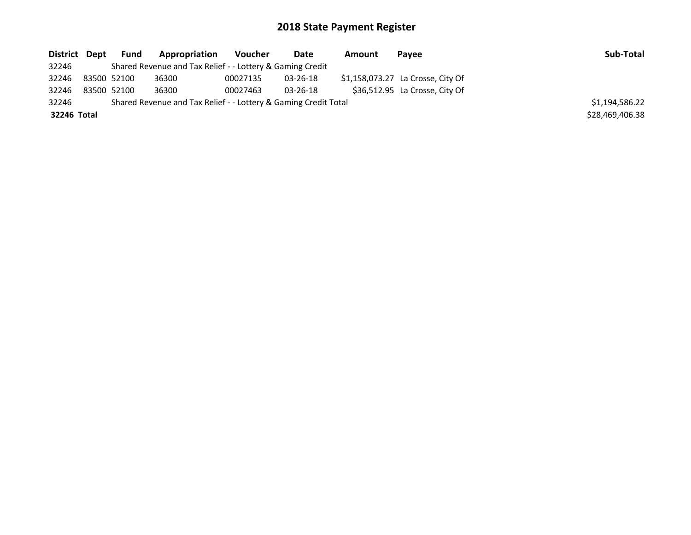| District Dept | <b>Fund</b> | <b>Appropriation</b>                                            | Voucher  | Date     | Amount | Payee                             | Sub-Total       |
|---------------|-------------|-----------------------------------------------------------------|----------|----------|--------|-----------------------------------|-----------------|
| 32246         |             | Shared Revenue and Tax Relief - - Lottery & Gaming Credit       |          |          |        |                                   |                 |
| 32246         | 83500 52100 | 36300                                                           | 00027135 | 03-26-18 |        | \$1,158,073.27 La Crosse, City Of |                 |
| 32246         | 83500 52100 | 36300                                                           | 00027463 | 03-26-18 |        | \$36,512.95 La Crosse, City Of    |                 |
| 32246         |             | Shared Revenue and Tax Relief - - Lottery & Gaming Credit Total |          |          |        |                                   | \$1,194,586.22  |
| 32246 Total   |             |                                                                 |          |          |        |                                   | \$28,469,406.38 |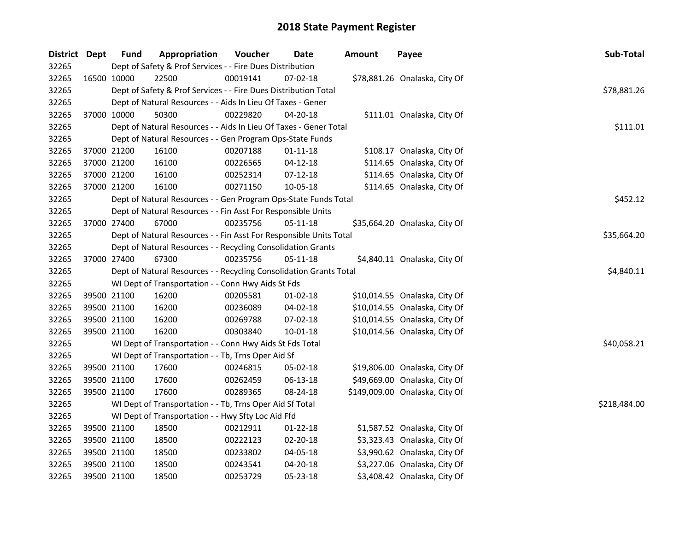| District Dept |             | <b>Fund</b>                                                        | Appropriation                                                      | Voucher  | Date           | <b>Amount</b> | Payee                          | Sub-Total   |
|---------------|-------------|--------------------------------------------------------------------|--------------------------------------------------------------------|----------|----------------|---------------|--------------------------------|-------------|
| 32265         |             | Dept of Safety & Prof Services - - Fire Dues Distribution          |                                                                    |          |                |               |                                |             |
| 32265         |             | 16500 10000                                                        | 22500                                                              | 00019141 | $07-02-18$     |               | \$78,881.26 Onalaska, City Of  |             |
| 32265         |             |                                                                    | Dept of Safety & Prof Services - - Fire Dues Distribution Total    |          |                |               |                                | \$78,881.26 |
| 32265         |             | Dept of Natural Resources - - Aids In Lieu Of Taxes - Gener        |                                                                    |          |                |               |                                |             |
| 32265         |             | 37000 10000                                                        | 50300                                                              | 00229820 | 04-20-18       |               | \$111.01 Onalaska, City Of     |             |
| 32265         |             |                                                                    | Dept of Natural Resources - - Aids In Lieu Of Taxes - Gener Total  |          |                |               |                                | \$111.01    |
| 32265         |             |                                                                    | Dept of Natural Resources - - Gen Program Ops-State Funds          |          |                |               |                                |             |
| 32265         |             | 37000 21200                                                        | 16100                                                              | 00207188 | $01 - 11 - 18$ |               | \$108.17 Onalaska, City Of     |             |
| 32265         |             | 37000 21200                                                        | 16100                                                              | 00226565 | $04 - 12 - 18$ |               | \$114.65 Onalaska, City Of     |             |
| 32265         | 37000 21200 |                                                                    | 16100                                                              | 00252314 | 07-12-18       |               | \$114.65 Onalaska, City Of     |             |
| 32265         | 37000 21200 |                                                                    | 16100                                                              | 00271150 | 10-05-18       |               | \$114.65 Onalaska, City Of     |             |
| 32265         |             |                                                                    | Dept of Natural Resources - - Gen Program Ops-State Funds Total    |          |                |               |                                | \$452.12    |
| 32265         |             |                                                                    | Dept of Natural Resources - - Fin Asst For Responsible Units       |          |                |               |                                |             |
| 32265         |             | 37000 27400                                                        | 67000                                                              | 00235756 | 05-11-18       |               | \$35,664.20 Onalaska, City Of  |             |
| 32265         |             |                                                                    | Dept of Natural Resources - - Fin Asst For Responsible Units Total |          |                |               |                                | \$35,664.20 |
| 32265         |             |                                                                    | Dept of Natural Resources - - Recycling Consolidation Grants       |          |                |               |                                |             |
| 32265         |             | 37000 27400                                                        | 67300                                                              | 00235756 | 05-11-18       |               | \$4,840.11 Onalaska, City Of   |             |
| 32265         |             | Dept of Natural Resources - - Recycling Consolidation Grants Total | \$4,840.11                                                         |          |                |               |                                |             |
| 32265         |             | WI Dept of Transportation - - Conn Hwy Aids St Fds                 |                                                                    |          |                |               |                                |             |
| 32265         |             | 39500 21100                                                        | 16200                                                              | 00205581 | $01-02-18$     |               | \$10,014.55 Onalaska, City Of  |             |
| 32265         | 39500 21100 |                                                                    | 16200                                                              | 00236089 | 04-02-18       |               | \$10,014.55 Onalaska, City Of  |             |
| 32265         | 39500 21100 |                                                                    | 16200                                                              | 00269788 | 07-02-18       |               | \$10,014.55 Onalaska, City Of  |             |
| 32265         | 39500 21100 |                                                                    | 16200                                                              | 00303840 | 10-01-18       |               | \$10,014.56 Onalaska, City Of  |             |
| 32265         |             | WI Dept of Transportation - - Conn Hwy Aids St Fds Total           | \$40,058.21                                                        |          |                |               |                                |             |
| 32265         |             | WI Dept of Transportation - - Tb, Trns Oper Aid Sf                 |                                                                    |          |                |               |                                |             |
| 32265         |             | 39500 21100                                                        | 17600                                                              | 00246815 | 05-02-18       |               | \$19,806.00 Onalaska, City Of  |             |
| 32265         | 39500 21100 |                                                                    | 17600                                                              | 00262459 | 06-13-18       |               | \$49,669.00 Onalaska, City Of  |             |
| 32265         |             | 39500 21100                                                        | 17600                                                              | 00289365 | 08-24-18       |               | \$149,009.00 Onalaska, City Of |             |
| 32265         |             | WI Dept of Transportation - - Tb, Trns Oper Aid Sf Total           | \$218,484.00                                                       |          |                |               |                                |             |
| 32265         |             | WI Dept of Transportation - - Hwy Sfty Loc Aid Ffd                 |                                                                    |          |                |               |                                |             |
| 32265         |             | 39500 21100                                                        | 18500                                                              | 00212911 | $01 - 22 - 18$ |               | \$1,587.52 Onalaska, City Of   |             |
| 32265         | 39500 21100 |                                                                    | 18500                                                              | 00222123 | 02-20-18       |               | \$3,323.43 Onalaska, City Of   |             |
| 32265         | 39500 21100 |                                                                    | 18500                                                              | 00233802 | 04-05-18       |               | \$3,990.62 Onalaska, City Of   |             |
| 32265         |             | 39500 21100                                                        | 18500                                                              | 00243541 | 04-20-18       |               | \$3,227.06 Onalaska, City Of   |             |
| 32265         |             | 39500 21100                                                        | 18500                                                              | 00253729 | 05-23-18       |               | \$3,408.42 Onalaska, City Of   |             |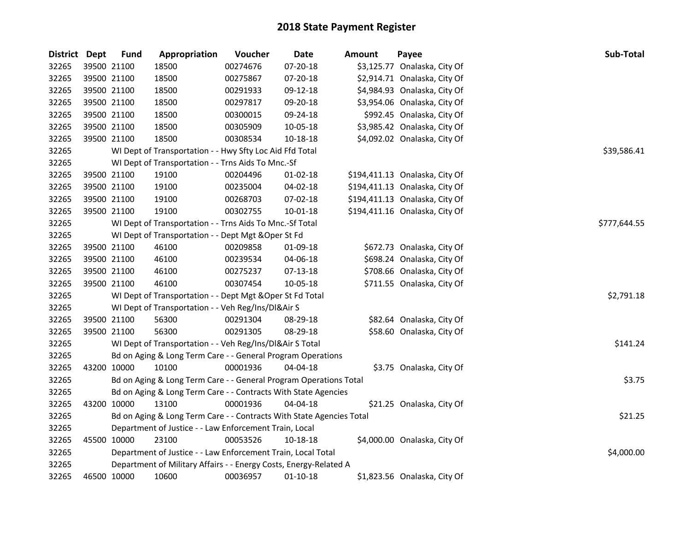| District Dept |             | <b>Fund</b>                                                       | Appropriation                                                        | Voucher    | <b>Date</b>    | <b>Amount</b> | Payee                          | Sub-Total    |  |
|---------------|-------------|-------------------------------------------------------------------|----------------------------------------------------------------------|------------|----------------|---------------|--------------------------------|--------------|--|
| 32265         |             | 39500 21100                                                       | 18500                                                                | 00274676   | 07-20-18       |               | \$3,125.77 Onalaska, City Of   |              |  |
| 32265         |             | 39500 21100                                                       | 18500                                                                | 00275867   | 07-20-18       |               | \$2,914.71 Onalaska, City Of   |              |  |
| 32265         | 39500 21100 |                                                                   | 18500                                                                | 00291933   | 09-12-18       |               | \$4,984.93 Onalaska, City Of   |              |  |
| 32265         | 39500 21100 |                                                                   | 18500                                                                | 00297817   | 09-20-18       |               | \$3,954.06 Onalaska, City Of   |              |  |
| 32265         |             | 39500 21100                                                       | 18500                                                                | 00300015   | 09-24-18       |               | \$992.45 Onalaska, City Of     |              |  |
| 32265         |             | 39500 21100                                                       | 18500                                                                | 00305909   | 10-05-18       |               | \$3,985.42 Onalaska, City Of   |              |  |
| 32265         |             | 39500 21100                                                       | 18500                                                                | 00308534   | 10-18-18       |               | \$4,092.02 Onalaska, City Of   |              |  |
| 32265         |             |                                                                   | WI Dept of Transportation - - Hwy Sfty Loc Aid Ffd Total             |            |                |               |                                | \$39,586.41  |  |
| 32265         |             |                                                                   | WI Dept of Transportation - - Trns Aids To Mnc.-Sf                   |            |                |               |                                |              |  |
| 32265         | 39500 21100 |                                                                   | 19100                                                                | 00204496   | $01 - 02 - 18$ |               | \$194,411.13 Onalaska, City Of |              |  |
| 32265         | 39500 21100 |                                                                   | 19100                                                                | 00235004   | 04-02-18       |               | \$194,411.13 Onalaska, City Of |              |  |
| 32265         | 39500 21100 |                                                                   | 19100                                                                | 00268703   | 07-02-18       |               | \$194,411.13 Onalaska, City Of |              |  |
| 32265         |             | 39500 21100                                                       | 19100                                                                | 00302755   | $10 - 01 - 18$ |               | \$194,411.16 Onalaska, City Of |              |  |
| 32265         |             |                                                                   | WI Dept of Transportation - - Trns Aids To Mnc.-Sf Total             |            |                |               |                                | \$777,644.55 |  |
| 32265         |             |                                                                   | WI Dept of Transportation - - Dept Mgt & Oper St Fd                  |            |                |               |                                |              |  |
| 32265         |             | 39500 21100                                                       | 46100                                                                | 00209858   | 01-09-18       |               | \$672.73 Onalaska, City Of     |              |  |
| 32265         |             | 39500 21100                                                       | 46100                                                                | 00239534   | 04-06-18       |               | \$698.24 Onalaska, City Of     |              |  |
| 32265         |             | 39500 21100                                                       | 46100                                                                | 00275237   | $07 - 13 - 18$ |               | \$708.66 Onalaska, City Of     |              |  |
| 32265         |             | 39500 21100                                                       | 46100                                                                | 00307454   | 10-05-18       |               | \$711.55 Onalaska, City Of     |              |  |
| 32265         |             |                                                                   | WI Dept of Transportation - - Dept Mgt & Oper St Fd Total            | \$2,791.18 |                |               |                                |              |  |
| 32265         |             | WI Dept of Transportation - - Veh Reg/Ins/DI&Air S                |                                                                      |            |                |               |                                |              |  |
| 32265         | 39500 21100 |                                                                   | 56300                                                                | 00291304   | 08-29-18       |               | \$82.64 Onalaska, City Of      |              |  |
| 32265         |             | 39500 21100                                                       | 56300                                                                | 00291305   | 08-29-18       |               | \$58.60 Onalaska, City Of      |              |  |
| 32265         |             | WI Dept of Transportation - - Veh Reg/Ins/DI&Air S Total          | \$141.24                                                             |            |                |               |                                |              |  |
| 32265         |             | Bd on Aging & Long Term Care - - General Program Operations       |                                                                      |            |                |               |                                |              |  |
| 32265         |             | 43200 10000                                                       | 10100                                                                | 00001936   | 04-04-18       |               | \$3.75 Onalaska, City Of       |              |  |
| 32265         |             |                                                                   | Bd on Aging & Long Term Care - - General Program Operations Total    |            |                |               |                                | \$3.75       |  |
| 32265         |             | Bd on Aging & Long Term Care - - Contracts With State Agencies    |                                                                      |            |                |               |                                |              |  |
| 32265         | 43200 10000 |                                                                   | 13100                                                                | 00001936   | 04-04-18       |               | \$21.25 Onalaska, City Of      |              |  |
| 32265         |             |                                                                   | Bd on Aging & Long Term Care - - Contracts With State Agencies Total |            |                |               |                                | \$21.25      |  |
| 32265         |             | Department of Justice - - Law Enforcement Train, Local            |                                                                      |            |                |               |                                |              |  |
| 32265         | 45500 10000 |                                                                   | 23100                                                                | 00053526   | 10-18-18       |               | \$4,000.00 Onalaska, City Of   |              |  |
| 32265         |             |                                                                   | Department of Justice - - Law Enforcement Train, Local Total         |            |                |               |                                | \$4,000.00   |  |
| 32265         |             | Department of Military Affairs - - Energy Costs, Energy-Related A |                                                                      |            |                |               |                                |              |  |
| 32265         |             | 46500 10000                                                       | 10600                                                                | 00036957   | $01-10-18$     |               | \$1,823.56 Onalaska, City Of   |              |  |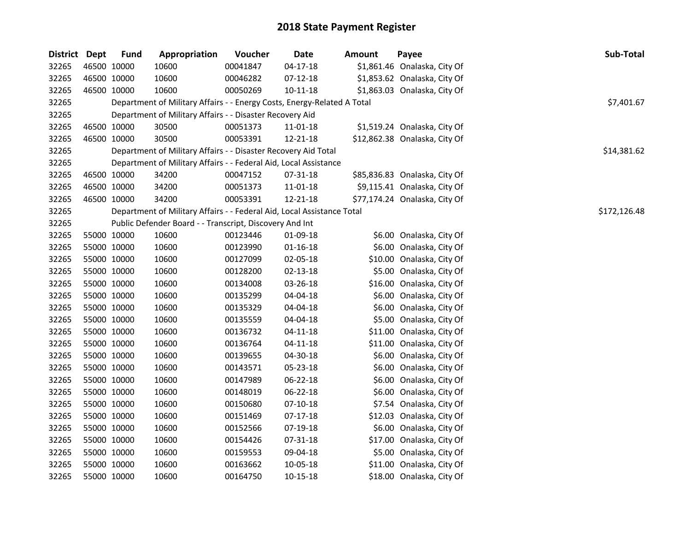| District Dept | <b>Fund</b> | Appropriation                                                           | Voucher  | Date           | Amount | Payee                         | Sub-Total    |
|---------------|-------------|-------------------------------------------------------------------------|----------|----------------|--------|-------------------------------|--------------|
| 32265         | 46500 10000 | 10600                                                                   | 00041847 | $04 - 17 - 18$ |        | \$1,861.46 Onalaska, City Of  |              |
| 32265         | 46500 10000 | 10600                                                                   | 00046282 | $07 - 12 - 18$ |        | \$1,853.62 Onalaska, City Of  |              |
| 32265         | 46500 10000 | 10600                                                                   | 00050269 | $10 - 11 - 18$ |        | \$1,863.03 Onalaska, City Of  |              |
| 32265         |             | Department of Military Affairs - - Energy Costs, Energy-Related A Total |          |                |        |                               | \$7,401.67   |
| 32265         |             | Department of Military Affairs - - Disaster Recovery Aid                |          |                |        |                               |              |
| 32265         | 46500 10000 | 30500                                                                   | 00051373 | 11-01-18       |        | \$1,519.24 Onalaska, City Of  |              |
| 32265         | 46500 10000 | 30500                                                                   | 00053391 | 12-21-18       |        | \$12,862.38 Onalaska, City Of |              |
| 32265         |             | Department of Military Affairs - - Disaster Recovery Aid Total          |          |                |        |                               | \$14,381.62  |
| 32265         |             | Department of Military Affairs - - Federal Aid, Local Assistance        |          |                |        |                               |              |
| 32265         | 46500 10000 | 34200                                                                   | 00047152 | 07-31-18       |        | \$85,836.83 Onalaska, City Of |              |
| 32265         | 46500 10000 | 34200                                                                   | 00051373 | 11-01-18       |        | \$9,115.41 Onalaska, City Of  |              |
| 32265         | 46500 10000 | 34200                                                                   | 00053391 | 12-21-18       |        | \$77,174.24 Onalaska, City Of |              |
| 32265         |             | Department of Military Affairs - - Federal Aid, Local Assistance Total  |          |                |        |                               | \$172,126.48 |
| 32265         |             | Public Defender Board - - Transcript, Discovery And Int                 |          |                |        |                               |              |
| 32265         | 55000 10000 | 10600                                                                   | 00123446 | 01-09-18       |        | \$6.00 Onalaska, City Of      |              |
| 32265         | 55000 10000 | 10600                                                                   | 00123990 | $01 - 16 - 18$ |        | \$6.00 Onalaska, City Of      |              |
| 32265         | 55000 10000 | 10600                                                                   | 00127099 | 02-05-18       |        | \$10.00 Onalaska, City Of     |              |
| 32265         | 55000 10000 | 10600                                                                   | 00128200 | 02-13-18       |        | \$5.00 Onalaska, City Of      |              |
| 32265         | 55000 10000 | 10600                                                                   | 00134008 | 03-26-18       |        | \$16.00 Onalaska, City Of     |              |
| 32265         | 55000 10000 | 10600                                                                   | 00135299 | 04-04-18       |        | \$6.00 Onalaska, City Of      |              |
| 32265         | 55000 10000 | 10600                                                                   | 00135329 | $04 - 04 - 18$ |        | \$6.00 Onalaska, City Of      |              |
| 32265         | 55000 10000 | 10600                                                                   | 00135559 | 04-04-18       |        | \$5.00 Onalaska, City Of      |              |
| 32265         | 55000 10000 | 10600                                                                   | 00136732 | $04 - 11 - 18$ |        | \$11.00 Onalaska, City Of     |              |
| 32265         | 55000 10000 | 10600                                                                   | 00136764 | $04 - 11 - 18$ |        | \$11.00 Onalaska, City Of     |              |
| 32265         | 55000 10000 | 10600                                                                   | 00139655 | 04-30-18       |        | \$6.00 Onalaska, City Of      |              |
| 32265         | 55000 10000 | 10600                                                                   | 00143571 | 05-23-18       |        | \$6.00 Onalaska, City Of      |              |
| 32265         | 55000 10000 | 10600                                                                   | 00147989 | 06-22-18       |        | \$6.00 Onalaska, City Of      |              |
| 32265         | 55000 10000 | 10600                                                                   | 00148019 | 06-22-18       |        | \$6.00 Onalaska, City Of      |              |
| 32265         | 55000 10000 | 10600                                                                   | 00150680 | $07-10-18$     |        | \$7.54 Onalaska, City Of      |              |
| 32265         | 55000 10000 | 10600                                                                   | 00151469 | 07-17-18       |        | \$12.03 Onalaska, City Of     |              |
| 32265         | 55000 10000 | 10600                                                                   | 00152566 | 07-19-18       |        | \$6.00 Onalaska, City Of      |              |
| 32265         | 55000 10000 | 10600                                                                   | 00154426 | 07-31-18       |        | \$17.00 Onalaska, City Of     |              |
| 32265         | 55000 10000 | 10600                                                                   | 00159553 | 09-04-18       |        | \$5.00 Onalaska, City Of      |              |
| 32265         | 55000 10000 | 10600                                                                   | 00163662 | 10-05-18       |        | \$11.00 Onalaska, City Of     |              |
| 32265         | 55000 10000 | 10600                                                                   | 00164750 | $10 - 15 - 18$ |        | \$18.00 Onalaska, City Of     |              |